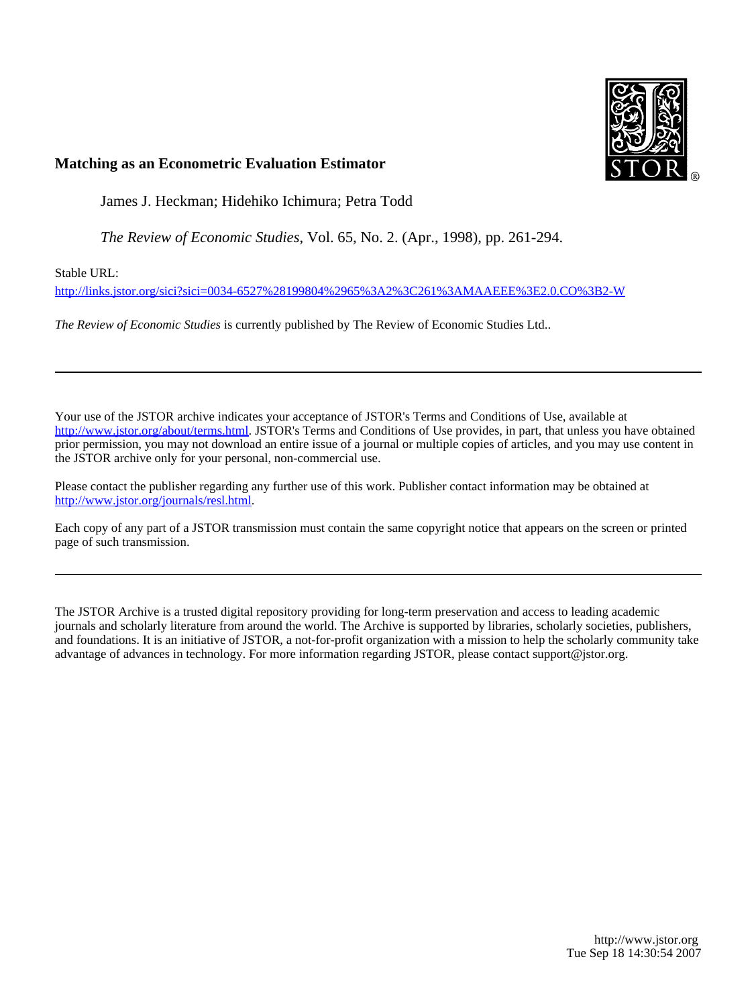

## **Matching as an Econometric Evaluation Estimator**

James J. Heckman; Hidehiko Ichimura; Petra Todd

*The Review of Economic Studies*, Vol. 65, No. 2. (Apr., 1998), pp. 261-294.

Stable URL:

<http://links.jstor.org/sici?sici=0034-6527%28199804%2965%3A2%3C261%3AMAAEEE%3E2.0.CO%3B2-W>

*The Review of Economic Studies* is currently published by The Review of Economic Studies Ltd..

Your use of the JSTOR archive indicates your acceptance of JSTOR's Terms and Conditions of Use, available at [http://www.jstor.org/about/terms.html.](http://www.jstor.org/about/terms.html) JSTOR's Terms and Conditions of Use provides, in part, that unless you have obtained prior permission, you may not download an entire issue of a journal or multiple copies of articles, and you may use content in the JSTOR archive only for your personal, non-commercial use.

Please contact the publisher regarding any further use of this work. Publisher contact information may be obtained at [http://www.jstor.org/journals/resl.html.](http://www.jstor.org/journals/resl.html)

Each copy of any part of a JSTOR transmission must contain the same copyright notice that appears on the screen or printed page of such transmission.

The JSTOR Archive is a trusted digital repository providing for long-term preservation and access to leading academic journals and scholarly literature from around the world. The Archive is supported by libraries, scholarly societies, publishers, and foundations. It is an initiative of JSTOR, a not-for-profit organization with a mission to help the scholarly community take advantage of advances in technology. For more information regarding JSTOR, please contact support@jstor.org.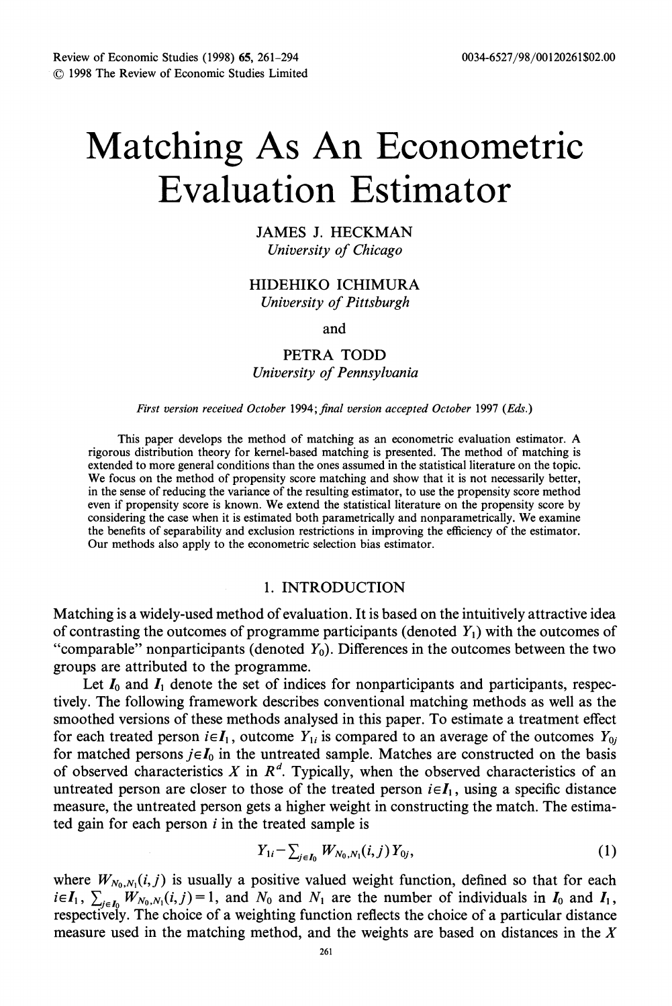# Matching As An Econometric Evaluation Estimator

JAMES J. HECKMAN University of Chicago

HIDEHIKO ICHIMURA University of Pittsburgh

and

#### PETRA TODD University of Pennsylvania

*First version received October 1994; final version accepted October 1997 (Eds.)* 

This paper develops the method of matching as an econometric evaluation estimator. **A**  rigorous distribution theory for kernel-based matching is presented. The method of matching is extended to more general conditions than the ones assumed in the statistical literature on the topic. We focus on the method of propensity score matching and show that it is not necessarily better, in the sense of reducing the variance of the resulting estimator, to use the propensity score method even if propensity score is known. We extend the statistical literature on the propensity score by considering the case when it is estimated both parametrically and nonparametrically. We examine the benefits of separability and exclusion restrictions in improving the efficiency of the estimator. Our methods also apply to the econometric selection bias estimator.

#### 1. INTRODUCTION

Matching is a widely-used method of evaluation. It is based on the intuitively attractive idea of contrasting the outcomes of programme participants (denoted  $Y_1$ ) with the outcomes of "comparable" nonparticipants (denoted  $Y_0$ ). Differences in the outcomes between the two groups are attributed to the programme.

Let  $I_0$  and  $I_1$  denote the set of indices for nonparticipants and participants, respectively. The following framework describes conventional matching methods as well as the smoothed versions of these methods analysed in this paper. To estimate a treatment effect for each treated person  $i \in I_1$ , outcome  $Y_{1i}$  is compared to an average of the outcomes  $Y_{0i}$ for matched persons  $j \in I_0$  in the untreated sample. Matches are constructed on the basis of observed characteristics X in  $R^d$ . Typically, when the observed characteristics of an untreated person are closer to those of the treated person  $i \in I_1$ , using a specific distance measure, the untreated person gets a higher weight in constructing the match. The estimated gain for each person  $i$  in the treated sample is

$$
Y_{1i} - \sum_{i \in I_0} W_{N_0, N_1}(i, j) Y_{0j}, \qquad (1)
$$

where  $W_{N_0,N_1}(i,j)$  is usually a positive valued weight function, defined so that for each  $i \in I_1$ ,  $\sum_{i \in I_0} W_{N_0, N_1}(i, j) = 1$ , and  $N_0$  and  $N_1$  are the number of individuals in  $I_0$  and  $I_1$ , respectively. The choice of a weighting function reflects the choice of a particular distance measure used in the matching method, and the weights are based on distances in the  $X$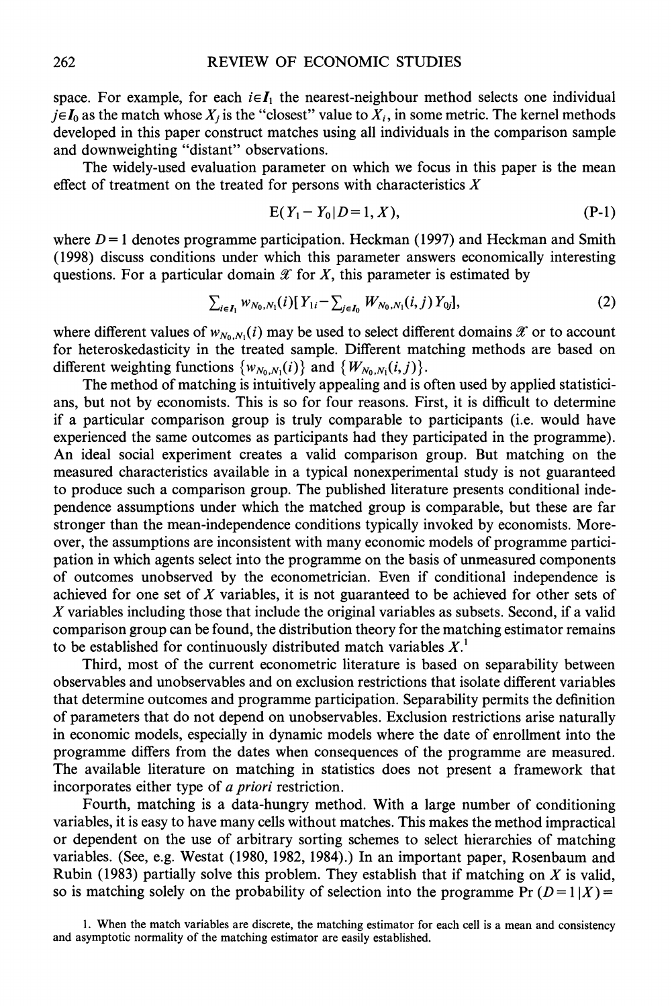space. For example, for each  $i \in I_1$  the nearest-neighbour method selects one individual  $j \in I_0$  as the match whose  $X_j$  is the "closest" value to  $X_i$ , in some metric. The kernel methods developed in this paper construct matches using all individuals in the comparison sample and downweighting "distant" observations.

The widely-used evaluation parameter on which we focus in this paper is the mean effect of treatment on the treated for persons with characteristics  $X$ 

$$
E(Y_1 - Y_0 | D = 1, X), \tag{P-1}
$$

where  $D = 1$  denotes programme participation. Heckman (1997) and Heckman and Smith (1998) discuss conditions under which this parameter answers economically interesting questions. For a particular domain  $\mathscr X$  for X, this parameter is estimated by

$$
\sum_{i\in I_1} w_{N_0,N_1}(i) [Y_{1i} - \sum_{j\in I_0} W_{N_0,N_1}(i,j) Y_{0j}], \qquad (2)
$$

where different values of  $w_{N_0,N_1}(i)$  may be used to select different domains X or to account for heteroskedasticity in the treated sample. Different matching methods are based on different weighting functions  $\{w_{N_0,N_1}(i)\}\$  and  $\{W_{N_0,N_1}(i,j)\}\$ .

The method of matching is intuitively appealing and is often used by applied statisticians, but not by economists. This is so for four reasons. First, it is difficult to determine if a particular comparison group is truly comparable to participants (i.e. would have experienced the same outcomes as participants had they participated in the programme). An ideal social experiment creates a valid comparison group. But matching on the measured characteristics available in a typical nonexperimental study is not guaranteed to produce such a comparison group. The published literature presents conditional independence assumptions under which the matched group is comparable, but these are far stronger than the mean-independence conditions typically invoked by economists. Moreover, the assumptions are inconsistent with many economic models of programme participation in which agents select into the programme on the basis of unmeasured components of outcomes unobserved by the econometrician. Even if conditional independence is achieved for one set of  $X$  variables, it is not guaranteed to be achieved for other sets of  $X$  variables including those that include the original variables as subsets. Second, if a valid comparison group can be found, the distribution theory for the matching estimator remains to be established for continuously distributed match variables  $X<sup>1</sup>$ 

Third, most of the current econometric literature is based on separability between observables and unobservables and on exclusion restrictions that isolate different variables that determine outcomes and programme participation. Separability permits the definition of parameters that do not depend on unobservables. Exclusion restrictions arise naturally in economic models, especially in dynamic models where the date of enrollment into the programme differs from the dates when consequences of the programme are measured. The available literature on matching in statistics does not present a framework that incorporates either type of a priori restriction.

Fourth, matching is a data-hungry method. With a large number of conditioning variables, it is easy to have many cells without matches. This makes the method impractical or dependent on the use of arbitrary sorting schemes to select hierarchies of matching variables. (See, e.g. Westat (1980, 1982, 1984).) In an important paper, Rosenbaum and Rubin (1983) partially solve this problem. They establish that if matching on X is valid, so is matching solely on the probability of selection into the programme Pr  $(D=1|X)$  =

1. When the match variables are discrete, the matching estimator for each cell is a mean and consistency and asymptotic normality of the matching estimator are easily established.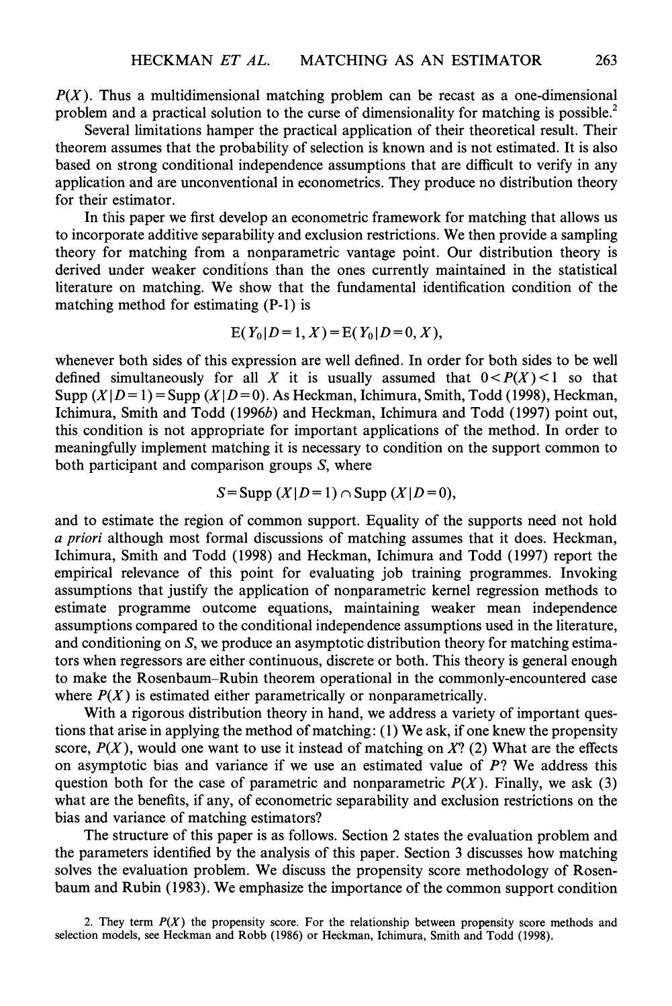$P(X)$ . Thus a multidimensional matching problem can be recast as a one-dimensional problem and a practical solution to the curse of dimensionality for matching is possible.<sup>2</sup>

Several limitations hamper the practical application of their theoretical result. Their theorem assumes that the probability of selection is known and is not estimated. It is also based on strong conditional independence assumptions that are difficult to verify in any application and are unconventional in econometrics. They produce no distribution theory for their estimator.

In this paper we first develop an econometric framework for matching that allows us to incorporate additive separability and exclusion restrictions. We then provide a sampling theory for matching from a nonparametric vantage point. Our distribution theory is derived under weaker conditions than the ones currently maintained in the statistical literature on matching. We show that the fundamental identification condition of the matching method for estimating (P-1) is

$$
E(Y_0|D=1, X) = E(Y_0|D=0, X),
$$

whenever both sides of this expression are well defined. In order for both sides to be well defined simultaneously for all X it is usually assumed that  $0 < P(X) < 1$  so that Supp  $(X|D=1)$  = Supp  $(X|D=0)$ . As Heckman, Ichimura, Smith, Todd (1998), Heckman, Ichimura, Smith and Todd (1996b) and Heckman, Ichimura and Todd (1997) point out, this condition is not appropriate for important applications of the method. In order to meaningfully implement matching it is necessary to condition on the support common to both participant and comparison groups S, where

$$
S = \text{Supp}(X|D=1) \cap \text{Supp}(X|D=0),
$$

and to estimate the region of common support. Equality of the supports need not hold a *priori* although most formal discussions of matching assumes that it does. Heckman, Ichimura, Smith and Todd (1998) and Heckman, Ichimura and Todd (1997) report the empirical relevance of this point for evaluating job training programmes. Invoking assumptions that justify the application of nonparametric kernel regression methods to estimate programme outcome equations, maintaining weaker mean independence assumptions compared to the conditional independence assumptions used in the literature, and conditioning on S, we produce an asymptotic distribution theory for matching estimators when regressors are either continuous, discrete or both. This theory is general enough to make the Rosenbaum-Rubin theorem operational in the commonly-encountered case where  $P(X)$  is estimated either parametrically or nonparametrically.

With a rigorous distribution theory in hand, we address a variety of important questions that arise in applying the method of matching: (1) We ask, if one knew the propensity score,  $P(X)$ , would one want to use it instead of matching on  $X$ ? (2) What are the effects on asymptotic bias and variance if we use an estimated value of  $P$ ? We address this question both for the case of parametric and nonparametric  $P(X)$ . Finally, we ask (3) what are the benefits, if any, of econometric separability and exclusion restrictions on the bias and variance of matching estimators?

The structure of this paper is as follows. Section 2 states the evaluation problem and the parameters identified by the analysis of this paper. Section 3 discusses how matching solves the evaluation problem. We discuss the propensity score methodology of Rosenbaum and Rubin (1983). We emphasize the importance of the common support condition

2. They term  $P(X)$  the propensity score. For the relationship between propensity score methods and selection models, see Heckman and Robb (1986) or Heckman, Ichimura, Smith and Todd (1998).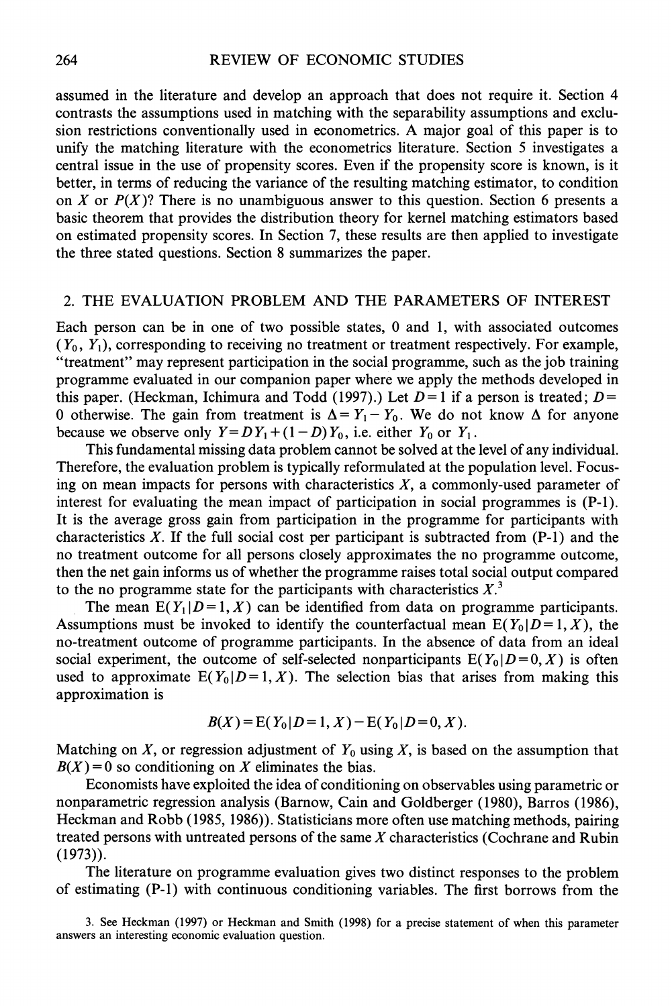assumed in the literature and develop an approach that does not require it. Section 4 contrasts the assumptions used in matching with the separability assumptions and exclusion restrictions conventionally used in econometrics. A major goal of this paper is to unify the matching literature with the econometrics literature. Section 5 investigates a central issue in the use of propensity scores. Even if the propensity score is known, is it better, in terms of reducing the variance of the resulting matching estimator, to condition on X or  $P(X)$ ? There is no unambiguous answer to this question. Section 6 presents a basic theorem that provides the distribution theory for kernel matching estimators based on estimated propensity scores. In Section 7, these results are then applied to investigate the three stated questions. Section 8 summarizes the paper.

#### 2. THE EVALUATION PROBLEM AND THE PARAMETERS OF INTEREST

Each person can be in one of two possible states, 0 and 1, with associated outcomes  $(Y_0, Y_1)$ , corresponding to receiving no treatment or treatment respectively. For example, "treatment" may represent participation in the social programme, such as the job training programme evaluated in our companion paper where we apply the methods developed in this paper. (Heckman, Ichimura and Todd (1997).) Let  $D=1$  if a person is treated;  $D=$ 0 otherwise. The gain from treatment is  $\Delta = Y_1 - Y_0$ . We do not know  $\Delta$  for anyone because we observe only  $Y = DY_1 + (1 - D)Y_0$ , i.e. either  $Y_0$  or  $Y_1$ .

This fundamental missing data problem cannot be solved at the level of any individual. Therefore, the evaluation problem is typically reformulated at the population level. Focusing on mean impacts for persons with characteristics  $X$ , a commonly-used parameter of interest for evaluating the mean impact of participation in social programmes is (P-1). It is the average gross gain from participation in the programme for participants with characteristics X. If the full social cost per participant is subtracted from  $(P-1)$  and the no treatment outcome for all persons closely approximates the no programme outcome, then the net gain informs us of whether the programme raises total social output compared to the no programme state for the participants with characteristics  $X<sup>3</sup>$ 

The mean  $E(Y_1|D=1, X)$  can be identified from data on programme participants. Assumptions must be invoked to identify the counterfactual mean  $E(Y_0|D=1, X)$ , the no-treatment outcome of programme participants. In the absence of data from an ideal social experiment, the outcome of self-selected nonparticipants  $E(Y_0|D=0, X)$  is often used to approximate  $E(Y_0|D=1, X)$ . The selection bias that arises from making this approximation is

$$
B(X) = E(Y_0|D=1, X) - E(Y_0|D=0, X).
$$

Matching on X, or regression adjustment of  $Y_0$  using X, is based on the assumption that  $B(X) = 0$  so conditioning on X eliminates the bias.

Economists have exploited the idea of conditioning on observables using parametric or nonparametric regression analysis (Barnow, Cain and Goldberger (1980), Barros (1986), Heckman and Robb (1985, 1986)). Statisticians more often use matching methods, pairing treated persons with untreated persons of the same  $X$  characteristics (Cochrane and Rubin (1973)).

The literature on programme evaluation gives two distinct responses to the problem of estimating (P-1) with continuous conditioning variables. The first borrows from the

3. See Heckman (1997) or Heckman and Smith (1998) for a precise statement of when this parameter answers an interesting economic evaluation question.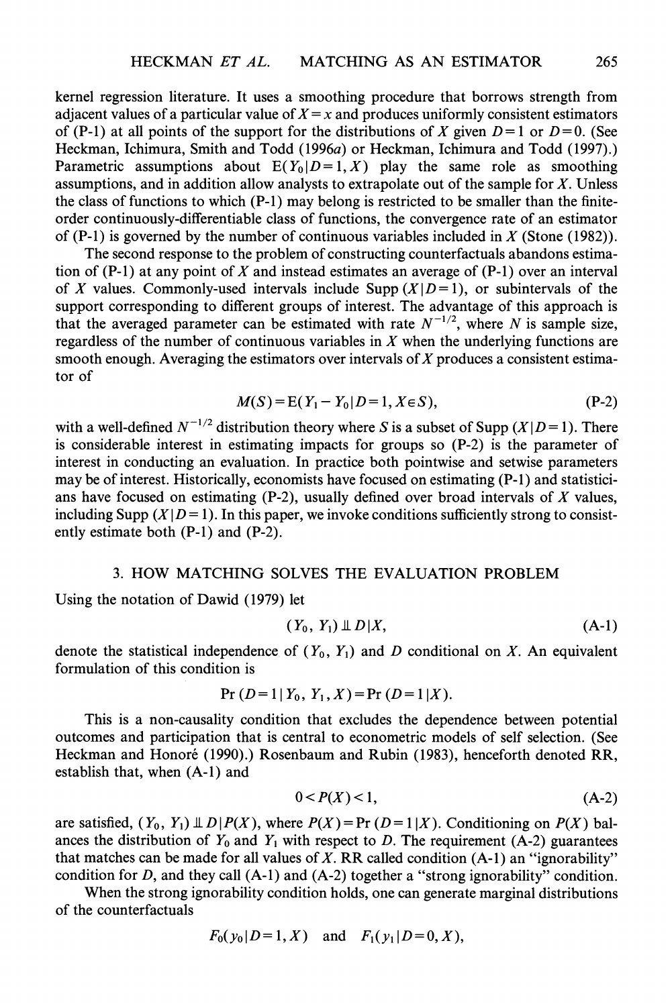kernel regression literature. It uses a smoothing procedure that borrows strength from adjacent values of a particular value of  $X = x$  and produces uniformly consistent estimators of (P-1) at all points of the support for the distributions of X given  $D=1$  or  $D=0$ . (See Heckman, Ichimura, Smith and Todd (1996a) or Heckman, Ichimura and Todd (1997).) Parametric assumptions about  $E(Y_0|D=1, X)$  play the same role as smoothing assumptions, and in addition allow analysts to extrapolate out of the sample for X. Unless the class of functions to which (P-1) may belong is restricted to be smaller than the finiteorder continuously-differentiable class of functions, the convergence rate of an estimator of  $(P-1)$  is governed by the number of continuous variables included in X (Stone (1982)).

The second response to the problem of constructing counterfactuals abandons estimation of  $(P-1)$  at any point of X and instead estimates an average of  $(P-1)$  over an interval of X values. Commonly-used intervals include Supp  $(X|D=1)$ , or subintervals of the support corresponding to different groups of interest. The advantage of this approach is that the averaged parameter can be estimated with rate  $N^{-1/2}$ , where N is sample size, regardless of the number of continuous variables in  $X$  when the underlying functions are smooth enough. Averaging the estimators over intervals of  $X$  produces a consistent estimator of

$$
M(S) = E(Y_1 - Y_0 | D = 1, X \in S),
$$
 (P-2)

with a well-defined  $N^{-1/2}$  distribution theory where *S* is a subset of Supp ( $X|D=1$ ). There is considerable interest in estimating impacts for groups so (P-2) is the parameter of interest in conducting an evaluation. In practice both pointwise and setwise parameters may be of interest. Historically, economists have focused on estimating (P-1) and statisticians have focused on estimating  $(P-2)$ , usually defined over broad intervals of X values, including Supp  $(X|D=1)$ . In this paper, we invoke conditions sufficiently strong to consistently estimate both (P-1) and (P-2).

#### **3.** HOW MATCHING SOLVES THE EVALUATION PROBLEM

Using the notation of Dawid (1979) let

$$
(Y_0, Y_1) \perp \!\!\!\perp D | X, \tag{A-1}
$$

denote the statistical independence of  $(Y_0, Y_1)$  and D conditional on X. An equivalent formulation of this condition is

$$
Pr (D=1 | Y_0, Y_1, X) = Pr (D=1 | X).
$$

This is a non-causality condition that excludes the dependence between potential outcomes and participation that is central to econometric models of self selection. (See Heckman and Honoré (1990).) Rosenbaum and Rubin (1983), henceforth denoted RR, establish that, when (A-1) and

$$
0 < P(X) < 1,\tag{A-2}
$$

are satisfied,  $(Y_0, Y_1) \perp D | P(X)$ , where  $P(X) = Pr (D = 1 | X)$ . Conditioning on  $P(X)$  balances the distribution of  $Y_0$  and  $Y_1$  with respect to D. The requirement (A-2) guarantees that matches can be made for all values of  $X$ . RR called condition  $(A-1)$  an "ignorability" condition for  $D$ , and they call  $(A-1)$  and  $(A-2)$  together a "strong ignorability" condition.

When the strong ignorability condition holds, one can generate marginal distributions of the counterfactuals

$$
F_0(y_0|D=1, X)
$$
 and  $F_1(y_1|D=0, X)$ ,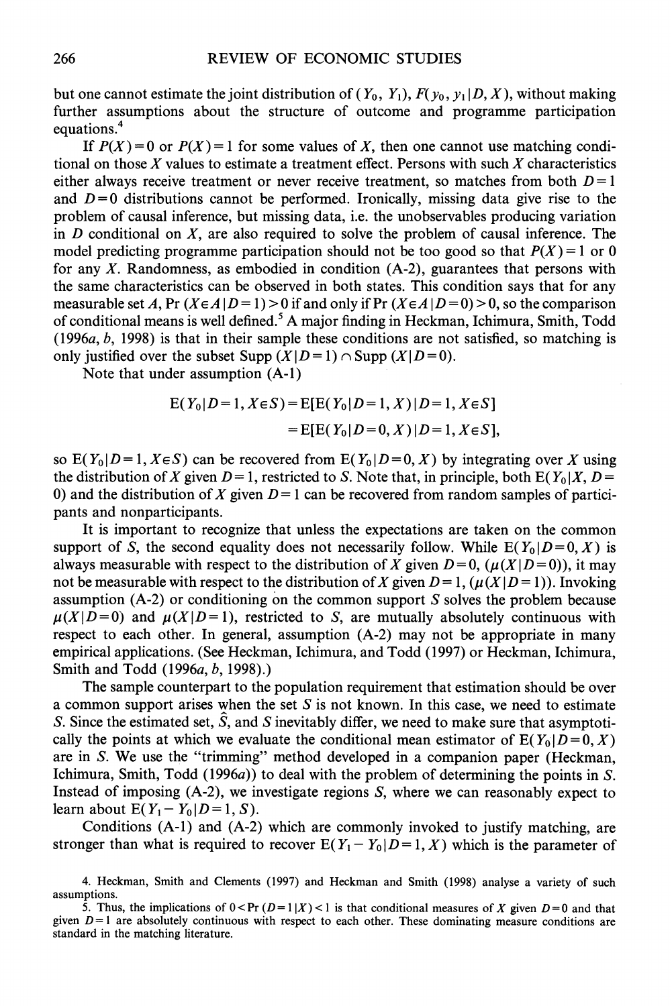but one cannot estimate the joint distribution of  $(Y_0, Y_1), F(y_0, y_1 | D, X)$ , without making further assumptions about the structure of outcome and programme participation equations.4

If  $P(X) = 0$  or  $P(X) = 1$  for some values of X, then one cannot use matching conditional on those X values to estimate a treatment effect. Persons with such X characteristics either always receive treatment or never receive treatment, so matches from both  $D=1$ and  $D=0$  distributions cannot be performed. Ironically, missing data give rise to the problem of causal inference, but missing data, i.e. the unobservables producing variation in  $D$  conditional on  $X$ , are also required to solve the problem of causal inference. The model predicting programme participation should not be too good so that  $P(X) = 1$  or 0 for any  $X$ . Randomness, as embodied in condition  $(A-2)$ , guarantees that persons with the same characteristics can be observed in both states. This condition says that for any measurable set *A*, Pr  $(X \in A | D = 1) > 0$  if and only if Pr  $(X \in A | D = 0) > 0$ , so the comparison of conditional means is well defined.' A major finding in Heckman, Ichimura, Smith, Todd  $(1996a, b, 1998)$  is that in their sample these conditions are not satisfied, so matching is only justified over the subset Supp  $(X|D=1) \cap$  Supp  $(X|D=0)$ .

Note that under assumption (A-1)

$$
E(Y_0|D=1, X \in S) = E[E(Y_0|D=1, X)|D=1, X \in S]
$$
  
= E[E(Y\_0|D=0, X)|D=1, X \in S],

so  $E(Y_0|D=1, X \in S)$  can be recovered from  $E(Y_0|D=0, X)$  by integrating over X using the distribution of X given  $D = 1$ , restricted to S. Note that, in principle, both E( $Y_0|X, D =$ 0) and the distribution of X given  $D = 1$  can be recovered from random samples of participants and nonparticipants.

It is important to recognize that unless the expectations are taken on the common support of S, the second equality does not necessarily follow. While  $E(Y_0|D=0, X)$  is always measurable with respect to the distribution of X given  $D=0$ ,  $(\mu(X|D=0))$ , it may not be measurable with respect to the distribution of X given  $D = 1$ ,  $(\mu(X|D=1))$ . Invoking assumption  $(A-2)$  or conditioning on the common support S solves the problem because  $\mu(X|D=0)$  and  $\mu(X|D=1)$ , restricted to S, are mutually absolutely continuous with respect to each other. In general, assumption (A-2) may not be appropriate in many empirical applications. (See Heckman, Ichimura, and Todd (1997) or Heckman, Ichimura, Smith and Todd (1996*a*, *b*, 1998).)

The sample counterpart to the population requirement that estimation should be over a common support arises when the set S is not known. In this case, we need to estimate S. Since the estimated set,  $\hat{S}$ , and S inevitably differ, we need to make sure that asymptotically the points at which we evaluate the conditional mean estimator of  $E(Y_0|D=0, X)$ are in S. We use the "trimming" method developed in a companion paper (Heckman, Ichimura, Smith, Todd (1996 $a$ ) to deal with the problem of determining the points in S. Instead of imposing (A-2), we investigate regions S, where we can reasonably expect to learn about  $E(Y_1 - Y_0 | D = 1, S)$ .

Conditions  $(A-1)$  and  $(A-2)$  which are commonly invoked to justify matching, are stronger than what is required to recover  $E(Y_1 - Y_0|D = 1, X)$  which is the parameter of

<sup>4.</sup> Heckman, Smith and Clements *(1997)* and Heckman and Smith *(1998)* analyse a variety of such assumptions.

<sup>5.</sup> Thus, the implications of  $0 < Pr$   $(D=1|X) < 1$  is that conditional measures of X given  $D=0$  and that given  $D=1$  are absolutely continuous with respect to each other. These dominating measure conditions are standard in the matching literature.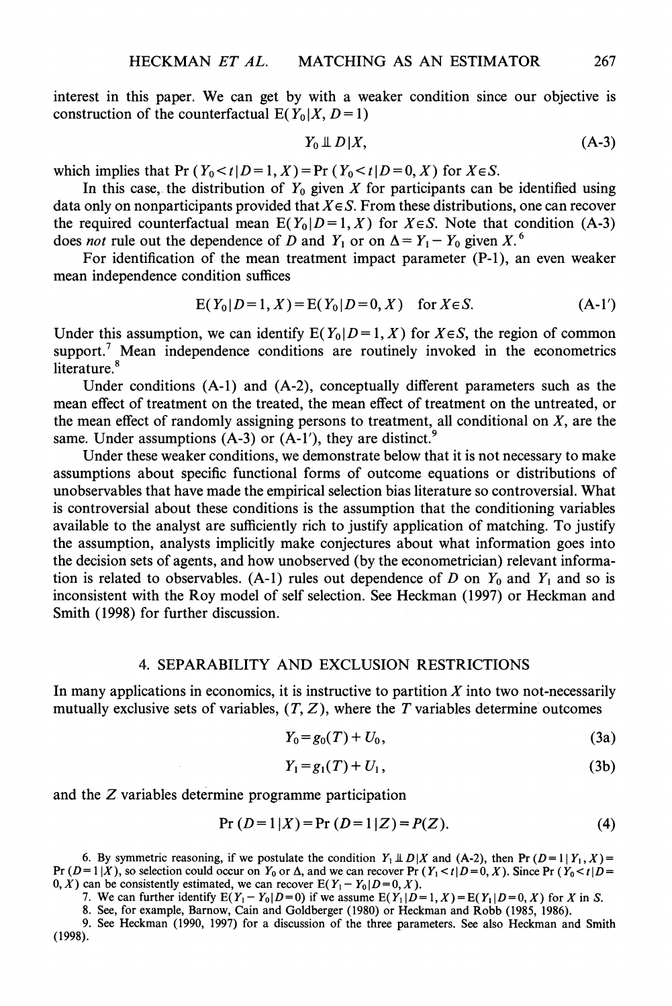interest in this paper. We can get by with a weaker condition since our objective is construction of the counterfactual  $E(Y_0|X, D=1)$ 

$$
Y_0 \perp\!\!\!\perp D|X,\tag{A-3}
$$

which implies that Pr  $(Y_0 \le t | D=1, X) = Pr(Y_0 \le t | D=0, X)$  for  $X \in S$ .

In this case, the distribution of  $Y_0$  given X for participants can be identified using data only on nonparticipants provided that  $X \in S$ . From these distributions, one can recover the required counterfactual mean  $E(Y_0|D=1, X)$  for  $X \in S$ . Note that condition (A-3) does *not* rule out the dependence of D and  $Y_1$  or on  $\Delta = Y_1 - Y_0$  given X.<sup>6</sup>

For identification of the mean treatment impact parameter (P-1), an even weaker mean independence condition suffices

$$
E(Y_0|D=1, X) = E(Y_0|D=0, X) \text{ for } X \in S. \tag{A-1'}
$$

Under this assumption, we can identify  $E(Y_0|D=1, X)$  for  $X \in S$ , the region of common support.<sup>7</sup> Mean independence conditions are routinely invoked in the econometrics literature.<sup>8</sup>

Under conditions  $(A-1)$  and  $(A-2)$ , conceptually different parameters such as the mean effect of treatment on the treated, the mean effect of treatment on the untreated, or the mean effect of randomly assigning persons to treatment, all conditional on  $X$ , are the same. Under assumptions  $(A-3)$  or  $(A-1')$ , they are distinct.<sup>9</sup>

Under these weaker conditions, we demonstrate below that it is not necessary to make assumptions about specific functional forms of outcome equations or distributions of unobservables that have made the empirical selection bias literature so controversial. What is controversial about these conditions is the assumption that the conditioning variables available to the analyst are sufficiently rich to justify application of matching. To justify the assumption, analysts implicitly make conjectures about what information goes into the decision sets of agents, and how unobserved (by the econometrician) relevant information is related to observables. (A-1) rules out dependence of D on  $Y_0$  and  $Y_1$  and so is inconsistent with the Roy model of self selection. See Heckman (1997) or Heckman and Smith (1998) for further discussion.

#### 4. SEPARABILITY AND EXCLUSION RESTRICTIONS

In many applications in economics, it is instructive to partition  $X$  into two not-necessarily mutually exclusive sets of variables,  $(T, Z)$ , where the T variables determine outcomes

$$
Y_0 = g_0(T) + U_0, \t\t(3a)
$$

$$
Y_1 = g_1(T) + U_1, \t\t(3b)
$$

and the Z variables determine programme participation

$$
Pr(D=1|X) = Pr(D=1|Z) = P(Z).
$$
 (4)

6. By symmetric reasoning, if we postulate the condition  $Y_1 \perp D | X$  and **(A-2)**, then Pr  $(D=1 | Y_1, X)$  =  $Pr (D=1|X)$ , so selection could occur on  $Y_0$  or  $\Delta$ , and we can recover  $Pr (Y_1 \le t | D=0, X)$ . Since  $Pr (Y_0 \le t | D=0, X)$ 0, *X*) can be consistently estimated, we can recover  $E(Y_1 - Y_0 | D = 0, X)$ .

7. We can further identify  $E(Y_1 - Y_0 | D = 0)$  if we assume  $E(Y_1 | D = 1, X) = E(Y_1 | D = 0, X)$  for *X* in *S*.

*8.* See, for example, Barnow, Cain and Goldberger *(1980)* or Heckman and Robb *(1985, 1986).* 

*9.* See Heckman *(1990, 1997)* for a discussion of the three parameters. See also Heckman and Smith *(1998).*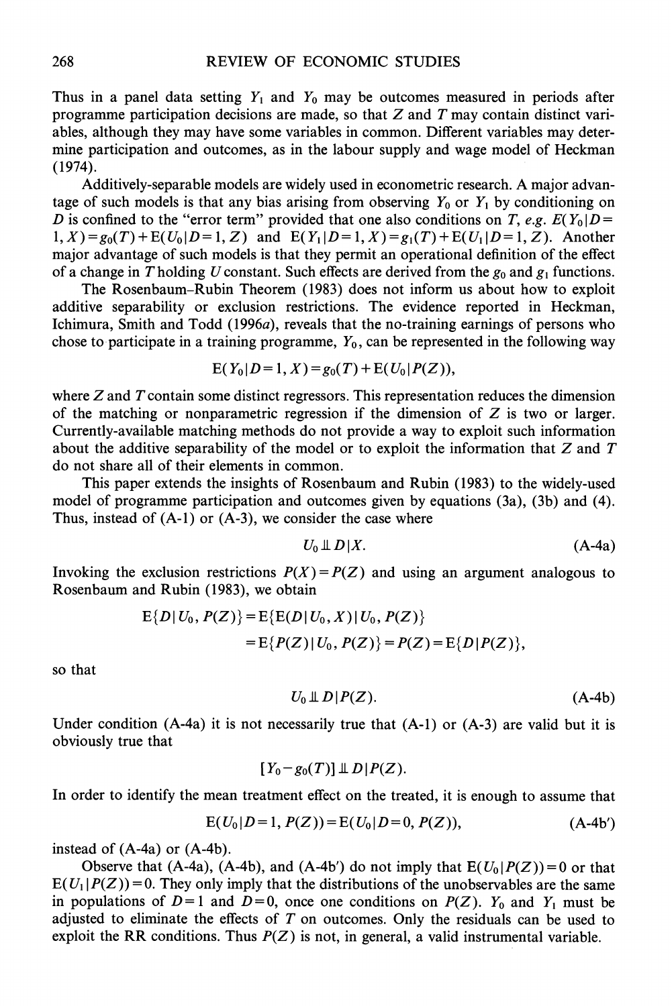Thus in a panel data setting  $Y_1$  and  $Y_0$  may be outcomes measured in periods after programme participation decisions are made, so that  $Z$  and  $T$  may contain distinct variables, although they may have some variables in common. Different variables may determine participation and outcomes, as in the labour supply and wage model of Heckman (1974).

Additively-separable models are widely used in econometric research. A major advantage of such models is that any bias arising from observing  $Y_0$  or  $Y_1$  by conditioning on D is confined to the "error term" provided that one also conditions on T, e.g.  $E(Y_0|D =$  $1, X$ ) =  $g_0(T)$  + E(U<sub>0</sub>|D = 1, Z) and E(Y<sub>1</sub>|D = 1, X) =  $g_1(T)$  + E(U<sub>1</sub>|D = 1, Z). Another major advantage of such models is that they permit an operational definition of the effect of a change in T holding U constant. Such effects are derived from the  $g_0$  and  $g_1$  functions.

The Rosenbaum-Rubin Theorem (1983) does not inform us about how to exploit additive separability or exclusion restrictions. The evidence reported in Heckman, Ichimura, Smith and Todd (1996a), reveals that the no-training earnings of persons who chose to participate in a training programme,  $Y_0$ , can be represented in the following way

$$
E(Y_0|D=1, X) = g_0(T) + E(U_0|P(Z)),
$$

where  $Z$  and  $T$  contain some distinct regressors. This representation reduces the dimension of the matching or nonparametric regression if the dimension of *Z* is two or larger. Currently-available matching methods do not provide a way to exploit such information about the additive separability of the model or to exploit the information that  $Z$  and  $T$ do not share all of their elements in common.

This paper extends the insights of Rosenbaum and Rubin (1983) to the widely-used model of programme participation and outcomes given by equations (3a), (3b) and (4). Thus, instead of  $(A-1)$  or  $(A-3)$ , we consider the case where

$$
U_0 \perp\!\!\!\perp D \mid X. \tag{A-4a}
$$

Invoking the exclusion restrictions  $P(X) = P(Z)$  and using an argument analogous to Rosenbaum and Rubin (1983), we obtain

$$
E\{D|U_0, P(Z)\} = E\{E(D|U_0, X)|U_0, P(Z)\}
$$
  
= 
$$
E\{P(Z)|U_0, P(Z)\} = P(Z) = E\{D|P(Z)\},
$$

so that

$$
U_0 \perp\!\!\!\perp D \mid P(Z). \tag{A-4b}
$$

Under condition  $(A-4a)$  it is not necessarily true that  $(A-1)$  or  $(A-3)$  are valid but it is obviously true that

$$
[Y_0 - g_0(T)] \perp\!\!\!\perp D | P(Z)|
$$

In order to identify the mean treatment effect on the treated, it is enough to assume that

$$
E(U_0|D=1, P(Z)) = E(U_0|D=0, P(Z)), \tag{A-4b'}
$$

instead of (A-4a) or (A-4b).

Observe that (A-4a), (A-4b), and (A-4b') do not imply that  $E(U_0|P(Z))=0$  or that  $E(U_1|P(Z)) = 0$ . They only imply that the distributions of the unobservables are the same in populations of  $D=1$  and  $D=0$ , once one conditions on  $P(Z)$ .  $Y_0$  and  $Y_1$  must be adjusted to eliminate the effects of  $T$  on outcomes. Only the residuals can be used to exploit the RR conditions. Thus  $P(Z)$  is not, in general, a valid instrumental variable.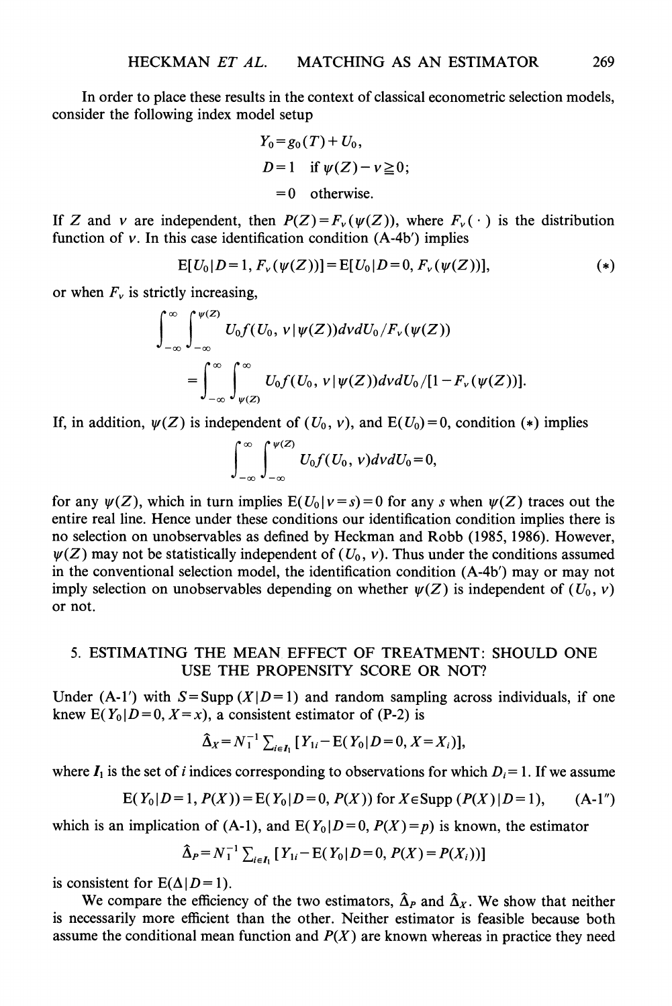In order to place these results in the context of classical econometric selection models, consider the following index model setup

$$
Y_0 = g_0(T) + U_0,
$$
  
\n
$$
D = 1 \text{ if } \psi(Z) - \psi \ge 0;
$$
  
\n
$$
= 0 \text{ otherwise.}
$$

If Z and v are independent, then  $P(Z) = F_v(\psi(Z))$ , where  $F_v(\cdot)$  is the distribution function of  $v$ . In this case identification condition  $(A-4b')$  implies

$$
E[U_0|D=1, F_v(\psi(Z))] = E[U_0|D=0, F_v(\psi(Z))],
$$
\n
$$
(*)
$$

or when  $F_v$  is strictly increasing,

$$
\int_{-\infty}^{\infty} \int_{-\infty}^{\psi(Z)} U_0 f(U_0, v | \psi(Z)) dv dU_0 / F_v(\psi(Z))
$$
  
= 
$$
\int_{-\infty}^{\infty} \int_{\psi(Z)}^{\infty} U_0 f(U_0, v | \psi(Z)) dv dU_0 / [1 - F_v(\psi(Z))]
$$

If, in addition,  $\psi(Z)$  is independent of  $(U_0, v)$ , and  $E(U_0) = 0$ , condition (\*) implies

$$
\int_{-\infty}^{\infty}\int_{-\infty}^{\psi(Z)}U_0f(U_0, v)dvdU_0=0,
$$

for any  $\psi(Z)$ , which in turn implies  $E(U_0 | v = s) = 0$  for any *s* when  $\psi(Z)$  traces out the entire real line. Hence under these conditions our identification condition implies there is no selection on unobservables as defined by Heckman and Robb (1985, 1986). However,  $\psi(Z)$  may not be statistically independent of  $(U_0, v)$ . Thus under the conditions assumed in the conventional selection model, the identification condition (A-4b') may or may not imply selection on unobservables depending on whether  $\psi(Z)$  is independent of  $(U_0, v)$ or not.

#### 5. ESTIMATING THE MEAN EFFECT OF TREATMENT: SHOULD ONE USE THE PROPENSITY SCORE OR NOT?

Under (A-1') with  $S = \text{Supp}(X|D=1)$  and random sampling across individuals, if one knew  $E(Y_0|D=0, X=x)$ , a consistent estimator of (P-2) is

$$
\hat{\Delta}_X = N_1^{-1} \sum_{i \in I_1} [Y_{1i} - E(Y_0 | D = 0, X = X_i)],
$$

where  $I_1$  is the set of i indices corresponding to observations for which  $D_i = 1$ . If we assume

$$
E(Y_0|D=1, P(X)) = E(Y_0|D=0, P(X))
$$
 for  $X \in \text{Supp}(P(X)|D=1)$ , (A-1")

which is an implication of (A-1), and  $E(Y_0|D=0, P(X)=p)$  is known, the estimator

$$
\hat{\Delta}_P = N_1^{-1} \sum_{i \in I_1} [Y_{1i} - E(Y_0 | D = 0, P(X) = P(X_i))]
$$

is consistent for  $E(\Delta | D = 1)$ .

We compare the efficiency of the two estimators,  $\hat{\Delta}_P$  and  $\hat{\Delta}_X$ . We show that neither is necessarily more efficient than the other. Neither estimator is feasible because both assume the conditional mean function and  $P(X)$  are known whereas in practice they need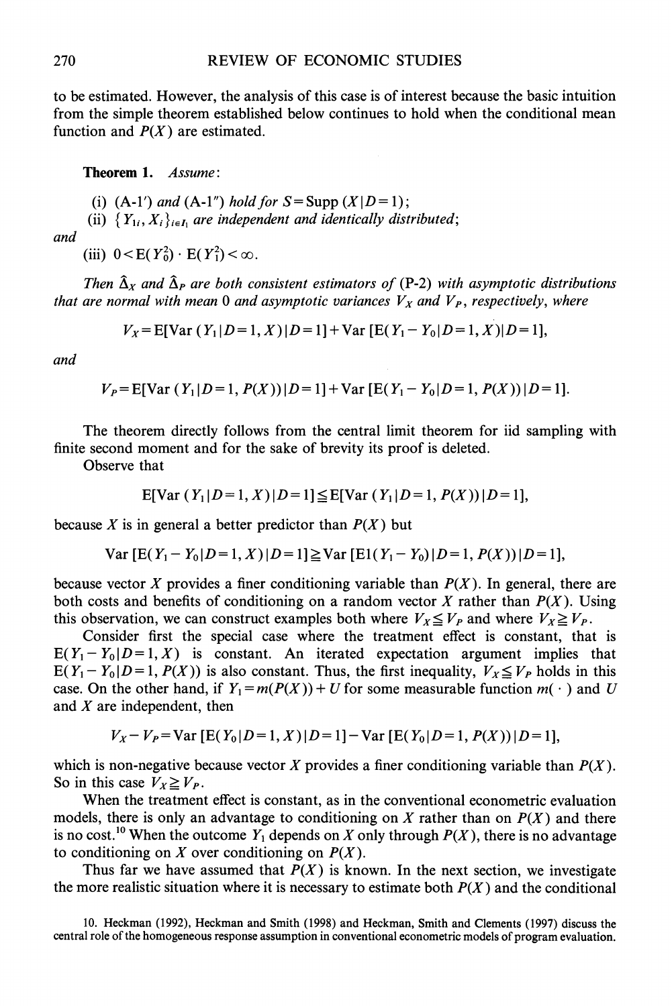to be estimated. However, the analysis of this case is of interest because the basic intuition from the simple theorem established below continues to hold when the conditional mean function and  $P(X)$  are estimated.

**Theorem 1.** *Assume:* 

(i)  $(A-1')$  *and*  $(A-1'')$  *hold for*  $S = \text{Supp}(X|D = 1)$ ;

(ii)  $\{Y_{1i}, X_i\}_{i \in I_1}$  are independent and identically distributed;

*and* 

(iii)  $0 \le E(Y_0^2) \cdot E(Y_1^2) \le \infty$ .

*Then*  $\hat{\Delta}_x$  *and*  $\hat{\Delta}_p$  *are both consistent estimators of* (P-2) *with asymptotic distributions that are normal with mean* 0 *and asymptotic variances*  $V_x$  *and*  $V_p$ , *respectively*, *where* 

$$
V_X = E[Var(Y_1|D=1, X)|D=1] + Var[E(Y_1 - Y_0|D=1, X)|D=1],
$$

*and* 

$$
V_P = E[Var (Y_1 | D=1, P(X)) | D=1] + Var [E(Y_1 - Y_0 | D=1, P(X)) | D=1].
$$

The theorem directly follows from the central limit theorem for iid sampling with finite second moment and for the sake of brevity its proof is deleted.

Observe that

$$
E[Var (Y_1|D=1, X)|D=1] \leq E[Var (Y_1|D=1, P(X))|D=1],
$$

because X is in general a better predictor than  $P(X)$  but

$$
\text{Var}\left[\text{E}(Y_1 - Y_0|D=1, X)\,|D=1\right] \geq \text{Var}\left[\text{E1}(Y_1 - Y_0)\,|D=1, P(X)\right)|D=1\right],
$$

because vector X provides a finer conditioning variable than  $P(X)$ . In general, there are both costs and benefits of conditioning on a random vector X rather than  $P(X)$ . Using this observation, we can construct examples both where  $V_x \leq V_p$  and where  $V_x \geq V_p$ .

Consider first the special case where the treatment effect is constant, that is  $E(Y_1 - Y_0 | D = 1, X)$  is constant. An iterated expectation argument implies that  $E(Y_1 - Y_0 | D = 1, P(X))$  is also constant. Thus, the first inequality,  $V_X \leq V_P$  holds in this case. On the other hand, if  $Y_1 = m(P(X)) + U$  for some measurable function  $m(\cdot)$  and U and  $X$  are independent, then

$$
V_X - V_P = \text{Var} [E(Y_0|D=1, X)|D=1] - \text{Var} [E(Y_0|D=1, P(X))|D=1],
$$

which is non-negative because vector X provides a finer conditioning variable than  $P(X)$ . So in this case  $V_x \geq V_p$ .

When the treatment effect is constant, as in the conventional econometric evaluation models, there is only an advantage to conditioning on X rather than on  $P(X)$  and there is no cost.<sup>10</sup> When the outcome  $Y_1$  depends on X only through  $P(X)$ , there is no advantage to conditioning on X over conditioning on  $P(X)$ .

Thus far we have assumed that  $P(X)$  is known. In the next section, we investigate the more realistic situation where it is necessary to estimate both  $P(X)$  and the conditional

10. Heckman (1992), Heckman and Smith (1998) and Heckman, Smith and Clements (1997) discuss the central role of the homogeneous response assumption in conventional econometric models of program evaluation.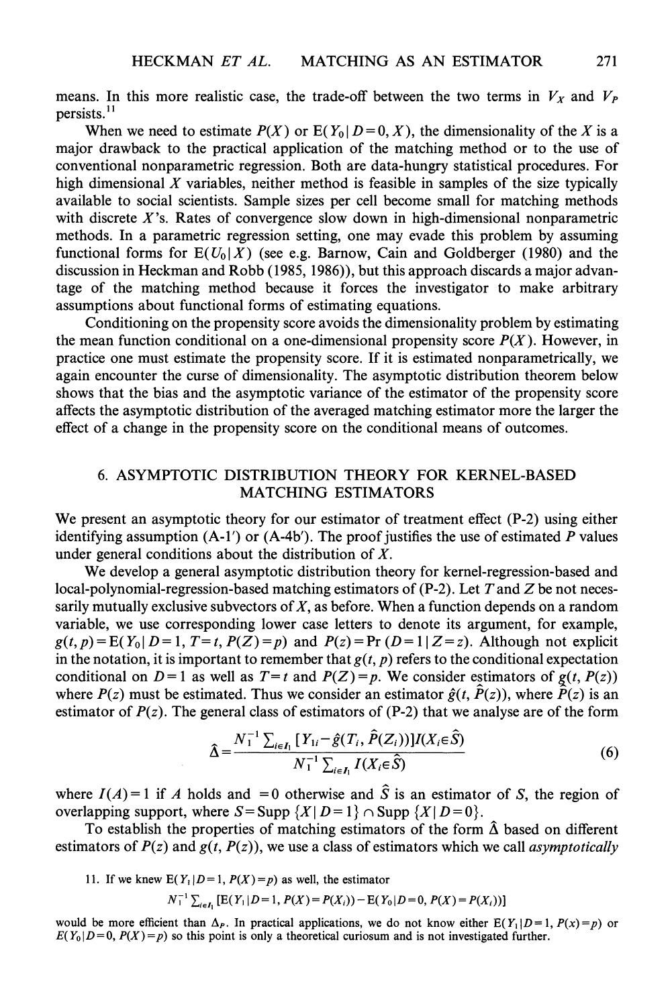means. In this more realistic case, the trade-off between the two terms in  $V_x$  and  $V_p$ persists.<sup>11</sup>

When we need to estimate  $P(X)$  or  $E(Y_0 | D=0, X)$ , the dimensionality of the X is a major drawback to the practical application of the matching method or to the use of conventional nonparametric regression. Both are data-hungry statistical procedures. For high dimensional  $X$  variables, neither method is feasible in samples of the size typically available to social scientists. Sample sizes per cell become small for matching methods with discrete  $X$ 's. Rates of convergence slow down in high-dimensional nonparametric methods. In a parametric regression setting, one may evade this problem by assuming functional forms for  $E(U_0|X)$  (see e.g. Barnow, Cain and Goldberger (1980) and the discussion in Heckman and Robb (1985, 1986)), but this approach discards a major advantage of the matching method because it forces the investigator to make arbitrary assumptions about functional forms of estimating equations.

Conditioning on the propensity score avoids the dimensionality problem by estimating the mean function conditional on a one-dimensional propensity score  $P(X)$ . However, in practice one must estimate the propensity score. If it is estimated nonparametrically, we again encounter the curse of dimensionality. The asymptotic distribution theorem below shows that the bias and the asymptotic variance of the estimator of the propensity score affects the asymptotic distribution of the averaged matching estimator more the larger the effect of a change in the propensity score on the conditional means of outcomes.

#### 6. ASYMPTOTIC DISTRIBUTION THEORY FOR KERNEL-BASED MATCHING ESTIMATORS

We present an asymptotic theory for our estimator of treatment effect (P-2) using either identifying assumption  $(A-1')$  or  $(A-4b')$ . The proof justifies the use of estimated P values under general conditions about the distribution of X.

We develop a general asymptotic distribution theory for kernel-regression-based and local-polynomial-regression-based matching estimators of  $(P-2)$ . Let T and Z be not necessarily mutually exclusive subvectors of  $X$ , as before. When a function depends on a random variable, we use corresponding lower case letters to denote its argument, for example,  $g(t, p) = E(Y_0 | D=1, T=t, P(Z)=p)$  and  $P(z) = Pr(D=1 | Z=z)$ . Although not explicit in the notation, it is important to remember that  $g(t, p)$  refers to the conditional expectation conditional on  $D = 1$  as well as  $T = t$  and  $P(Z) = p$ . We consider estimators of  $g(t, P(z))$ where  $P(z)$  must be estimated. Thus we consider an estimator  $\hat{g}(t, P(z))$ , where  $P(z)$  is an estimator of  $P(z)$ . The general class of estimators of  $(P-2)$  that we analyse are of the form

$$
\hat{\Delta} = \frac{N_1^{-1} \sum_{i \in I_1} [Y_{1i} - \hat{g}(T_i, P(Z_i))]I(X_i \in S)}{N_1^{-1} \sum_{i \in I_1} I(X_i \in \hat{S})}
$$
(6)

where  $I(A) = 1$  if A holds and  $= 0$  otherwise and  $\hat{S}$  is an estimator of S, the region of overlapping support, where  $S = \text{Supp } \{X | D = 1\} \cap \text{Supp } \{X | D = 0\}.$ 

To establish the properties of matching estimators of the form  $\hat{\Delta}$  based on different estimators of  $P(z)$  and  $g(t, P(z))$ , we use a class of estimators which we call asymptotically

11. If we knew  $E(Y_1|D=1, P(X)=p)$  as well, the estimator

$$
N_1^{-1} \sum_{i \in I_1} \left[ E(Y_1 | D = 1, P(X) = P(X_i)) - E(Y_0 | D = 0, P(X) = P(X_i)) \right]
$$

would be more efficient than  $\Delta_P$ . In practical applications, we do not know either  $E(Y_1|D=1, P(x)=p)$  or  $E(Y_0|D=0, P(X)=p)$  so this point is only a theoretical curiosum and is not investigated further.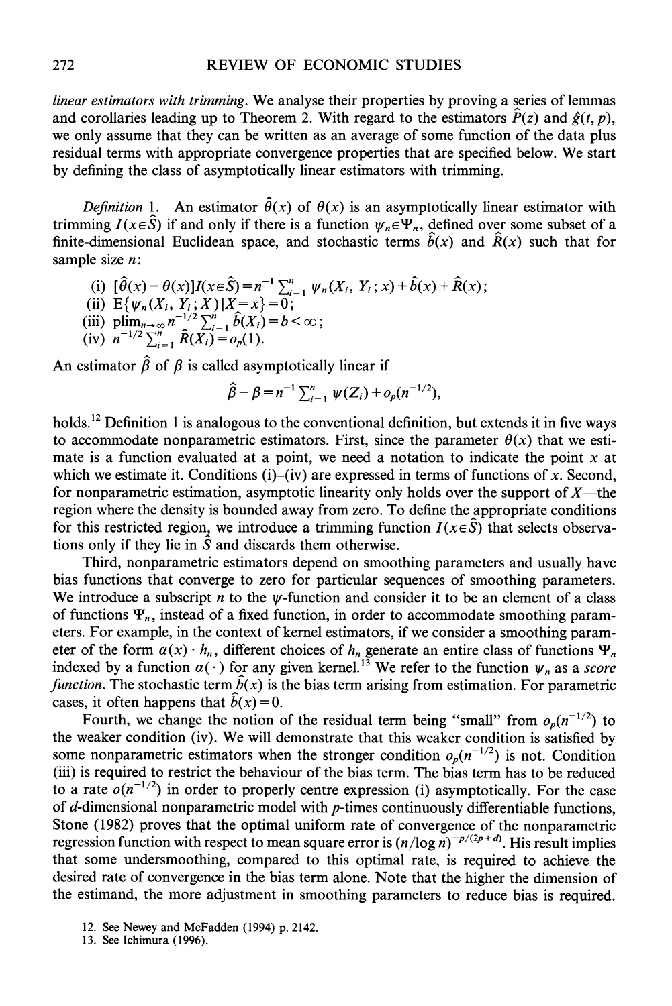linear estimators with trimming. We analyse their properties by proving a series of lemmas and corollaries leading up to Theorem 2. With regard to the estimators  $\hat{P}(z)$  and  $\hat{g}(t, p)$ , we only assume that they can be written as an average of some function of the data plus residual terms with appropriate convergence properties that are specified below. We start by defining the class of asymptotically linear estimators with trimming.

Definition 1. An estimator  $\hat{\theta}(x)$  of  $\theta(x)$  is an asymptotically linear estimator with trimming  $I(x \in \hat{S})$  if and only if there is a function  $\psi_n \in \Psi_n$ , defined over some subset of a finite-dimensional Euclidean space, and stochastic terms  $\hat{b}(x)$  and  $\hat{R}(x)$  such that for sample size  $n$ :

(i)  $[\hat{\theta}(x)-\theta(x)]I(x\in\hat{S})=n^{-1}\sum_{i=1}^{n}\psi_{n}(X_{i}, Y_{i};x)+\hat{b}(x)+\hat{R}(x);$ 

(ii) 
$$
E{\psi_n(X_i, Y_i; X)|X=x}=0;
$$

(iii)  $\lim_{n\to\infty} n^{-1/2} \sum_{i=1}^n \hat{b}(X_i) = b < \infty$ ;

(iv) 
$$
n^{-1/2} \sum_{i=1}^{n} \hat{R}(X_i) = o_p(1)
$$
.

An estimator  $\hat{\beta}$  of  $\beta$  is called asymptotically linear if

$$
\hat{\beta} - \beta = n^{-1} \sum_{i=1}^{n} \psi(Z_i) + o_p(n^{-1/2}),
$$

holds.<sup>12</sup> Definition 1 is analogous to the conventional definition, but extends it in five ways to accommodate nonparametric estimators. First, since the parameter  $\theta(x)$  that we estimate is a function evaluated at a point, we need a notation to indicate the point  $x$  at which we estimate it. Conditions (i)–(iv) are expressed in terms of functions of x. Second, for nonparametric estimation, asymptotic linearity only holds over the support of  $X$ —the region where the density is bounded away from zero. To define the appropriate conditions for this restricted region, we introduce a trimming function  $I(x \in \hat{S})$  that selects observations only if they lie in  $\hat{S}$  and discards them otherwise.

Third, nonparametric estimators depend on smoothing parameters and usually have bias functions that converge to zero for particular sequences of smoothing parameters. We introduce a subscript *n* to the  $\psi$ -function and consider it to be an element of a class of functions  $\Psi_n$ , instead of a fixed function, in order to accommodate smoothing parameters. For example, in the context of kernel estimators, if we consider a smoothing parameter of the form  $\alpha(x) \cdot h_n$ , different choices of  $h_n$  generate an entire class of functions  $\Psi_n$ indexed by a function  $\alpha(\cdot)$  for any given kernel.<sup>13</sup> We refer to the function  $\psi_n$  as a score function. The stochastic term  $\hat{b}(x)$  is the bias term arising from estimation. For parametric cases, it often happens that  $\hat{b}(x) = 0$ .

Fourth, we change the notion of the residual term being "small" from  $o_p(n^{-1/2})$  to the weaker condition (iv). We will demonstrate that this weaker condition is satisfied by some nonparametric estimators when the stronger condition  $o_p(n^{-1/2})$  is not. Condition (iii) is required to restrict the behaviour of the bias term. The bias term has to be reduced to a rate  $o(n^{-1/2})$  in order to properly centre expression (i) asymptotically. For the case of  $d$ -dimensional nonparametric model with  $p$ -times continuously differentiable functions, Stone (1982) proves that the optimal uniform rate of convergence of the nonparametric regression function with respect to mean square error is  $(n/\log n)^{-p/(2p+d)}$ . His result implies that some undersmoothing, compared to this optimal rate, is required to achieve the desired rate of convergence in the bias term alone. Note that the higher the dimension of the estimand, the more adjustment in smoothing parameters to reduce bias is required.

**<sup>12.</sup> See Newey and McFadden (1994) p. 2142.** 

**<sup>13.</sup> See Ichimura (1996).**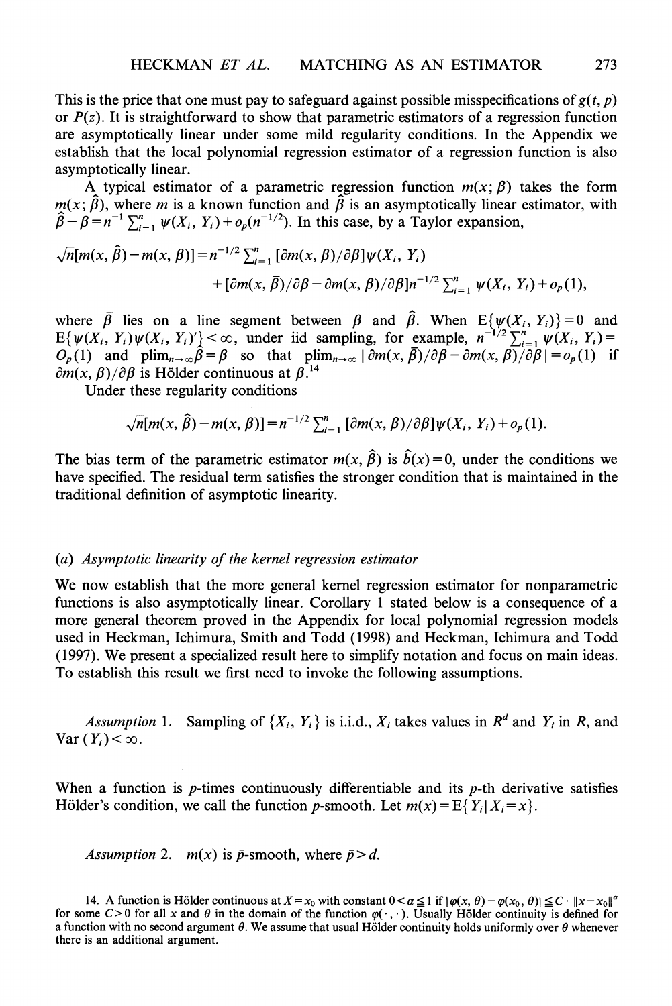This is the price that one must pay to safeguard against possible misspecifications of  $g(t, p)$ or  $P(z)$ . It is straightforward to show that parametric estimators of a regression function are asymptotically linear under some mild regularity conditions. In the Appendix we establish that the local polynomial regression estimator of a regression function is also asymptotically linear.

A typical estimator of a parametric regression function  $m(x; \beta)$  takes the form  $m(x; \hat{\beta})$ , where m is a known function and  $\hat{\beta}$  is an asymptotically linear estimator, with  $\hat{\beta} - \beta = n^{-1} \sum_{i=1}^{n} \psi(X_i, Y_i) + o_p(n^{-1/2})$ . In this case, by a Taylor expansion,

$$
\sqrt{n}[m(x,\hat{\beta})-m(x,\beta)] = n^{-1/2} \sum_{i=1}^{n} [\partial m(x,\beta)/\partial \beta] \psi(X_i, Y_i)
$$
  
+ 
$$
[\partial m(x,\bar{\beta})/\partial \beta - \partial m(x,\beta)/\partial \beta] n^{-1/2} \sum_{i=1}^{n} \psi(X_i, Y_i) + o_p(1),
$$

where  $\bar{\beta}$  lies on a line segment between  $\beta$  and  $\hat{\beta}$ . When  $E\{\psi(X_i, Y_i)\}=0$  and where  $\bar{\beta}$  lies on a line segment between  $\beta$  and  $\beta$ . When  $E\{\psi(X_i, Y_i)\}=0$  and  $E\{\psi(X_i, Y_i)\psi(X_i, Y_i)'\}<\infty$ , under iid sampling, for example,  $n^{-1/2}\sum_{i=1}^n \psi(X_i, Y_i)=$  $\mathcal{O}_p(1)$  and  $\text{plim}_{n\to\infty}\hat{\beta} = \beta$  so that  $\text{plim}_{n\to\infty} |\partial m(x, \bar{\beta})/\partial \beta - \partial m(x, \beta)/\partial \beta| = o_p(1)$  if  $\partial m(x, \beta) / \partial \beta$  is Hölder continuous at  $\beta$ .<sup>14</sup>

Under these regularity conditions

$$
\sqrt{n}[m(x,\hat{\beta})-m(x,\beta)]=n^{-1/2}\sum_{i=1}^n\left[\partial m(x,\beta)/\partial\beta\right]\psi(X_i,Y_i)+o_p(1).
$$

The bias term of the parametric estimator  $m(x, \hat{\beta})$  is  $\hat{b}(x) = 0$ , under the conditions we have specified. The residual term satisfies the stronger condition that is maintained in the traditional definition of asymptotic linearity.

#### (a) Asymptotic linearity of the kernel regression estimator

We now establish that the more general kernel regression estimator for nonparametric functions is also asymptotically linear. Corollary 1 stated below is a consequence of a more general theorem proved in the Appendix for local polynomial regression models used in Heckman, Ichimura, Smith and Todd (1998) and Heckman, Ichimura and Todd (1997). We present a specialized result here to simplify notation and focus on main ideas. To establish this result we first need to invoke the following assumptions.

Assumption 1. Sampling of  $\{X_i, Y_i\}$  is i.i.d.,  $X_i$  takes values in  $\mathbb{R}^d$  and  $Y_i$  in  $\mathbb{R}$ , and  $Var(Y_i) < \infty$ .

When a function is  $p$ -times continuously differentiable and its  $p$ -th derivative satisfies Hölder's condition, we call the function p-smooth. Let  $m(x) = E{Y_i | X_i = x}$ .

Assumption 2.  $m(x)$  is  $\bar{p}$ -smooth, where  $\bar{p} > d$ .

<sup>14.</sup> A function is Hölder continuous at  $X = x_0$  with constant  $0 < \alpha \le 1$  if  $|\varphi(x, \theta) - \varphi(x_0, \theta)| \le C \cdot ||x - x_0||^{\alpha}$ for some  $C>0$  for all x and  $\theta$  in the domain of the function  $\varphi(\cdot, \cdot)$ . Usually Hölder continuity is defined for a function with no second argument  $\theta$ . We assume that usual Hölder continuity holds uniformly over  $\theta$  whenever there is an additional argument.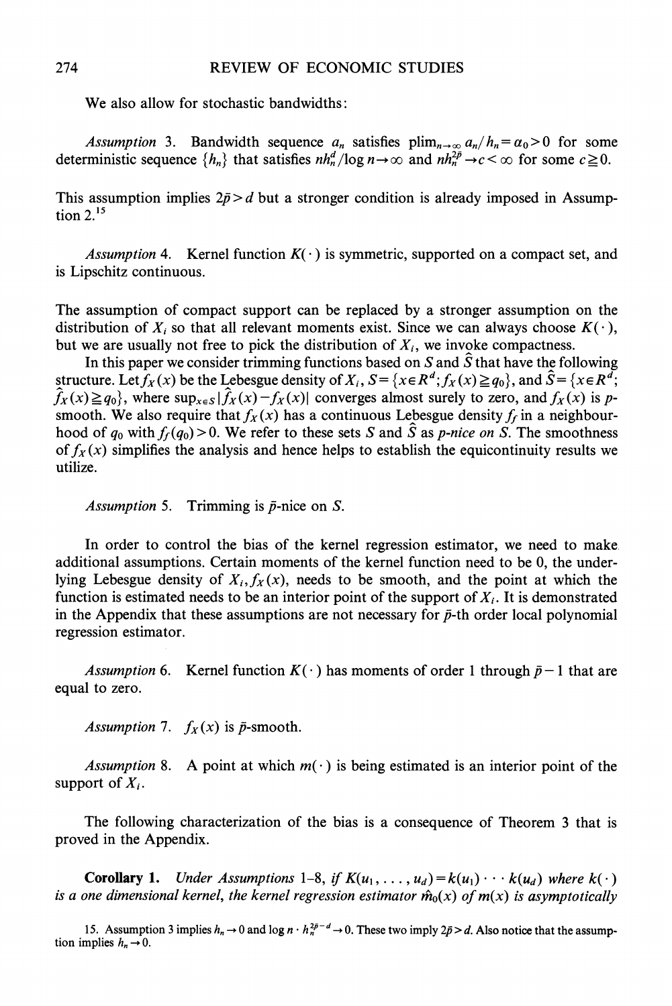We also allow for stochastic bandwidths:

*Assumption* 3. Bandwidth sequence  $a_n$  satisfies  $\text{plim}_{n\to\infty} a_n/h_n = a_0 > 0$  for some deterministic sequence  $\{h_n\}$  that satisfies  $nh_n^d / \log n \to \infty$  and  $nh_n^{2\bar{p}} \to c < \infty$  for some  $c \ge 0$ .

This assumption implies  $2\bar{p} > d$  but a stronger condition is already imposed in Assumption **2.15** 

*Assumption* 4. Kernel function  $K(\cdot)$  is symmetric, supported on a compact set, and is Lipschitz continuous.

The assumption of compact support can be replaced by a stronger assumption on the distribution of  $X_i$  so that all relevant moments exist. Since we can always choose  $K(\cdot)$ , but we are usually not free to pick the distribution of  $X_i$ , we invoke compactness.

In this paper we consider trimming functions based on S and  $\hat{S}$  that have the following structure. Let  $f_X(x)$  be the Lebesgue density of  $X_i$ ,  $S = \{x \in R^d; f_X(x) \geq q_0\}$ , and  $\hat{S} = \{x \in R^d; g_X(x) \geq q_0\}$  $\hat{f}_X(x) \geq q_0$ , where  $\sup_{x \in S} |\hat{f}_X(x) - f_X(x)|$  converges almost surely to zero, and  $f_X(x)$  is *p*smooth. We also require that  $f_X(x)$  has a continuous Lebesgue density  $f_f$  in a neighbourhood of  $q_0$  with  $f_f(q_0) > 0$ . We refer to these sets S and  $\hat{S}$  as *p-nice on S*. The smoothness of  $f_X(x)$  simplifies the analysis and hence helps to establish the equicontinuity results we utilize.

*Assumption 5.* Trimming is  $\bar{p}$ -nice on S.

In order to control the bias of the kernel regression estimator, we need to make additional assumptions. Certain moments of the kernel function need to be 0, the underlying Lebesgue density of  $X_i, f_X(x)$ , needs to be smooth, and the point at which the function is estimated needs to be an interior point of the support of  $X_i$ . It is demonstrated in the Appendix that these assumptions are not necessary for  $\bar{p}$ -th order local polynomial regression estimator.

*Assumption* 6. Kernel function  $K(\cdot)$  has moments of order 1 through  $\bar{p}-1$  that are equal to zero.

*Assumption 7.*  $f_X(x)$  is  $\bar{p}$ -smooth.

*Assumption 8.* A point at which  $m(\cdot)$  is being estimated is an interior point of the support of  $X_i$ .

The following characterization of the bias is a consequence of Theorem **3** that is proved in the Appendix.

**Corollary 1.** *Under Assumptions* 1–8, *if*  $K(u_1, \ldots, u_d) = k(u_1) \cdots k(u_d)$  where  $k(\cdot)$ *is a one dimensional kernel, the kernel regression estimator*  $\hat{m}_0(x)$  *of m(x) is asymptotically* 

15. Assumption 3 implies  $h_n \to 0$  and  $\log n \cdot h_n^{2\beta-d} \to 0$ . These two imply  $2\bar{p} > d$ . Also notice that the assumption implies  $h_n \rightarrow 0$ .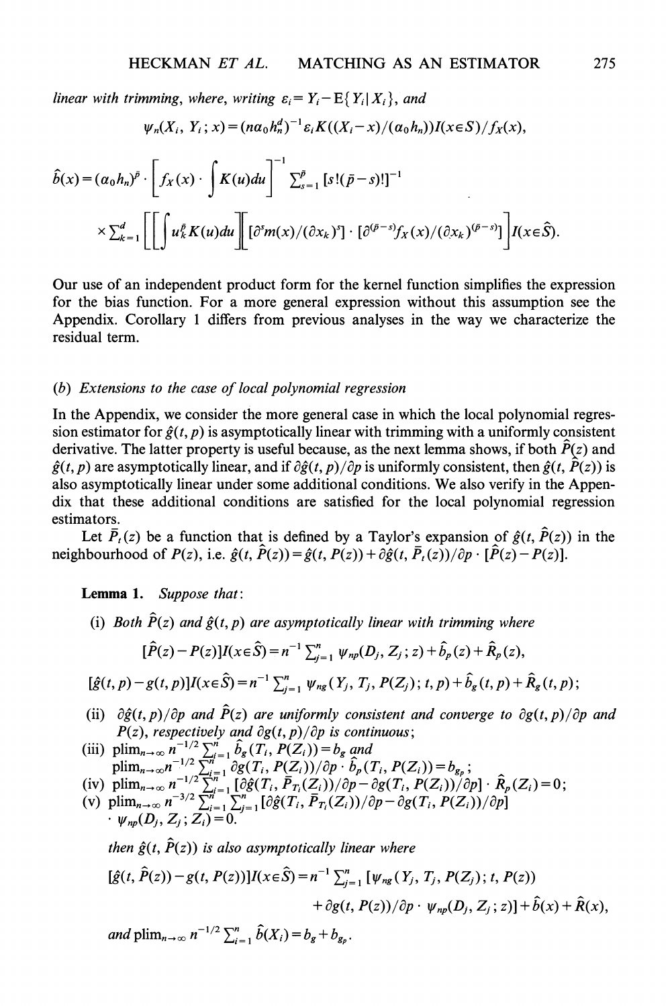linear with trimming, where, writing  $\varepsilon_i = Y_i - E(Y_i | X_i)$ , and

$$
\psi_n(X_i, Y_i; x) = (n\alpha_0 h_n^d)^{-1} \varepsilon_i K((X_i - x)/(a_0 h_n)) I(x \in S) / f_X(x),
$$

$$
\hat{b}(x) = (\alpha_0 h_n)^{\tilde{p}} \cdot \left[ f_X(x) \cdot \int K(u) du \right]^{-1} \sum_{s=1}^{\tilde{p}} \left[ s! (\tilde{p} - s)! \right]^{-1}
$$
  
 
$$
\times \sum_{k=1}^d \left[ \left[ \int u_k^{\tilde{p}} K(u) du \right] \left[ \left[ \frac{\partial^s m(x)}{\partial x_k} \right]^s \right] \cdot \left[ \frac{\partial^{(\tilde{p}-s)} f_X(x)}{\partial x_k} \right] \left[ \frac{\partial^{(\tilde{p}-s)} f_X(x)}{\partial x_k} \right] I(x \in \hat{S}).
$$

Our use of an independent product form for the kernel function simplifies the expression for the bias function. For a more general expression without this assumption see the Appendix. Corollary 1 differs from previous analyses in the way we characterize the residual term.

#### (b) Extensions to the case of local polynomial regression

In the Appendix, we consider the more general case in which the local polynomial regression estimator for  $\hat{g}(t, p)$  is asymptotically linear with trimming with a uniformly consistent derivative. The latter property is useful because, as the next lemma shows, if both  $P(z)$  and  $\hat{g}(t, p)$  are asymptotically linear, and if  $\partial \hat{g}(t, p)/\partial p$  is uniformly consistent, then  $\hat{g}(t, P(z))$  is also asymptotically linear under some additional conditions. We also verify in the Appendix that these additional conditions are satisfied for the local polynomial regression estimators.

Let  $\bar{P}_t(z)$  be a function that is defined by a Taylor's expansion of  $\hat{g}(t, \hat{P}(z))$  in the neighbourhood of  $P(z)$ , i.e.  $\hat{g}(t, \hat{P}(z)) = \hat{g}(t, P(z)) + \partial \hat{g}(t, \overline{P}_t(z))/\partial p \cdot [\hat{P}(z) - P(z)].$ 

Lemma 1. Suppose that:

(i) Both  $\hat{P}(z)$  and  $\hat{g}(t, p)$  are asymptotically linear with trimming where

$$
[\hat{P}(z) - P(z)]I(x \in \hat{S}) = n^{-1} \sum_{i=1}^{n} \psi_{np}(D_i, Z_i; z) + \hat{b}_p(z) + \hat{R}_p(z),
$$

$$
[\hat{g}(t,p)-g(t,p)]I(x\in \hat{S})=n^{-1}\sum_{j=1}^{n}\psi_{ng}(Y_j, T_j, P(Z_j); t, p)+\hat{b}_g(t,p)+\hat{R}_g(t,p);
$$

- (ii)  $\partial \hat{g}(t, p)/\partial p$  and  $\hat{P}(z)$  are uniformly consistent and converge to  $\partial g(t, p)/\partial p$  and  $P(z)$ , respectively and  $\partial g(t, p)/\partial p$  is continuous;  $P(z)$ , respectively and  $\partial g(t, p)/\partial p$  is continuous; (ii)  $\partial \hat{g}(t, p)/\partial p$  and  $\hat{P}(z)$  are uniformly consis<br>  $P(z)$ , respectively and  $\partial g(t, p)/\partial p$  is contin<br>
(iii)  $\lim_{n\to\infty} n^{-1/2} \sum_{i=1}^{n} \hat{b}_g(T_i, P(Z_i)) = b_g$  and<br>  $\lim_{n\to\infty} n^{-1/2} \sum_{i=1}^{n} \partial g(T_i, P(Z_i)) / \partial n \cdot \hat{h}$  (T
- (iii)  $\lim_{n\to\infty} n^{-1/2} \sum_{i=1}^{n} b_g(T_i, P(Z_i)) = b_g$  and<br>  $\lim_{n\to\infty} n^{-1/2} \sum_{i=1}^{n} \partial g(T_i, P(Z_i))/\partial p \cdot \hat{b}_p(T_i, P(Z_i)) = b_g$ ;<br>
(iv)  $\lim_{n\to\infty} n^{-1/2} \sum_{i=1}^{n} [\partial_g^2(T_i, \bar{P}_{T_i}(Z_i))/\partial p \partial_g(T_i, P(Z_i))/\partial p] \cdot \hat{R}_p(Z_i) = 0$ ;
- 
- $\begin{array}{lll} \text{(iv)} \ \ \text{plim}_{n\rightarrow \infty} \, n^{-1/2} \sum_{i=1}^n \big[ \partial \hat{g}(T_i, \bar{P}_{T_i}(Z_i))/\partial p \partial g(T_i, P(Z_i))/\partial p \big] \cdot R_p(Z_i) \ \text{(v)} \ \ \text{plim}_{n\rightarrow \infty} \, n^{-3/2} \sum_{i=1}^n \sum_{j=1}^n \big[ \partial \hat{g}(T_i, \bar{P}_{T_i}(Z_i))/\partial p \partial g(T_i, P(Z_i))/\partial p \big] \ \cdot \psi_{np}(D_j, Z_j; Z_i) = 0. \end{array}$

then  $\hat{g}(t, \hat{P}(z))$  is also asymptotically linear where

$$
\begin{aligned} [\hat{g}(t,\hat{P}(z))-g(t,P(z))]J(x\in\hat{S})&=n^{-1}\sum_{j=1}^{n}\left[\psi_{ng}\left(Y_{j},T_{j},P(Z_{j})\right);t,P(z)\right) \\ &+\partial g(t,P(z))/\partial p\cdot\psi_{np}(D_{j},Z_{j};z)]+\hat{b}(x)+\hat{R}(x),\end{aligned}
$$

and  $\lim_{n\to\infty} n^{-1/2} \sum_{i=1}^{n} \hat{b}(X_i) = b_g + b_{g_p}$ .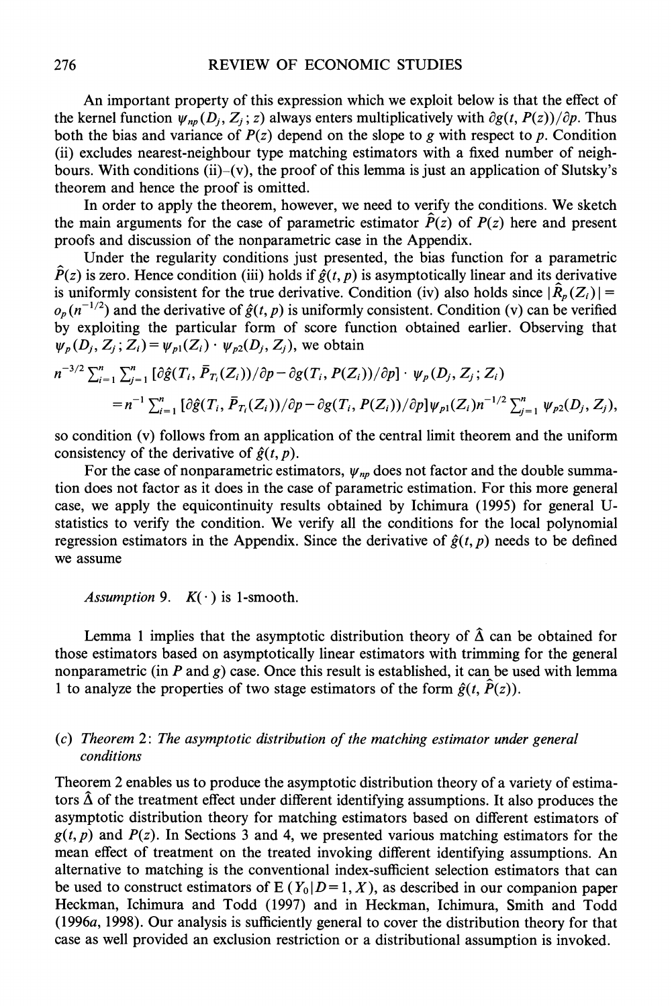An important property of this expression which we exploit below is that the effect of the kernel function  $\psi_{np}(D_i, Z_i; z)$  always enters multiplicatively with  $\partial g(t, P(z))/\partial p$ . Thus both the bias and variance of  $P(z)$  depend on the slope to g with respect to p. Condition (ii) excludes nearest-neighbour type matching estimators with a fixed number of neighbours. With conditions (ii)-(v), the proof of this lemma is just an application of Slutsky's theorem and hence the proof is omitted.

In order to apply the theorem, however, we need to verify the conditions. We sketch the main arguments for the case of parametric estimator  $\hat{P}(z)$  of  $P(z)$  here and present proofs and discussion of the nonparametric case in the Appendix.

Under the regularity conditions just presented, the bias function for a parametric  $\hat{P}(z)$  is zero. Hence condition (iii) holds if  $\hat{g}(t, p)$  is asymptotically linear and its derivative is uniformly consistent for the true derivative. Condition (iv) also holds since  $|\hat{R}_p(Z_i)|$  =  $o_p(n^{-1/2})$  and the derivative of  $\hat{g}(t, p)$  is uniformly consistent. Condition (v) can be verified by exploiting the particular form of score function obtained earlier. Observing that  $\psi_p(D_i, Z_i; Z_i) = \psi_{p1}(Z_i) \cdot \psi_{p2}(D_i, Z_i)$ , we obtain

$$
n^{-3/2} \sum_{i=1}^{n} \sum_{j=1}^{n} \left[ \partial \hat{g}(T_i, \bar{P}_{T_i}(Z_i))/\partial p - \partial g(T_i, P(Z_i))/\partial p \right] \cdot \psi_p(D_j, Z_j; Z_i)
$$
  
= 
$$
n^{-1} \sum_{i=1}^{n} \left[ \partial \hat{g}(T_i, \bar{P}_{T_i}(Z_i))/\partial p - \partial g(T_i, P(Z_i))/\partial p \right] \psi_{p1}(Z_i) n^{-1/2} \sum_{j=1}^{n} \psi_{p2}(D_j, Z_j),
$$

so condition (v) follows from an application of the central limit theorem and the uniform consistency of the derivative of  $\hat{g}(t, p)$ .

For the case of nonparametric estimators,  $\psi_{np}$  does not factor and the double summation does not factor as it does in the case of parametric estimation. For this more general case, we apply the equicontinuity results obtained by Ichimura (1995) for general Ustatistics to verify the condition. We verify all the conditions for the local polynomial regression estimators in the Appendix. Since the derivative of  $\hat{g}(t, p)$  needs to be defined we assume

Assumption 9.  $K(\cdot)$  is 1-smooth.

Lemma 1 implies that the asymptotic distribution theory of  $\hat{\Delta}$  can be obtained for those estimators based on asymptotically linear estimators with trimming for the general nonparametric (in P and g) case. Once this result is established, it can be used with lemma 1 to analyze the properties of two stage estimators of the form  $\hat{g}(t, \hat{P}(z))$ .

#### (c) Theorem 2: The asymptotic distribution of the matching estimator under general conditions

Theorem 2 enables us to produce the asymptotic distribution theory of a variety of estimators  $\hat{\Delta}$  of the treatment effect under different identifying assumptions. It also produces the asymptotic distribution theory for matching estimators based on different estimators of  $g(t, p)$  and  $P(z)$ . In Sections 3 and 4, we presented various matching estimators for the mean effect of treatment on the treated invoking different identifying assumptions. An alternative to matching is the conventional index-sufficient selection estimators that can be used to construct estimators of  $E(Y_0|D=1, X)$ , as described in our companion paper Heckman, Ichimura and Todd (1997) and in Heckman, Ichimura, Smith and Todd (1996a, 1998). Our analysis is sufficiently general to cover the distribution theory for that case as well provided an exclusion restriction or a distributional assumption is invoked.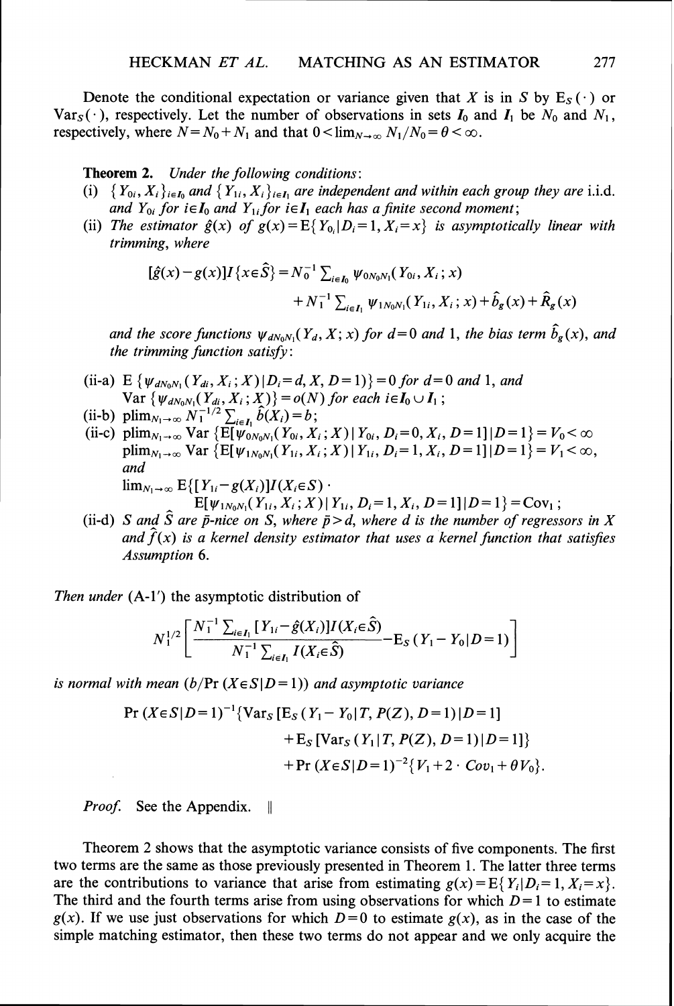Denote the conditional expectation or variance given that X is in S by  $E_S(\cdot)$  or  $\text{Var}_{S}(.)$ , respectively. Let the number of observations in sets  $I_0$  and  $I_1$  be  $N_0$  and  $N_1$ , respectively, where  $N = N_0 + N_1$  and that  $0 < \lim_{N \to \infty} N_1/N_0 = \theta < \infty$ .

**Theorem 2.** Under the following conditions:

- (i)  ${Y_{0i}, X_i}_{i\in I_0}$  and  ${Y_{1i}, X_i}_{i\in I_1}$  are independent and within each group they are i.i.d. and  $Y_{0i}$  for  $i \in I_0$  and  $Y_{1i}$  for  $i \in I_1$  each has a finite second moment;
- (ii) The estimator  $\hat{g}(x)$  of  $g(x) = E{Y_0 | D_i = 1, X_i = x}$  is asymptotically linear with trimming, where

$$
\begin{aligned} [\hat{g}(x) - g(x)]I\{x \in \hat{S}\} &= N_0^{-1} \sum_{i \in I_0} \psi_{0N_0N_1}(Y_{0i}, X_i; x) \\ &+ N_1^{-1} \sum_{i \in I_1} \psi_{1N_0N_1}(Y_{1i}, X_i; x) + \hat{b}_g(x) + \hat{R}_g(x) \end{aligned}
$$

and the score functions  $\psi_{dNN}(Y_d, X; x)$  for  $d=0$  and 1, the bias term  $\hat{b}_p(x)$ , and the trimming function satisfy:

- (ii-a)  $E\{v_{dN_0N_1}(Y_{di}, X_i; X)|D_i = d, X, D=1\} = 0$  for  $d=0$  and 1, and  $Var \left\{ \psi_{dN_0N_1}(Y_{di}, X_i; X) \right\} = o(N)$  for each  $i \in I_0 \cup I_1$ ;
- (ii-b) plim<sub>N1+∞</sub>  $N_1^{-1/2}$   $\sum_{i \in I_1} \hat{b}(X_i) = b;$
- (ii-c) plim<sub>N<sub>1</sub>→∞</sub> Var  $\{E[\psi_{0N_0N_1}(Y_{0i}, X_i; X) | Y_{0i}, D_i = 0, X_i, D = 1]|D = 1\} = V_0 < \infty$ plim<sub>N1</sub>+ $\infty$  Var  $\{E[\psi_{1N_0N_1}(Y_{1i}, X_i; X) | Y_{1i}, D_i = 1, X_i, D = 1] | D = 1\} = V_1 < \infty$ , and<br>  $\lim_{N_1 \to \infty} E\{[Y_{1i} - g(X_i)]I(X_i \in S) \cdot$ 
	- $\left[\mathbb{E}[\psi_{1N_0N_1}(Y_{1i}, X_i; X) | Y_{1i}, D_i=1, X_i, D=1] | D=1 \right] = \text{Cov}_1;$
- (ii-d) S and  $\overline{S}$  are  $\overline{p}$ -nice on S, where  $\overline{p} > d$ , where d is the number of regressors in X and  $\hat{f}(x)$  is a kernel density estimator that uses a kernel function that satisfies Assumption *6.*

Then under (A-1') the asymptotic distribution of

$$
N_1^{1/2} \left[ \frac{N_1^{-1} \sum_{i \in I_1} [Y_{1i} - \hat{g}(X_i)] I(X_i \in \hat{S})}{N_1^{-1} \sum_{i \in I_1} I(X_i \in \hat{S})} - \mathbb{E}_S (Y_1 - Y_0 | D = 1) \right]
$$

is normal with mean  $(b/Pr (X \in S | D = 1))$  and asymptotic variance

$$
\begin{aligned} \Pr\left(X \in S | D = 1\right)^{-1} \{ \text{Var}_S \left[E_S \left(Y_1 - Y_0 | T, P(Z), D = 1\right) | D = 1\right] \\ &+ E_S \left[\text{Var}_S \left(Y_1 | T, P(Z), D = 1\right) | D = 1\right] \} \\ &+ \Pr\left(X \in S | D = 1\right)^{-2} \{V_1 + 2 \cdot Cov_1 + \theta V_0\}. \end{aligned}
$$

*Proof.* See the Appendix.  $\parallel$ 

Theorem 2 shows that the asymptotic variance consists of five components. The first two terms are the same as those previously presented in Theorem 1. The latter three terms are the contributions to variance that arise from estimating  $g(x) = E\{Y_i | D_i = 1, X_i = x\}$ . The third and the fourth terms arise from using observations for which  $D = 1$  to estimate  $g(x)$ . If we use just observations for which  $D=0$  to estimate  $g(x)$ , as in the case of the simple matching estimator, then these two terms do not appear and we only acquire the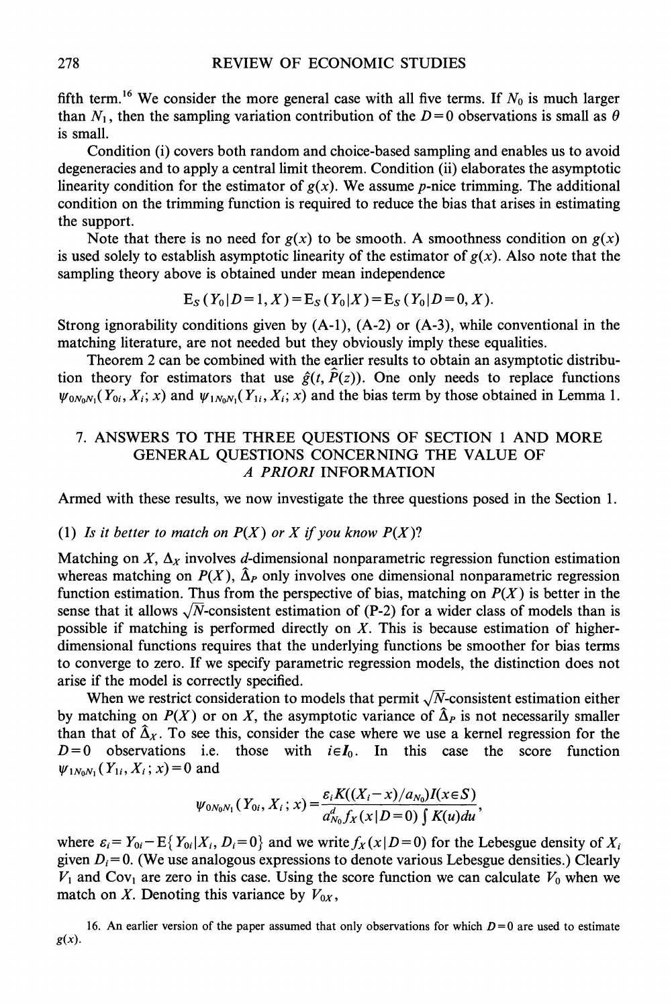fifth term.<sup>16</sup> We consider the more general case with all five terms. If  $N_0$  is much larger than  $N_1$ , then the sampling variation contribution of the  $D=0$  observations is small as  $\theta$ is small.

Condition (i) covers both random and choice-based sampling and enables us to avoid degeneracies and to apply a central limit theorem. Condition (ii) elaborates the asymptotic linearity condition for the estimator of  $g(x)$ . We assume p-nice trimming. The additional condition on the trimming function is required to reduce the bias that arises in estimating the support.

Note that there is no need for  $g(x)$  to be smooth. A smoothness condition on  $g(x)$ is used solely to establish asymptotic linearity of the estimator of  $g(x)$ . Also note that the sampling theory above is obtained under mean independence

$$
E_S(Y_0|D=1, X) = E_S(Y_0|X) = E_S(Y_0|D=0, X).
$$

Strong ignorability conditions given by  $(A-1)$ ,  $(A-2)$  or  $(A-3)$ , while conventional in the matching literature, are not needed but they obviously imply these equalities.

Theorem 2 can be combined with the earlier results to obtain an asymptotic distribution theory for estimators that use  $\hat{g}(t, \hat{P}(z))$ . One only needs to replace functions  $\psi_{0N_0N_1}(Y_{0i}, X_i; x)$  and  $\psi_{1N_0N_1}(Y_{1i}, X_i; x)$  and the bias term by those obtained in Lemma 1.

#### 7. ANSWERS TO THE THREE QUESTIONS OF SECTION 1 AND MORE GENERAL QUESTIONS CONCERNING THE VALUE OF *A* PRIORI INFORMATION

Armed with these results, we now investigate the three questions posed in the Section 1.

#### (1) Is it better to match on  $P(X)$  or X if you know  $P(X)$ ?

Matching on  $X$ ,  $\Delta_X$  involves d-dimensional nonparametric regression function estimation whereas matching on  $P(X)$ ,  $\hat{\Delta}_P$  only involves one dimensional nonparametric regression function estimation. Thus from the perspective of bias, matching on  $P(X)$  is better in the sense that it allows  $\sqrt{N}$ -consistent estimation of (P-2) for a wider class of models than is possible if matching is performed directly on  $X$ . This is because estimation of higherdimensional functions requires that the underlying functions be smoother for bias terms to converge to zero. If we specify parametric regression models, the distinction does not arise if the model is correctly specified.

When we restrict consideration to models that permit  $\sqrt{N}$ -consistent estimation either by matching on  $P(X)$  or on X, the asymptotic variance of  $\hat{\Delta}_P$  is not necessarily smaller than that of  $\hat{\Delta}_{\chi}$ . To see this, consider the case where we use a kernel regression for the  $D=0$  observations i.e. those with  $i\in I_0$ . In this case the score function  $\psi_{1N_0N_1}(Y_{1i}, X_i; x)=0$  and

$$
\psi_{0N_0N_1}(Y_{0i}, X_i; x) = \frac{\varepsilon_i K((X_i - x)/a_{N_0}) I(x \in S)}{a_{N_0}^d f_X(x \mid D = 0) \int K(u) du},
$$

where  $\varepsilon_i = Y_{0i} - E\{Y_{0i} | X_i, D_i = 0\}$  and we write  $f_X(x \mid D = 0)$  for the Lebesgue density of  $X_i$ given  $D_i=0$ . (We use analogous expressions to denote various Lebesgue densities.) Clearly  $V_1$  and Cov<sub>1</sub> are zero in this case. Using the score function we can calculate  $V_0$  when we match on X. Denoting this variance by  $V_{0X}$ ,

16. An earlier version of the paper assumed that only observations for which  $D=0$  are used to estimate  $g(x)$ .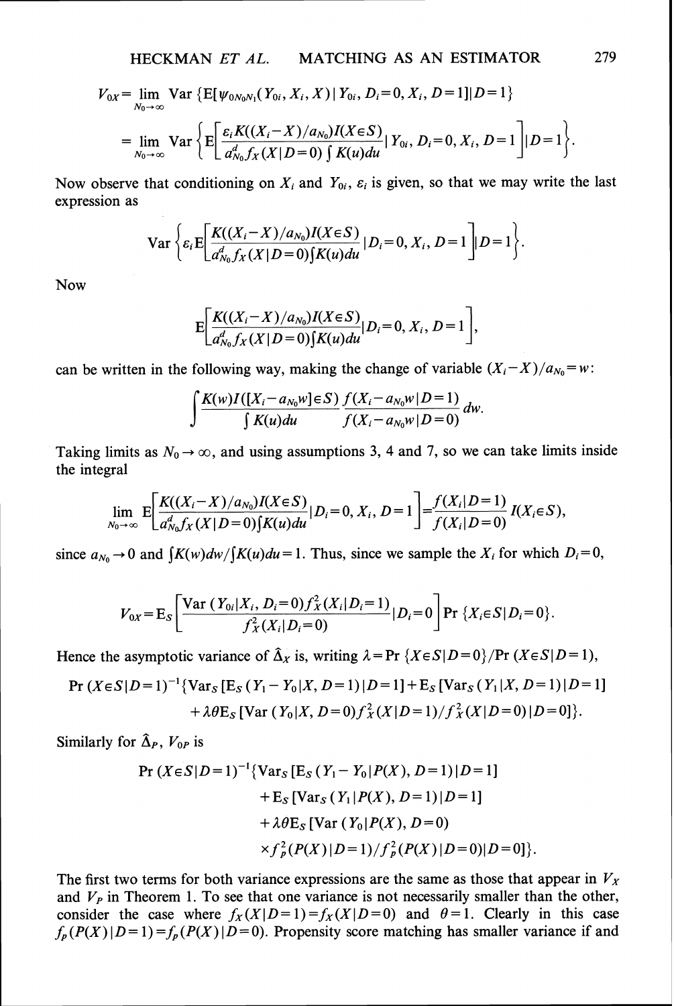$$
V_{0X} = \lim_{N_0 \to \infty} \text{Var} \left\{ \mathbb{E}[\psi_{0N_0N_1}(Y_{0i}, X_i, X) | Y_{0i}, D_i = 0, X_i, D = 1]|D = 1 \right\}
$$
  
= 
$$
\lim_{N_0 \to \infty} \text{Var} \left\{ \mathbb{E} \left[ \frac{\varepsilon_i K((X_i - X)/a_{N_0}) I(X \in S)}{a_{N_0}^d f_X(X|D = 0) \int K(u) du} | Y_{0i}, D_i = 0, X_i, D = 1 \right] | D = 1 \right\}.
$$

Now observe that conditioning on  $X_i$  and  $Y_{0i}$ ,  $\varepsilon_i$  is given, so that we may write the last expression as

$$
\operatorname{Var}\left\{\varepsilon_i \operatorname{E}\left[\frac{K((X_i-X)/a_{N_0})I(X\in S)}{a_{N_0}^d f_X(X \mid D=0)}\right| X_i=0, X_i, D=1\right]\mid D=1\right\}.
$$

Now

$$
E\bigg[\frac{K((X_i-X)/a_{N_0})I(X\in S)}{a_{N_0}^d f_X(X|D=0)}I(X\in S)\bigg|D_i=0, X_i, D=1\bigg],
$$

can be written in the following way, making the change of variable  $(X_i - X)/a_{N_0} = w$ :

$$
\int \frac{K(w)I([X_i - a_{N_0}w] \in S)}{\int K(u)du} \frac{f(X_i - a_{N_0}w \mid D=1)}{f(X_i - a_{N_0}w \mid D=0)} dw.
$$

Taking limits as  $N_0 \rightarrow \infty$ , and using assumptions 3, 4 and 7, so we can take limits inside the integral

$$
\lim_{N_0 \to \infty} \mathbb{E} \bigg[ \frac{K((X_i - X)/a_{N_0})I(X \in S)}{a_{N_0}^d f_X(X \mid D = 0)} \bigg| K(u) du \bigg| D_i = 0, X_i, D = 1 \bigg] = \frac{f(X_i \mid D = 1)}{f(X_i \mid D = 0)} I(X_i \in S),
$$

since  $a_{N_0} \rightarrow 0$  and  $\frac{K(w)dw}{K(u)du} = 1$ . Thus, since we sample the  $X_i$  for which  $D_i = 0$ ,

$$
V_{0X} = E_S \left[ \frac{\text{Var}(Y_{0i}|X_i, D_i=0) f_X^2(X_i|D_i=1)}{f_X^2(X_i|D_i=0)} |D_i=0 \right] \text{Pr}\left\{X_i \in S | D_i=0\right\}.
$$

Hence the asymptotic variance of  $\hat{\Delta}_X$  is, writing  $\lambda = \Pr \{X \in S | D = 0\} / \Pr (X \in S | D = 1)$ ,

$$
\Pr(X \in S | D=1)^{-1} \{ \text{Var}_S \left[ E_S \left( Y_1 - Y_0 | X, D=1 \right) | D=1 \right] + E_S \left[ \text{Var}_S \left( Y_1 | X, D=1 \right) | D=1 \right] + \lambda \theta E_S \left[ \text{Var} \left( Y_0 | X, D=0 \right) f_X^2(X | D=1) / f_X^2(X | D=0) | D=0 \right] \}.
$$

Similarly for  $\hat{\Delta}_P$ ,  $V_{0P}$  is

$$
\begin{aligned} \Pr\left(X \in S | D=1\right)^{-1} \{ \text{Var}_S \left[E_S \left(Y_1 - Y_0 | P(X), D=1\right) | D=1\right] \\ &+ E_S \left[\text{Var}_S \left(Y_1 | P(X), D=1\right) | D=1\right] \\ &+ \lambda \theta E_S \left[\text{Var} \left(Y_0 | P(X), D=0\right) \\ &\times f_P^2 (P(X) | D=1) / f_P^2 (P(X) | D=0) | D=0] \right\}. \end{aligned}
$$

The first two terms for both variance expressions are the same as those that appear in  $V_x$ and  $V_p$  in Theorem 1. To see that one variance is not necessarily smaller than the other, consider the case where  $f_X(X|D=1) = f_X(X|D=0)$  and  $\theta = 1$ . Clearly in this case  $f_p(P(X) | D=1) = f_p(P(X) | D=0)$ . Propensity score matching has smaller variance if and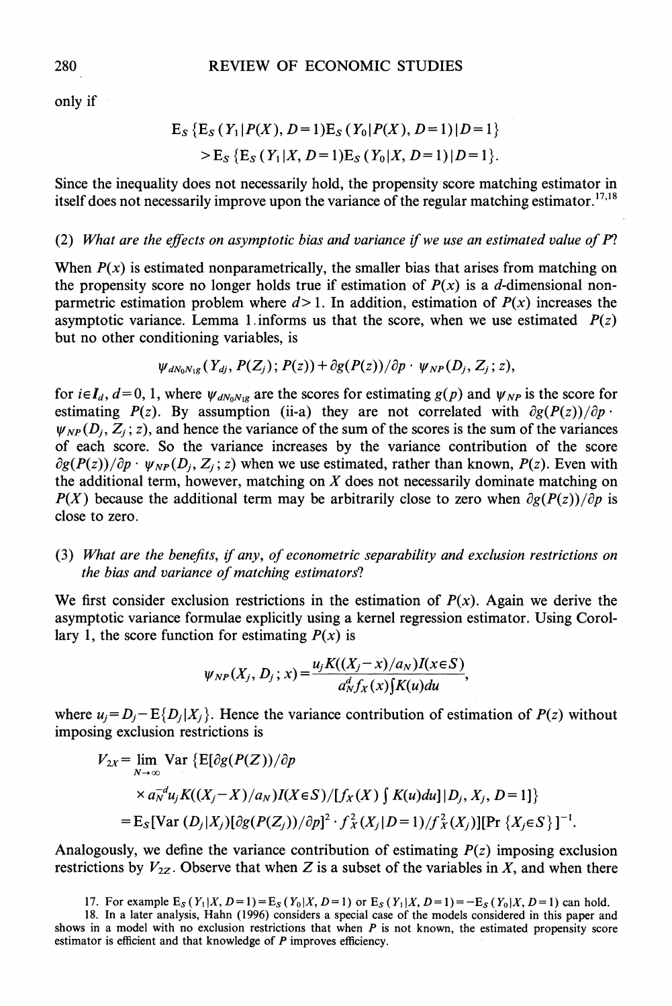only if

$$
E_S \{ E_S (Y_1 | P(X), D=1) E_S (Y_0 | P(X), D=1) | D=1 \}
$$
  
> 
$$
E_S \{ E_S (Y_1 | X, D=1) E_S (Y_0 | X, D=1) | D=1 \}.
$$

Since the inequality does not necessarily hold, the propensity score matching estimator in itself does not necessarily improve upon the variance of the regular matching estimator.<sup>17,18</sup>

#### (2) What are the effects on asymptotic bias and variance if we use an estimated value of  $P$ ?

When  $P(x)$  is estimated nonparametrically, the smaller bias that arises from matching on the propensity score no longer holds true if estimation of  $P(x)$  is a d-dimensional nonparmetric estimation problem where  $d>1$ . In addition, estimation of  $P(x)$  increases the asymptotic variance. Lemma 1 informs us that the score, when we use estimated  $P(z)$ but no other conditioning variables, is

$$
\psi_{dN_0N_1g}(Y_{dj},P(Z_j);P(z))+\partial g(P(z))/\partial p\cdot \psi_{NP}(D_j,Z_j;z),
$$

for  $i \in I_d$ ,  $d = 0, 1$ , where  $\psi_{dN_0N_k}$  are the scores for estimating  $g(p)$  and  $\psi_{NP}$  is the score for estimating  $P(z)$ . By assumption (ii-a) they are not correlated with  $\partial g(P(z))/\partial p$ .  $\psi_{NP}(D_i, Z_i; z)$ , and hence the variance of the sum of the scores is the sum of the variances of each score. So the variance increases by the variance contribution of the score  $\partial g(P(z))/\partial p \cdot \psi_{NP}(D_i, Z_i; z)$  when we use estimated, rather than known,  $P(z)$ . Even with the additional term, however, matching on  $X$  does not necessarily dominate matching on  $P(X)$  because the additional term may be arbitrarily close to zero when  $\partial g(P(z))/\partial p$  is close to zero.

#### **(3)**  What are the benefits, if any, of econometric separability and exclusion restrictions on the bias and variance of matching estimators?

We first consider exclusion restrictions in the estimation of  $P(x)$ . Again we derive the asymptotic variance formulae explicitly using a kernel regression estimator. Using Corollary 1, the score function for estimating  $P(x)$  is

$$
\psi_{NP}(X_j, D_j; x) = \frac{u_j K((X_j - x)/a_N) I(x \in S)}{a_N^d f_X(x) \{K(u) \} dx},
$$

where  $u_i = D_i - E\{D_i | X_i\}$ . Hence the variance contribution of estimation of  $P(z)$  without imposing exclusion restrictions is

$$
V_{2X} = \lim_{N \to \infty} \text{Var} \left\{ \mathbb{E}[\partial g(P(Z))/\partial p \right\}
$$
  
 
$$
\times a_N^{-d} u_j K((X_j - X)/a_N) I(X \in S) / [f_X(X) \int K(u) du] | D_j, X_j, D = 1] \right\}
$$
  
= E<sub>S</sub>[Var (D<sub>j</sub>|X<sub>j</sub>)[ $\partial g(P(Z_j)) / \partial p$ ]<sup>2</sup> · f<sub>X</sub><sup>2</sup>(X<sub>j</sub>|D = 1)/f<sub>X</sub><sup>2</sup>(X<sub>j</sub>)[Pr {X<sub>j</sub> \in S}<sup>1</sup>]<sup>-1</sup>.

Analogously, we define the variance contribution of estimating  $P(z)$  imposing exclusion restrictions by  $V_{2z}$ . Observe that when Z is a subset of the variables in X, and when there

<sup>17.</sup> For example  $E_S(Y_1|X, D=1) = E_S(Y_0|X, D=1)$  or  $E_S(Y_1|X, D=1) = -E_S(Y_0|X, D=1)$  can hold.

<sup>18.</sup> In a later analysis, Hahn (1996) considers a special case of the models considered in this paper and shows in a model with no exclusion restrictions that when  $P$  is not known, the estimated propensity score estimator is efficient and that knowledge of P improves efficiency.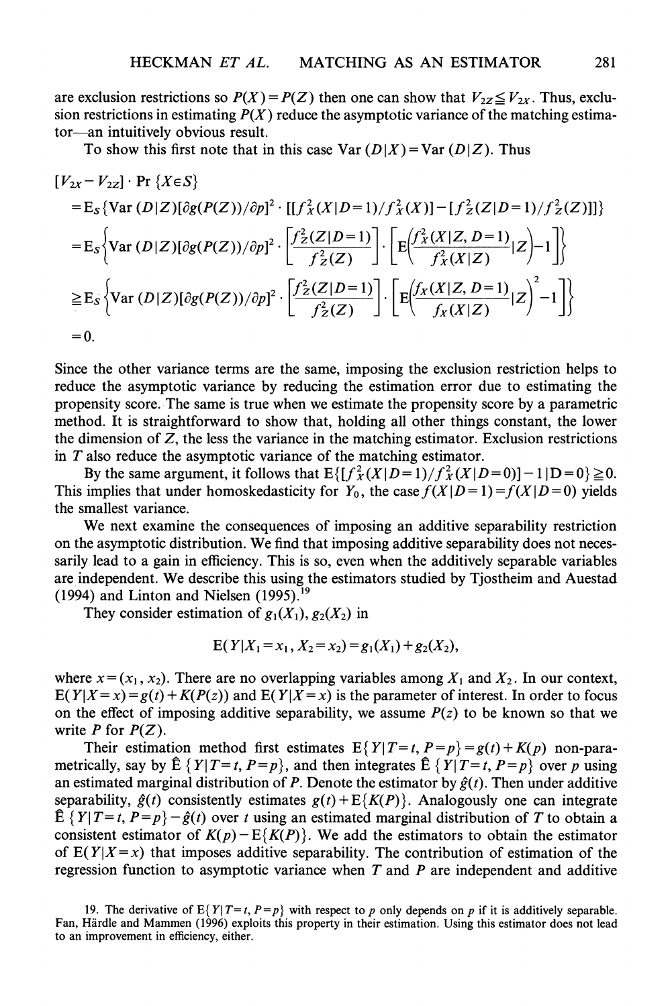are exclusion restrictions so  $P(X) = P(Z)$  then one can show that  $V_{2Z} \leq V_{2X}$ . Thus, exclusion restrictions in estimating  $P(X)$  reduce the asymptotic variance of the matching estimator-an intuitively obvious result.

To show this first note that in this case  $\text{Var}(D|X) = \text{Var}(D|Z)$ . Thus

$$
[V_{2x} - V_{2z}] \cdot \Pr \{X \in S\}
$$
  
\n
$$
= E_{S} \{ \text{Var}(D|Z)[\partial g(P(Z))/\partial p]^{2} \cdot [[f_{X}^{2}(X|D=1)/f_{X}^{2}(X)] - [f_{Z}^{2}(Z|D=1)/f_{Z}^{2}(Z)]] \}
$$
  
\n
$$
= E_{S} \left\{ \text{Var}(D|Z)[\partial g(P(Z))/\partial p]^{2} \cdot \left[ \frac{f_{Z}^{2}(Z|D=1)}{f_{Z}^{2}(Z)} \right] \cdot \left[ E \left( \frac{f_{X}^{2}(X|Z, D=1)}{f_{X}^{2}(X|Z)} |Z \right) - 1 \right] \right\}
$$
  
\n
$$
\geq E_{S} \left\{ \text{Var}(D|Z)[\partial g(P(Z))/\partial p]^{2} \cdot \left[ \frac{f_{Z}^{2}(Z|D=1)}{f_{Z}^{2}(Z)} \right] \cdot \left[ E \left( \frac{f_{X}(X|Z, D=1)}{f_{X}(X|Z)} |Z \right)^{2} - 1 \right] \right\}
$$
  
\n= 0.

Since the other variance terms are the same, imposing the exclusion restriction helps to reduce the asymptotic variance by reducing the estimation error due to estimating the propensity score. The same is true when we estimate the propensity score by a parametric method. It is straightforward to show that, holding all other things constant, the lower the dimension of *2,*the less the variance in the matching estimator. Exclusion restrictions in *T* also reduce the asymptotic variance of the matching estimator.

By the same argument, it follows that  $E\{[f_{X}^{2}(X|D=1)/f_{X}^{2}(X|D=0)]-1|D=0\} \ge 0$ . This implies that under homoskedasticity for  $Y_0$ , the case  $f(X|D=1) = f(X|D=0)$  yields the smallest variance.

We next examine the consequences of imposing an additive separability restriction on the asymptotic distribution. We find that imposing additive separability does not necessarily lead to a gain in efficiency. This is so, even when the additively separable variables are independent. We describe this using the estimators studied by Tjostheim and Auestad *(1994)* and Linton and Nielsen *(1995).19* 

They consider estimation of  $g_1(X_1), g_2(X_2)$  in

$$
E(Y|X_1=x_1, X_2=x_2)=g_1(X_1)+g_2(X_2),
$$

where  $x = (x_1, x_2)$ . There are no overlapping variables among  $X_1$  and  $X_2$ . In our context,  $E(Y|X=x) = g(t) + K(P(z))$  and  $E(Y|X=x)$  is the parameter of interest. In order to focus on the effect of imposing additive separability, we assume  $P(z)$  to be known so that we write  $P$  for  $P(Z)$ .

Their estimation method first estimates  $E\{Y|T=t, P=p\} = g(t) + K(p)$  non-parametrically, say by  $\hat{E} \{ Y | T = t, P = p \}$ , and then integrates  $\hat{E} \{ Y | T = t, P = p \}$  over *p* using an estimated marginal distribution of *P*. Denote the estimator by  $\hat{g}(t)$ . Then under additive separability,  $\hat{g}(t)$  consistently estimates  $g(t) + E\{K(P)\}\$ . Analogously one can integrate  $\hat{E} \{Y | T = t, P = p\} - \hat{g}(t)$  over *t* using an estimated marginal distribution of *T* to obtain a consistent estimator of  $K(p) - E\{K(P)\}\$ . We add the estimators to obtain the estimator of  $E(Y|X=x)$  that imposes additive separability. The contribution of estimation of the regression function to asymptotic variance when *T* and *P* are independent and additive

<sup>19.</sup> The derivative of  $E\{Y|T=t, P=p\}$  with respect to *p* only depends on *p* if it is additively separable. Fan, Hardle and Mammen (1996) exploits this property in their estimation. Using this estimator does not lead to an improvement in efficiency, either.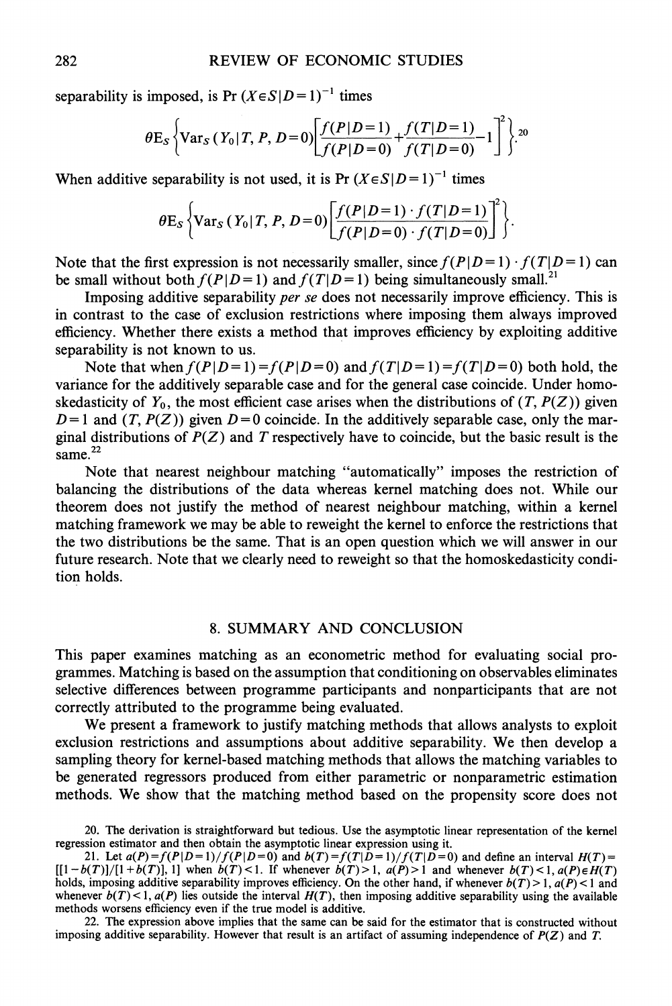separability is imposed, is Pr  $(X \in S | D = 1)^{-1}$  times

$$
\theta \mathbf{E}_S \left\{ \text{Var}_S \left( Y_0 | T, P, D = 0 \right) \left[ \frac{f(P|D=1)}{f(P|D=0)} + \frac{f(T|D=1)}{f(T|D=0)} - 1 \right]^2 \right\}^{2.20}
$$

When additive separability is not used, it is Pr  $(X \in S | D = 1)^{-1}$  times

$$
\theta \mathbf{E}_{S} \left\{ \mathbf{Var}_{S} \left( Y_{0} | T, P, D=0 \right) \left[ \frac{f(P|D=1) \cdot f(T|D=1)}{f(P|D=0) \cdot f(T|D=0)} \right]^{2} \right\}.
$$

Note that the first expression is not necessarily smaller, since  $f(P|D=1) \cdot f(T|D=1)$  can be small without both  $f(P|D=1)$  and  $f(T|D=1)$  being simultaneously small.<sup>21</sup>

Imposing additive separability per se does not necessarily improve efficiency. This is in contrast to the case of exclusion restrictions where imposing them always improved efficiency. Whether there exists a method that improves efficiency by exploiting additive separability is not known to us.

Note that when  $f(P|D=1) = f(P|D=0)$  and  $f(T|D=1) = f(T|D=0)$  both hold, the variance for the additively separable case and for the general case coincide. Under homoskedasticity of  $Y_0$ , the most efficient case arises when the distributions of  $(T, P(Z))$  given  $D=1$  and  $(T, P(Z))$  given  $D=0$  coincide. In the additively separable case, only the marginal distributions of  $P(Z)$  and T respectively have to coincide, but the basic result is the same. $22$ 

Note that nearest neighbour matching "automatically" imposes the restriction of balancing the distributions of the data whereas kernel matching does not. While our theorem does not justify the method of nearest neighbour matching, within a kernel matching framework we may be able to reweight the kernel to enforce the restrictions that the two distributions be the same. That is an open question which we will answer in our future research. Note that we clearly need to reweight so that the homoskedasticity condition holds.

#### 8. SUMMARY AND CONCLUSION

This paper examines matching as an econometric method for evaluating social programmes. Matching is based on the assumption that conditioning on observables eliminates selective differences between programme participants and nonparticipants that are not correctly attributed to the programme being evaluated.

We present a framework to justify matching methods that allows analysts to exploit exclusion restrictions and assumptions about additive separability. We then develop a sampling theory for kernel-based matching methods that allows the matching variables to be generated regressors produced from either parametric or nonparametric estimation methods. We show that the matching method based on the propensity score does not

20. The derivation is straightforward but tedious. Use the asymptotic linear representation of the kernel regression estimator and then obtain the asymptotic linear expression using it.

21. Let  $a(P)=f(P|D=1)/f(P|D=0)$  and  $b(T)=f(T|\tilde{D}=1)/f(T|\tilde{D}=0)$  and define an interval  $H(T)=$  $\left[\frac{[1-b(T)]}{[1+b(T)]}, 1\right]$  when  $b(T) < 1$ . If whenever  $b(T) > 1$ ,  $a(P) > 1$  and whenever  $b(T) < 1$ ,  $a(P) \in H(T)$ holds, imposing additive separability improves efficiency. On the other hand, if whenever  $b(T) > 1$ ,  $a(P) < 1$  and whenever  $b(T)$ <1,  $a(P)$  lies outside the interval  $H(T)$ , then imposing additive separability using the available methods worsens efficiency even if the true model is additive.

22. The expression above implies that the same can be said for the estimator that is constructed without imposing additive separability. However that result is an artifact of assuming independence of  $P(Z)$  and T.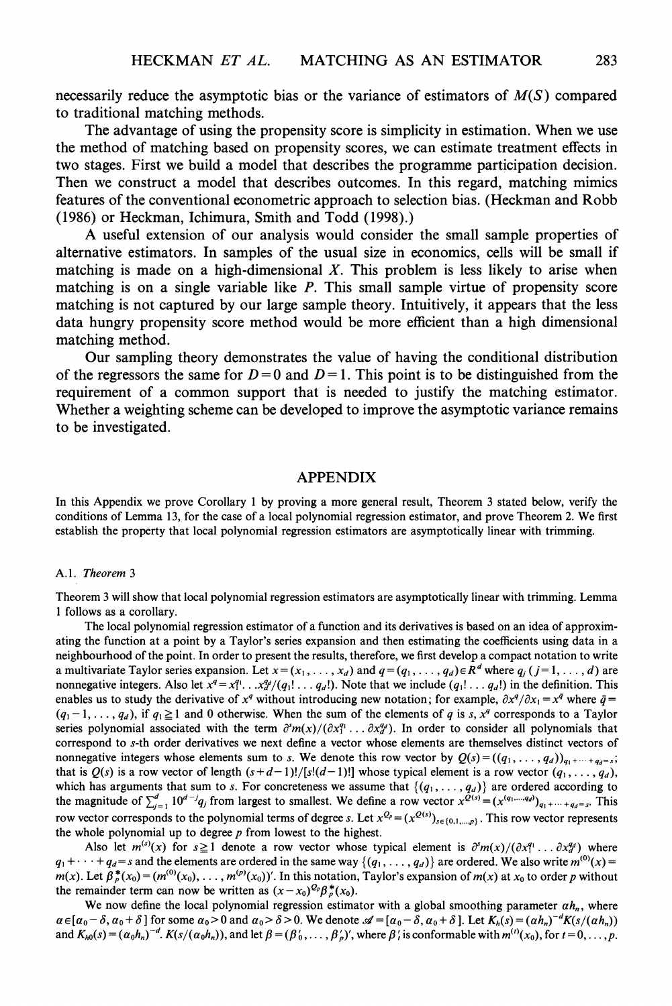necessarily reduce the asymptotic bias or the variance of estimators of *M(S)* compared to traditional matching methods.

The advantage of using the propensity score is simplicity in estimation. When we use the method of matching based on propensity scores, we can estimate treatment effects in two stages. First we build a model that describes the programme participation decision. Then we construct a model that describes outcomes. In this regard, matching mimics features of the conventional econometric approach to selection bias. (Heckman and Robb (1986) or Heckman, Ichimura, Smith and Todd (1998).)

A useful extension of our analysis would consider the small sample properties of alternative estimators. In samples of the usual size in economics, cells will be small if matching is made on a high-dimensional  $X$ . This problem is less likely to arise when matching is on a single variable like P. This small sample virtue of propensity score matching is not captured by our large sample theory. Intuitively, it appears that the less data hungry propensity score method would be more efficient than a high dimensional matching method.

Our sampling theory demonstrates the value of having the conditional distribution of the regressors the same for  $D=0$  and  $D=1$ . This point is to be distinguished from the requirement of a common support that is needed to justify the matching estimator. Whether a weighting scheme can be developed to improve the asymptotic variance remains to be investigated.

#### APPENDIX

In this Appendix we prove Corollary *1* by proving a more general result, Theorem 3 stated below, verify the conditions of Lemma 13, for the case of a local polynomial regression estimator, and prove Theorem 2. We first establish the property that local polynomial regression estimators are asymptotically linear with trimming.

#### A.*1. Theorem* 3

Theorem 3 will show that local polynomial regression estimators are asymptotically linear with trimming. Lemma *<sup>1</sup>*follows as a corollary.

The local polynomial regression estimator of a function and its derivatives is based on an idea of approximating the function at a point by a Taylor's series expansion and then estimating the coefficients using data in a neighbourhood of the point. In order to present the results, therefore, we first develop a compact notation to write a multivariate Taylor series expansion. Let  $x = (x_1, \ldots, x_d)$  and  $q = (q_1, \ldots, q_d) \in \mathbb{R}^d$  where  $q_j$  ( $j = 1, \ldots, d$ ) are nonnegative integers. Also let  $x^q = x_1^q$ ..  $x_2^q/(q_1! \ldots q_d!)$ . Note that we include  $(q_1! \ldots q_d!)$  in the definition. This enables us to study the derivative of  $x^q$  without introducing new notation; for example,  $\partial x^q/\partial x_1 = x^{\bar{q}}$  where  $\bar{q} =$  $(q_1-1, \ldots, q_d)$ , if  $q_1 \ge 1$  and 0 otherwise. When the sum of the elements of *q* is *s*,  $x^q$  corresponds to a Taylor series polynomial associated with the term  $\frac{\partial^s m(x)}{\partial x_1^q \cdots \partial x_n^q}$ . In order to consider all polynomials that correspond to s-th order derivatives we next define a vector whose elements are themselves distinct vectors of nonnegative integers whose elements sum to *s*. We denote this row vector by  $Q(s) = ((q_1, \ldots, q_d))_{q_1 + \cdots + q_d = s}$ ; that is  $Q(s)$  is a row vector of length  $(s+d-1)!/[s!(d-1)!]$  whose typical element is a row vector  $(q_1, \ldots, q_d)$ , which has arguments that sum to *s*. For concreteness we assume that  $\{(q_1, \ldots, q_d)\}$  are ordered according to the magnitude of  $\sum_{i=1}^{d} 10^{d-j}q_i$  from largest to smallest. We define a row vector  $x^{Q(s)} = (x^{(q_1,...,q_d)})_{q_1+...+q_d=s}$ . This row vector corresponds to the polynomial terms of degree *s*. Let  $x^{Q_p} = (x^{Q(s)})_{s \in \{0,1,\dots,p\}}$ . This row vector represents the whole polynomial up to degree  $p$  from lowest to the highest.

Also let  $m^{(s)}(x)$  for  $s \ge 1$  denote a row vector whose typical element is  $\partial^s m(x)/(\partial x_1^{q_1} \dots \partial x_d^{q_d})$  where  $q_1 + \cdots + q_d = s$  and the elements are ordered in the same way  $\{(q_1, \ldots, q_d)\}\$  are ordered. We also write  $m^{(0)}(x)$ =  $m(x)$ . Let  $\beta_p^*(x_0) = (m^{(0)}(x_0), \ldots, m^{(p)}(x_0))'$ . In this notation, Taylor's expansion of  $m(x)$  at  $x_0$  to order p without the remainder term can now be written as  $(x-x_0)^{Q_p}\beta_p^*(x_0)$ .

We now define the local polynomial regression estimator with a global smoothing parameter  $\alpha h_n$ , where  $a \in [a_0 - \delta, a_0 + \delta]$  for some  $a_0 > 0$  and  $a_0 > \delta > 0$ . We denote  $\mathcal{A} = [a_0 - \delta, a_0 + \delta]$ . Let  $K_h(s) = (a h_n)^{-d} K(s/(a h_n))$ and  $K_{h0}(s) = (a_0h_n)^{-d}$ .  $K(s/(a_0h_n))$ , and let  $\beta = (\beta'_0,\ldots,\beta'_p)'$ , where  $\beta'_i$  is conformable with  $m^{(i)}(x_0)$ , for  $t = 0,\ldots,p$ .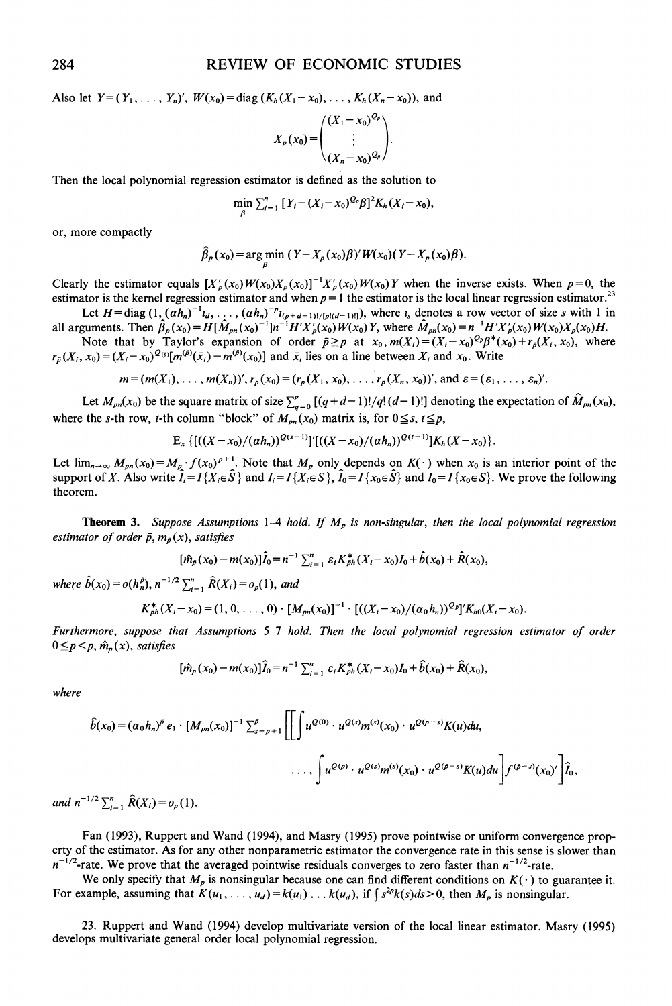Also let  $Y = (Y_1, \ldots, Y_n)'$ ,  $W(x_0) = \text{diag}(K_h(X_1 - x_0), \ldots, K_h(X_n - x_0))$ , and

$$
X_p(x_0) = \begin{pmatrix} (X_1 - x_0)^{Q_p} \\ \vdots \\ (X_n - x_0)^{Q_p} \end{pmatrix}.
$$

Then the local polynomial regression estimator is defined as the solution to

$$
\min_{\beta} \sum_{i=1}^{n} [Y_i - (X_i - x_0)^{Q_{\beta}} \beta]^2 K_h (X_i - x_0),
$$

or, more compactly

$$
\hat{\beta}_p(x_0) = \arg\min_{\beta} (Y - X_p(x_0)\beta)'W(x_0)(Y - X_p(x_0)\beta).
$$

Clearly the estimator equals  $[X_p(x_0)W(x_0)X_p(x_0)]^{-1}X_p'(x_0)W(x_0)Y$  when the inverse exists. When  $p=0$ , the estimator is the kernel regression estimator and when  $p = 1$  the estimator is the local linear regression estimator.<sup>23</sup>

Let  $H = \text{diag } (1, (ah_n)^{-1}l_d, \ldots, (ah_n)^{-p}l_{(p+d-1)!/(p!(d-1)!)})$ , where  $l_s$  denotes a row vector of size *s* with 1 in all arguments. Then  $\hat{\beta}_p(x_0) = H[\hat{M}_{pn}(x_0)^{-1}]n^{-1}H'X_p'(x_0)W(x_0)Y$ , where  $\hat{M}_{pn}(x_0) = n^{-1}H'X_p'(x_0)W(x_0)X_p(x_0)H$ .

Note that by Taylor's expansion of order  $\bar{p} \ge p$  at  $x_0$ ,  $m(X_i) = (X_i - x_0)^{Q_p} \beta^*(x_0) + r_p(X_i, x_0)$ , where  $r_p(X_i, x_0) = (X_i - x_0)^{Q_p} [m^{(p)}(\bar{x}_i) - m^{(p)}(x_0)]$  and  $\bar{x}_i$  lies on a line between  $X_i$  and  $x_0$ . Write

 $m = (m(X_1), \ldots, m(X_n))'$ ,  $r_{\bar{\rho}}(x_0) = (r_{\bar{\rho}}(X_1, x_0), \ldots, r_{\bar{\rho}}(X_n, x_0))'$ , and  $\varepsilon = (\varepsilon_1, \ldots, \varepsilon_n)'$ .

Let  $M_{pn}(x_0)$  be the square matrix of size  $\sum_{q=0}^{p} [(q+d-1)!/q!(d-1)!]$  denoting the expectation of  $\hat{M}_{pn}(x_0)$ , where the s-th row, t-th column "block" of  $M_{pn}(x_0)$  matrix is, for  $0 \leq s, t \leq p$ ,

$$
\mathbf{E}_{x}\left\{\left[\left((X-x_{0})/(\alpha h_{n})\right)^{Q(s-1)}\right]'\left[\left((X-x_{0})/(\alpha h_{n})\right)^{Q(t-1)}\right]K_{h}(X-x_{0})\right\}.
$$

Let  $\lim_{n\to\infty} M_{pn}(x_0) = M_p \cdot f(x_0)^{p+1}$ . Note that  $M_p$  only depends on  $K(\cdot)$  when  $x_0$  is an interior point of the support of X. Also write  $\hat{I}_i = I\{X_i \in \hat{S}\}\$ and  $I_i = I\{X_i \in S\}$ ,  $\hat{I}_0 = I\{x_0 \in \hat{S}\}\$ and  $I_0 = I\{x_0 \in S\}$ . We prove the following theorem.

**Theorem 3.** *Suppose Assumptions 1-4 hold. If M, is non-singular, then the local polynomial regression estimator of order*  $\bar{p}$ ,  $m_{\bar{p}}(x)$ , *satisfies* 

$$
[\hat{m}_{\beta}(x_0)-m(x_0)]\hat{I}_0 = n^{-1}\sum_{i=1}^n \varepsilon_i K_{\beta h}^*(X_i-x_0)I_0 + \hat{b}(x_0) + \hat{R}(x_0),
$$

*where*  $\hat{b}(x_0) = o(h_n^{\tilde{p}}), n^{-1/2} \sum_{i=1}^n \hat{R}(X_i) = o_p(1)$ , and

$$
K_{\tilde{\rho}h}^*(X_i-x_0)=(1,0,\ldots,0)\cdot [M_{\tilde{\rho}n}(x_0)]^{-1}\cdot [((X_i-x_0)/(\alpha_0h_n))^{2_{\tilde{\rho}}}]^{\prime}K_{h0}(X_i-x_0).
$$

*Furthermore, suppose that Assumptions 5-7 hold. Then the local polynomial regression estimator of order*   $0 \leq p < \bar{p}$ ,  $\hat{m}_p(x)$ , satisfies

$$
[\hat{m}_p(x_0)-m(x_0)]\hat{I}_0=n^{-1}\sum_{i=1}^n \varepsilon_i K_{ph}^*(X_i-x_0)I_0+\hat{b}(x_0)+\hat{R}(x_0),
$$

*where* 

$$
\hat{b}(x_0) = (\alpha_0 h_n)^{\hat{p}} e_1 \cdot [M_{pn}(x_0)]^{-1} \sum_{s=p+1}^{\hat{p}} \left[ \int u^{Q(0)} \cdot u^{Q(s)} m^{(s)}(x_0) \cdot u^{Q(\hat{p}-s)} K(u) du, \right. \\
\cdots, \int u^{Q(p)} \cdot u^{Q(s)} m^{(s)}(x_0) \cdot u^{Q(\hat{p}-s)} K(u) du \right] f^{(\hat{p}-s)}(x_0)^r \left] \hat{I}_0,
$$

*and*  $n^{-1/2} \sum_{i=1}^{n} \overline{R}(X_i) = o_p(1)$ .

Fan *(1993),*Ruppert and Wand *(1994),*and Masry *(1995)*prove pointwise or uniform convergence property of the estimator. As for any other nonparametric estimator the convergence rate in this sense is slower than  $n^{-1/2}$ -rate. We prove that the averaged pointwise residuals converges to zero faster than  $n^{-1/2}$ -rate.

We only specify that  $M_p$  is nonsingular because one can find different conditions on  $K(\cdot)$  to guarantee it. For example, assuming that  $K(u_1, \ldots, u_d) = k(u_1) \ldots k(u_d)$ , if  $\int s^{2p}k(s)ds > 0$ , then  $M_p$  is nonsingular.

*23.* Ruppert and Wand *(1994)* develop multivariate version of the local linear estimator. Masry *(1995)*  develops multivariate general order local polynomial regression.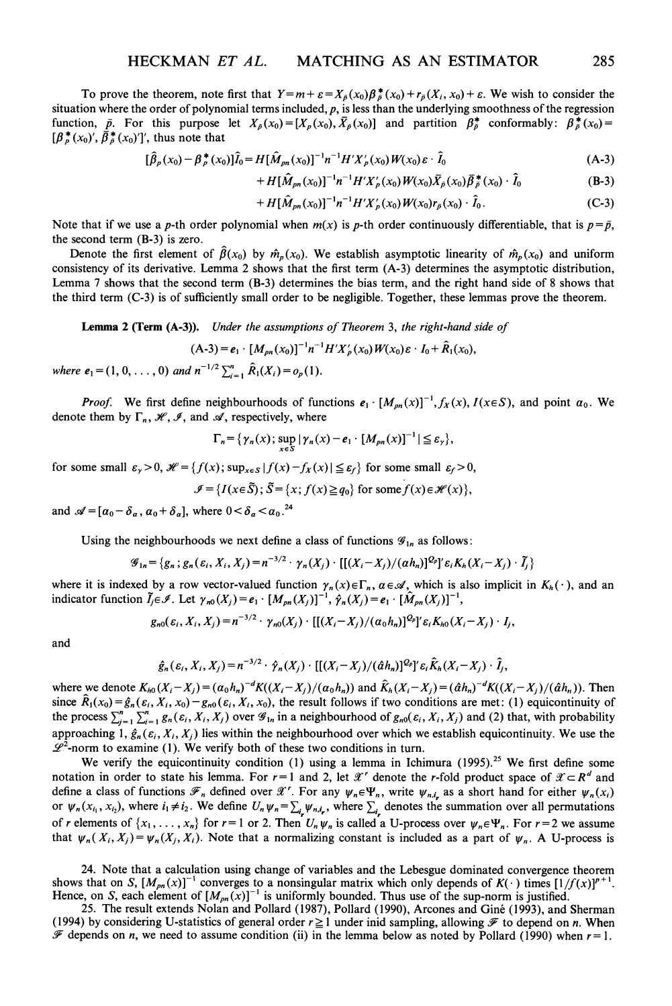To prove the theorem, note first that  $Y=m+\varepsilon=X_{\bar{\rho}}(x_0)\beta_{\bar{\rho}}^*(x_0)+r_{\bar{\rho}}(X_i, x_0)+\varepsilon$ . We wish to consider the situation where the order of polynomial terms included,  $p$ , is less than the underlying smoothness of the regression function,  $\bar{p}$ . For this purpose let  $X_{\bar{p}}(x_0) = [X_p(x_0), \bar{X}_p(x_0)]$  and partition  $\beta_p^*$  conformably:  $\beta_p^*(x_0) =$  $[\beta_p^*(x_0)', \bar{\beta}_p^*(x_0)']'$ , thus note that

$$
[\hat{\beta}_p(x_0) - \beta_p^*(x_0)]\hat{I}_0 = H[\hat{M}_{pn}(x_0)]^{-1}n^{-1}H'X'_p(x_0)W(x_0)\varepsilon \cdot \hat{I}_0
$$
\n(A-3)

$$
+H[\hat{M}_{pn}(x_0)]^{-1}n^{-1}H'X'_p(x_0)W(x_0)\bar{X}_p(x_0)\bar{\beta}_p^*(x_0)\cdot \hat{I}_0
$$
 (B-3)

$$
+ H[M_{pn}(x_0)]^{-1} n^{-1} H' X'_p(x_0) W(x_0) r_{\bar{p}}(x_0) \cdot I_0.
$$
 (C-3)

Note that if we use a p-th order polynomial when  $m(x)$  is p-th order continuously differentiable, that is  $p = \bar{p}$ , the second term (B-3) is zero.

Denote the first element of  $\hat{\beta}(x_0)$  by  $\hat{m}_p(x_0)$ . We establish asymptotic linearity of  $\hat{m}_p(x_0)$  and uniform consistency of its derivative. Lemma 2 shows that the first term (A-3) determines the asymptotic distribution, Lemma 7 shows that the second term (B-3) determines the bias term, and the right hand side of 8 shows that the third term (C-3) is of sufficiently small order to be negligible. Together, these lemmas prove the theorem.

**Lemma 2 (Term (A-3)).** Under the assumptions of Theorem 3, the right-hand side of

$$
(A-3) = e_1 \cdot [M_{pn}(x_0)]^{-1} n^{-1} H' X'_p(x_0) W(x_0) \varepsilon \cdot I_0 + \hat{R}_1(x_0),
$$

where  $e_1=(1, 0, \ldots, 0)$  and  $n^{-1/2}\sum_{i=1}^n \hat{R}_1(X_i)=o_p(1)$ .

*Proof.* We first define neighbourhoods of functions  $e_1 \cdot [M_{pn}(x)]^{-1}$ ,  $f_x(x)$ ,  $I(x \in S)$ , and point  $\alpha_0$ . We denote them by  $\Gamma_n$ , **H**, **A**, **and A**, respectively, where

$$
\Gamma_n = \left\{ \gamma_n(x) ; \sup_{x \in S} |\gamma_n(x) - e_1 \cdot [M_{pn}(x)]^{-1} | \leq \varepsilon_{\gamma} \right\},\
$$

for some small  $\varepsilon_r > 0$ ,  $\mathcal{H} = \{f(x); \sup_{x \in S} |f(x) - f_X(x)| \le \varepsilon_r \}$  for some small  $\varepsilon_r > 0$ ,

$$
\mathcal{J} = \{I(x \in \tilde{S})\,;\,\tilde{S} = \{x\,;\,f(x) \geq q_0\} \text{ for some } f(x) \in \mathcal{H}(x)\},
$$

and  $\mathscr{A} = [\alpha_0 - \delta_\alpha, \alpha_0 + \delta_\alpha]$ , where  $0 < \delta_\alpha < \alpha_0$ .<sup>24</sup>

Using the neighbourhoods we next define a class of functions  $\mathcal{G}_{1n}$  as follows:

$$
\mathscr{G}_{1n} = \{g_n : g_n(\varepsilon_i, X_i, X_j) = n^{-3/2} \cdot \gamma_n(X_j) \cdot [[(X_i - X_j)/(a h_n)]^{Q_p}] \varepsilon_i K_n(X_i - X_j) \cdot \tilde{I}_j\}
$$

where it is indexed by a row vector-valued function  $\gamma_n(x) \in \Gamma_n$ ,  $\alpha \in \mathcal{A}$ , which is also implicit in  $K_h(\cdot)$ , and an indicator function  $\tilde{I}_i \in \mathcal{I}$ . Let  $\gamma_{n0}(X_i) = e_1 \cdot [M_{nn}(X_i)]^{-1}$ ,  $\hat{\gamma}_n(X_i) = e_1 \cdot [\hat{M}_{nn}(X_i)]^{-1}$ ,

$$
g_{n0}(\varepsilon_i, X_i, X_j) = n^{-3/2} \cdot \gamma_{n0}(X_j) \cdot [[(X_i - X_j)/(\alpha_0 h_n)]^{Q_p}] \varepsilon_i K_{h0}(X_i - X_j) \cdot I_j,
$$

and

$$
\hat{g}_n(\varepsilon_i, X_i, X_j) = n^{-3/2} \cdot \hat{\gamma}_n(X_j) \cdot [[(X_i - X_j)/(\hat{\alpha}h_n)]^{Q_p}] \varepsilon_i \hat{K}_n(X_i - X_j) \cdot \hat{I}_j,
$$

where we denote  $K_{h0} (X_i - X_j) = (\alpha_0 h_n)^{-d} K((X_i - X_j)/( \alpha_0 h_n))$  and  $\hat{K}_h (X_i - X_j) = (\hat{\alpha} h_n)^{-d} K((X_i - X_j)/( \hat{\alpha} h_n))$ . Then since  $\hat{R}_1(x_0) = \hat{g}_n(\varepsilon_i, X_i, x_0) - g_{n0}(\varepsilon_i, X_i, x_0)$ , the result follows if two conditions are met: (1) equicontinuity of the process  $\sum_{j=1}^{n} \sum_{i=1}^{n} g_n(\varepsilon_i, X_i, X_j)$  over  $\mathcal{G}_{1n}$  in a neighbourhood of  $g_{n0}(\varepsilon_i, X_i, X_j)$  and (2) that, with probability approaching 1,  $\hat{g}_n(\varepsilon_i, X_i, X_j)$  lies within the neighbourhood over which we establish equicontinuity. We use the  $\mathscr{L}^2$ -norm to examine (1). We verify both of these two conditions in turn.

We verify the equicontinuity condition (1) using a lemma in Ichimura (1995).<sup>25</sup> We first define some notation in order to state his lemma. For  $r=1$  and 2, let  $\mathcal{X}^r$  denote the r-fold product space of  $\mathcal{X} \subset \mathbb{R}^d$  and define a class of functions  $\mathcal{F}_n$  defined over  $\mathcal{X}^r$ . For any  $\psi_n \in \Psi_n$ , write  $\psi_{n,i}$ , as a short hand for either  $\psi_n(x_i)$ <br>or  $\psi_n(x_i, x_i)$ , where  $i_1 \neq i_2$ . We define  $U_n \psi_n = \sum_{i_r} \psi_{n,i_r}$ , where  $\sum_{i_r}$  den of r elements of  $\{x_1, \ldots, x_n\}$  for r = 1 or 2. Then  $U_n \psi_n$  is called a U-process over  $\psi_n \in \Psi_n$ . For r = 2 we assume that  $\psi_n(X_i, X_i) = \psi_n(X_i, X_i)$ . Note that a normalizing constant is included as a part of  $\psi_n$ . A U-process is

24. Note that a calculation using change of variables and the Lebesgue dominated convergence theorem shows that on *S*,  $[M_{pn}(x)]^{-1}$  converges to a nonsingular matrix which only depends of  $K(\cdot)$  times  $[1/f(x)]^{p+1}$ . Hence, on S, each element of  $[M_{pn}(x)]^{-1}$  is uniformly bounded. Thus use of the sup-norm is justified.

25. The result extends Nolan and Pollard (1987), Pollard (1990), Arcones and Cine (1993). and Sherman (1994) by considering U-statistics of general order  $r \ge 1$  under inid sampling, allowing  $\mathcal F$  to depend on *n*. When  $\mathscr F$  depends on n, we need to assume condition (ii) in the lemma below as noted by Pollard (1990) when  $r=1$ .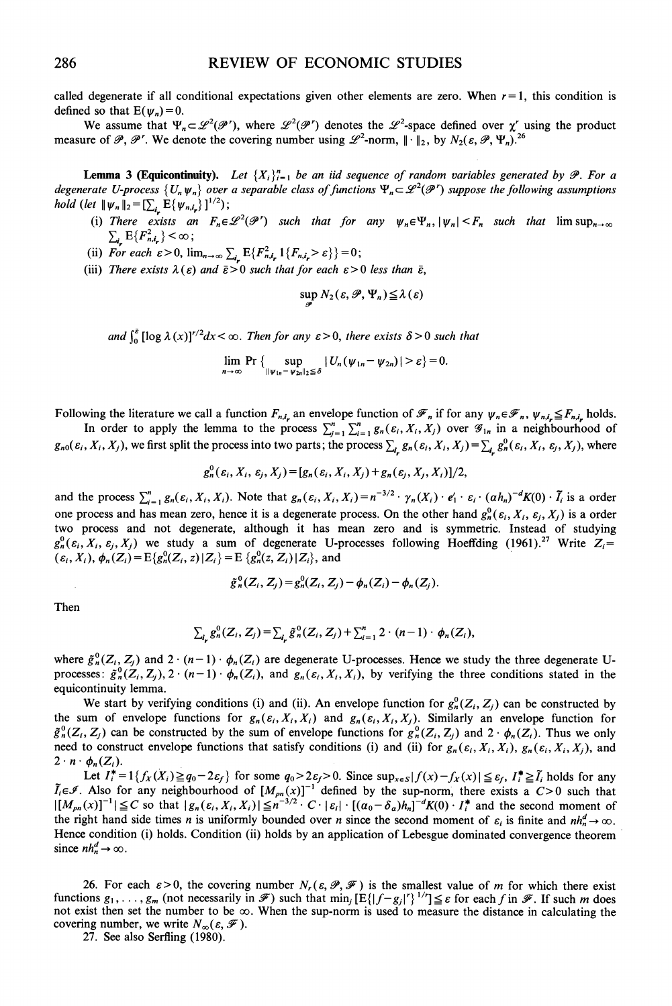called degenerate if all conditional expectations given other elements are zero. When  $r=1$ , this condition is defined so that  $E(\psi_n) = 0$ .

We assume that  $\Psi_n \subset \mathcal{L}^2(\mathcal{P}')$ , where  $\mathcal{L}^2(\mathcal{P}')$  denotes the  $\mathcal{L}^2$ -space defined over  $\chi'$  using the product measure of  $\mathscr{P}, \mathscr{P}'$ . We denote the covering number using  $\mathscr{L}^2$ -norm,  $\|\cdot\|_2$ , by  $N_2(\varepsilon, \mathscr{P}, \Psi_n)$ .<sup>26</sup>

**Lemma 3 (Equicontinuity).** Let  $\{X_i\}_{i=1}^n$  be an iid sequence of random variables generated by  $\mathcal{P}$ . For a degenerate U-process  $\{U_n \psi_n\}$  over a separable class of functions  $\Psi_n \subset \mathcal{L}^2(\mathcal{P}')$  suppose the following assumptions *hold* (let  $\|\psi_n\|_2 = \left[\sum_i E\{\psi_{n,i}\}\right]^{1/2};$ 

- (i) There exists an  $F_n \in \mathscr{L}^2(\mathscr{P}')$  such that for any  $\psi_n \in \Psi_n$ ,  $|\psi_n| < F_n$  such that  $\limsup_n$ ,  $\sum_{i} E\{F_{n,i_i}^2\} < \infty$ ;
- (ii) For each  $\varepsilon > 0$ ,  $\lim_{n \to \infty} \sum_i E\{F_{n,i_r}^2 1\{F_{n,i_r} > \varepsilon\}\} = 0$ ;
- (iii) There exists  $\lambda(\varepsilon)$  and  $\bar{\varepsilon} > 0$  such that for each  $\varepsilon > 0$  less than  $\bar{\varepsilon}$ ,

$$
\sup_{\mathcal{D}} N_2(\varepsilon, \mathcal{P}, \Psi_n) \leq \lambda(\varepsilon)
$$

and  $\int_0^{\bar{\varepsilon}} [\log \lambda(x)]^{r/2} dx < \infty$ . Then for any  $\varepsilon > 0$ , there exists  $\delta > 0$  such that

$$
\lim_{n\to\infty}\Pr\big\{\sup_{\|\psi_{1n}-\psi_{2n}\|_2\leq\delta}|\,U_n(\psi_{1n}-\psi_{2n})|>\varepsilon\big\}=0.
$$

Following the literature we call a function  $F_{n,i_r}$  an envelope function of  $\mathscr{F}_n$  if for any  $\psi_n \in \mathscr{F}_n$ ,  $\psi_{n,i_r} \leq F_{n,i_r}$  holds.

wing the literature we call a function  $F_{n,i_r}$  an envelope function of  $\mathcal{F}_n$  if for any  $\psi_n \in \mathcal{F}_n$ ,  $\psi_{n,i_r} \leq F_{n,i_r}$  holds.<br>In order to apply the lemma to the process  $\sum_{j=1}^n \sum_{i=1}^n g_n(\varepsilon_i, X_i, X_j)$  over  $\math$  $g_{n0}(\varepsilon_i, X_i, X_j)$ , we first split the process into two parts; the process  $\sum_i g_n(\varepsilon_i, X_i, X_j) = \sum_i g_n^0(\varepsilon_i, X_i, \varepsilon_j, X_j)$ , where

$$
g_n^0(\varepsilon_i, X_i, \varepsilon_j, X_j) = [g_n(\varepsilon_i, X_i, X_j) + g_n(\varepsilon_j, X_j, X_i)]/2,
$$

and the process  $\sum_{i=1}^n g_n(\varepsilon_i, X_i, X_i)$ . Note that  $g_n(\varepsilon_i, X_i, X_i) = n^{-3/2} \cdot \gamma_n(X_i) \cdot e'_1 \cdot \varepsilon_i \cdot (ah_n)^{-d} K(0) \cdot \overline{I}_i$  is a order one process and has mean zero, hence it is a degenerate process. On the other hand  $g_n^0(\varepsilon_i, X_i, \varepsilon_i, X_i)$  is a order two process and not degenerate, although it has mean zero and is symmetric. Instead of studying  $g_n^0(\varepsilon_i, X_i, \varepsilon_i, X_i)$  we study a sum of degenerate U-processes following Hoeffding (1961).<sup>27</sup> Write  $Z_i$  $({\varepsilon}_i,X_i)$ ,  $\phi_n(Z_i) = \mathbb{E}\{g_n^0(Z_i, z) | Z_i\} = \mathbb{E}\{g_n^0(z, Z_i) | Z_i\}$ , and

$$
\tilde{g}_n^0(Z_i, Z_i) = g_n^0(Z_i, Z_i) - \phi_n(Z_i) - \phi_n(Z_i).
$$

Then

$$
\sum_{i} g_n^0(Z_i, Z_j) = \sum_{i} \tilde{g}_n^0(Z_i, Z_j) + \sum_{i=1}^n 2 \cdot (n-1) \cdot \phi_n(Z_i),
$$

where  $\tilde{g}_n^0(Z_i, Z_j)$  and  $2 \cdot (n-1) \cdot \phi_n(Z_i)$  are degenerate U-processes. Hence we study the three degenerate Uprocesses:  $\hat{g}_n^0(Z_i, Z_j)$ ,  $2 \cdot (n-1) \cdot \phi_n(Z_i)$ , and  $g_n(\varepsilon_i, X_i, X_i)$ , by verifying the three conditions stated in the equicontinuity lemma.

We start by verifying conditions (i) and (ii). An envelope function for  $g_n^0(Z_i, Z_i)$  can be constructed by the sum of envelope functions for  $g_n(\varepsilon_i, X_i, X_i)$  and  $g_n(\varepsilon_i, X_i, X_j)$ . Similarly an envelope function for  $\tilde{g}_n^0(Z_i, Z_j)$  can be constructed by the sum of envelope functions for  $g_n^0(Z_i, Z_j)$  and  $2 \cdot \phi_n(Z_i)$ . Thus we only need to construct envelope functions that satisfy conditions (i) and (ii) for  $g_n(\varepsilon_i, X_i, X_i)$ ,  $g_n(\varepsilon_i, X_i, X_i)$ , and  $2 \cdot n \cdot \phi_n(Z_i)$ .

Let  $I_i^* = \left\{ f_X(X_i) \geq q_0 - 2\varepsilon_f \right\}$  for some  $q_0 > 2\varepsilon_f > 0$ . Since  $\sup_{x \in S} |f(x) - f_X(x)| \leq \varepsilon_f$ ,  $I_i^* \geq \tilde{I}_i$  holds for any  $\tilde{I}_i \in \mathcal{I}$ . Also for any neighbourhood of  $[M_{pn}(x)]^{-1}$  defined by the sup-norm, there exists a  $C>0$  such that  $|[M_{pn}(x)]^{-1}| \leq C$  so that  $|g_n(\varepsilon_i, X_i, X_i)| \leq n^{-3/2} \cdot C \cdot |\varepsilon_i| \cdot [(a_0 - \delta_a)h_n]^{-d}K(0) \cdot I_i^*$  and the second moment of the right hand side times n is uniformly bounded over n since the second moment of  $\varepsilon_i$  is finite and  $nh_n^d \to \infty$ . Hence condition (i) holds. Condition (ii) holds by an application of Lebesgue dominated convergence theorem since  $nh_n^d \to \infty$ .

26. For each  $\varepsilon > 0$ , the covering number  $N_r(\varepsilon, \mathcal{P}, \mathcal{F})$  is the smallest value of m for which there exist functions  $g_1, \ldots, g_m$  (not necessarily in  $\mathcal{F}$ ) such that min,  $\left[\mathbb{E}\{|f-g_j|^2\} \right]^{1/p} \leq \varepsilon$  for each f in  $\mathcal{F}$ . If such m does not exist then set the number to be  $\infty$ . When the sup-norm is used to measure the distance in calculating the covering number, we write  $N_{\infty}(\varepsilon, \mathscr{F})$ .

**27.** See also Serfling (1980).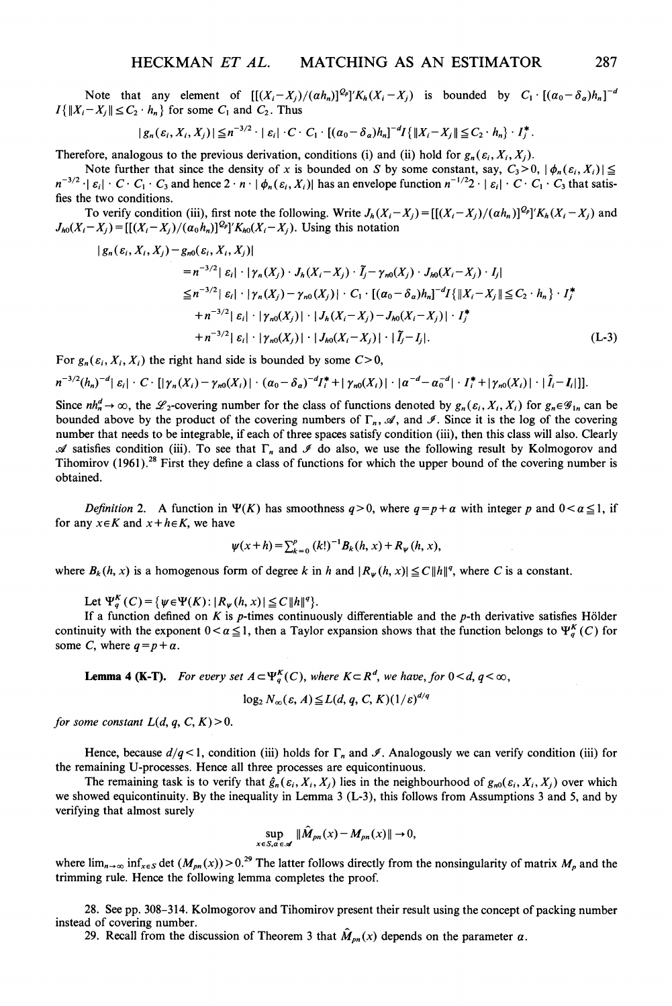Note that any element of  $\left[\frac{(X_i - X_j)}{(a h_m)^2}K_h(X_i - X_j)\right]$  is bounded by  $C_1 \cdot \left[\frac{(a_0 - \delta_a)h_n}{a}\right]^{-d}$  $I\{\|X_i - X_i\| \leq C_2 \cdot h_n\}$  for some  $C_1$  and  $C_2$ . Thus

$$
|g_n(\varepsilon_i,X_i,X_j)| \leq n^{-3/2} \cdot |\varepsilon_i| \cdot C \cdot C_1 \cdot [(\alpha_0-\delta_\alpha)h_n]^{-d} I\{||X_i-X_j|| \leq C_2 \cdot h_n\} \cdot I_j^*.
$$

Therefore, analogous to the previous derivation, conditions (i) and (ii) hold for  $g_n(\varepsilon_i, X_i, X_j)$ .

Note further that since the density of x is bounded on S by some constant, say,  $C_3 > 0$ ,  $|\phi_n(\varepsilon_i, X_i)| \le$  $n^{-3/2}$   $|\varepsilon_i|$   $\cdot$   $C$   $\cdot$   $C_1$   $\cdot$   $C_3$  and hence  $2 \cdot n \cdot |\phi_n(\varepsilon_i, X_i)|$  has an envelope function  $n^{-1/2}2 \cdot |\varepsilon_i|$   $\cdot$   $C$   $\cdot$   $C_1 \cdot C_3$  that satisfies the two conditions.

To verify condition (iii), first note the following. Write  $J_h(X_i - X_j) = [[(X_i - X_j)/(a h_n)]^{Q_p}]^T K_h(X_i - X_j)$  and  $J_{h0}(X_i-X_j) = [[(X_i-X_i)/(\alpha_0 h_n)]^{Q_p}]'K_{h0}(X_i-X_j)$ . Using this notation

$$
|g_n(\varepsilon_i, X_i, X_j) - g_{n0}(\varepsilon_i, X_i, X_j)|
$$
  
\n
$$
= n^{-3/2} |\varepsilon_i| \cdot |\gamma_n(X_j) \cdot J_h(X_i - X_j) \cdot \tilde{I}_j - \gamma_{n0}(X_j) \cdot J_{h0}(X_i - X_j) \cdot I_j|
$$
  
\n
$$
\leq n^{-3/2} |\varepsilon_i| \cdot |\gamma_n(X_j) - \gamma_{n0}(X_j)| \cdot C_1 \cdot [(\alpha_0 - \delta_\alpha)h_n]^{-d} I_{\{||X_i - X_j|| \leq C_2 \cdot h_n\}} \cdot I_j^*
$$
  
\n
$$
+ n^{-3/2} |\varepsilon_i| \cdot |\gamma_{n0}(X_j)| \cdot |J_h(X_i - X_j) - J_{h0}(X_i - X_j)| \cdot I_j^*
$$
  
\n
$$
+ n^{-3/2} |\varepsilon_i| \cdot |\gamma_{n0}(X_j)| \cdot |J_{h0}(X_i - X_j)| \cdot |\tilde{I}_j - I_j|.
$$
 (L-3)

For  $g_n(\varepsilon_i, X_i, X_i)$  the right hand side is bounded by some  $C>0$ ,

$$
n^{-3/2}(h_n)^{-d}|\varepsilon_i|\cdot C\cdot[|\gamma_n(X_i)-\gamma_{n0}(X_i)|\cdot (\alpha_0-\delta_a)^{-d}I_i^*+|\gamma_{n0}(X_i)|\cdot |\alpha^{-d}-\alpha_0^{-d}|\cdot I_i^*+|\gamma_{n0}(X_i)|\cdot |\hat{I}_i-I_i|]].
$$

Since  $nh_n^d \to \infty$ , the  $\mathscr{L}_2$ -covering number for the class of functions denoted by  $g_n(\varepsilon_i, X_i, X_i)$  for  $g_n \in \mathscr{G}_{1n}$  can be bounded above by the product of the covering numbers of  $\Gamma_n$ ,  $\mathscr{A}$ , and  $\mathscr{I}$ . Since it is the log of the covering number that needs to be integrable, if each of three spaces satisfy condition (iii), then this class will also. Clearly  $\mathscr A$  satisfies condition (iii). To see that  $\Gamma_n$  and  $\mathscr A$  do also, we use the following result by Kolmogorov and Tihomirov  $(1961)$ .<sup>28</sup> First they define a class of functions for which the upper bound of the covering number is obtained.

*Definition* 2. A function in  $\Psi(K)$  has smoothness  $q>0$ , where  $q=p+a$  with integer p and  $0<\alpha\leq 1$ , if for any  $x \in K$  and  $x + h \in K$ , we have

$$
\psi(x+h) = \sum_{k=0}^{p} (k!)^{-1} B_k(h, x) + R_{\psi}(h, x),
$$

where  $B_k(h, x)$  is a homogenous form of degree k in h and  $|R_{w}(h, x)| \leq C ||h||^q$ , where C is a constant.

Let  $\Psi_q^K(C) = \{ \psi \in \Psi(K) : |R_{\psi}(h, x)| \leq C ||h||^q \}.$ 

If a function defined on K is p-times continuously differentiable and the p-th derivative satisfies Hölder continuity with the exponent  $0 < \alpha \leq 1$ , then a Taylor expansion shows that the function belongs to  $\Psi_a^K(C)$  for some C, where  $q = p + a$ .

**Lemma 4 <b>(K-T).** For every set  $A \subset \Psi_a^K(C)$ , where  $K \subset R^d$ , we have, for  $0 \le d$ ,  $q \le \infty$ ,

$$
\log_2 N_{\infty}(\varepsilon, A) \leq L(d, q, C, K) \left(1/\varepsilon\right)^{d/q}
$$

for some constant  $L(d, q, C, K) > 0$ .

Hence, because  $d/q < 1$ , condition (iii) holds for  $\Gamma_n$  and  $\mathcal{I}$ . Analogously we can verify condition (iii) for the remaining U-processes. Hence all three processes are equicontinuous.

The remaining task is to verify that  $\hat{g}_n(\varepsilon_i, X_i, X_j)$  lies in the neighbourhood of  $g_{n0}(\varepsilon_i, X_i, X_j)$  over which we showed equicontinuity. By the inequality in Lemma 3 (L-3), this follows from Assumptions 3 and 5, and by verifying that almost surely

$$
\sup_{x \in S, \alpha \in \mathscr{A}} \| \widehat{M}_{pn}(x) - M_{pn}(x) \| \to 0,
$$

where  $\lim_{n\to\infty} \inf_{x\in S}$  det  $(M_{pn}(x)) > 0.^{29}$  The latter follows directly from the nonsingularity of matrix  $M_p$  and the trimming rule. Hence the following lemma completes the proof.

28. See pp. 308-314. Kolmogorov and Tihomirov present their result using the concept of packing number instead of covering number.

29. Recall from the discussion of Theorem 3 that  $\hat{M}_{pn}(x)$  depends on the parameter  $\alpha$ .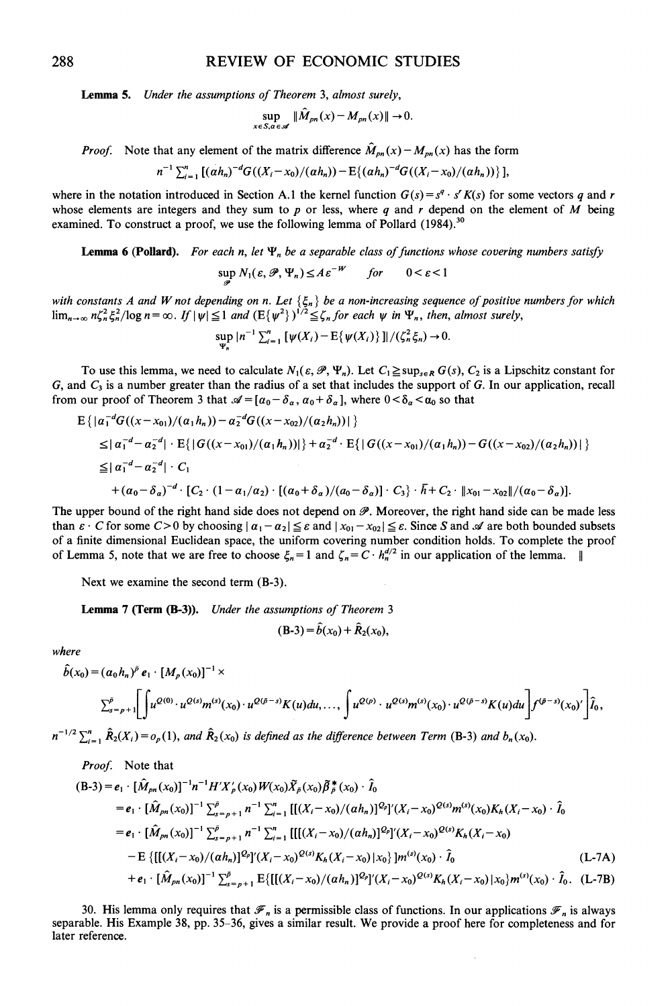#### 288 REVIEW OF ECONOMIC STUDIES

*Lemma 5. Under the assumptions of Theorem 3, almost surely,* 

$$
\sup_{x \in S, \alpha \in \mathscr{A}} \| \tilde{M}_{pn}(x) - M_{pn}(x) \| \to 0
$$

*Proof.* Note that any element of the matrix difference  $\hat{M}_{pn}(x) - M_{pn}(x)$  has the form

$$
n^{-1}\sum_{i=1}^{n}[(\alpha h_n)^{-d}G((X_i-x_0)/( \alpha h_n)) - \mathbb{E}\{(\alpha h_n)^{-d}G((X_i-x_0)/( \alpha h_n))\}],
$$

where in the notation introduced in Section A.1 the kernel function  $G(s) = s^q \cdot s^r K(s)$  for some vectors *q* and *r* whose elements are integers and they sum to *p* or less, where *q* and *r* depend on the element of M being examined. To construct a proof, we use the following lemma of Pollard (1984).<sup>30</sup>

**Lemma 6 (Pollard).** For each n, let  $\Psi_n$  be a separable class of functions whose covering numbers satisfy

 $\sup_{\mathbf{A}} N_1(\varepsilon, \mathcal{P}, \Psi_n) \leq A \varepsilon^{-W}$  for  $0 < \varepsilon < 1$ 

with constants A and W not depending on n. Let  $\{\xi_n\}$  be a non-increasing sequence of positive numbers for which  $\lim_{n\to\infty} n\zeta_n^2 \xi_n^2/\log n = \infty$ . If  $|\psi| \leq 1$  and  $(E\{\psi^2\})^{1/2} \leq \zeta_n$  for each  $\psi$  in  $\Psi_n$ , then, al

 $\sup_{\Psi_{n}} |n^{-1} \sum_{i=1}^{n} [\psi(X_i) - E\{\psi(X_i)\}] / (\zeta_n^2 \xi_n) \to 0.$ 

To use this lemma, we need to calculate  $N_1(\varepsilon, \mathcal{P}, \Psi_n)$ . Let  $C_1 \ge \sup_{s \in R} G(s)$ ,  $C_2$  is a Lipschitz constant for *G,* and *C3*is a number greater than the radius of a set that includes the support of *G.* In our application, recall from our proof of Theorem 3 that  $\mathscr{A} = [\alpha_0 - \delta_\alpha, \alpha_0 + \delta_\alpha]$ , where  $0 < \delta_\alpha < \alpha_0$  so that<br>  $E\{|\alpha_0^{-d}G((x-x_0))/(a, b)\} = \alpha_0^{-d}G((x-x_0)/(a, b))$ 

$$
E\{|a_1^{-a}G((x-x_{01})/(a_1h_n)) - a_2^{-a}G((x-x_{02})/(a_2h_n))|\}
$$
  
\n
$$
\leq |a_1^{-d} - a_2^{-d}| \cdot E\{|G((x-x_{01})/(a_1h_n))|\} + a_2^{-d} \cdot E\{|G((x-x_{01})/(a_1h_n)) - G((x-x_{02})/(a_2h_n))|\}
$$
  
\n
$$
\leq |a_1^{-d} - a_2^{-d}| \cdot C_1
$$
  
\n
$$
+ (a_0 - \delta_a)^{-d} \cdot [C_2 \cdot (1 - a_1/a_2) \cdot [(\alpha_0 + \delta_a)/(a_0 - \delta_a)] \cdot C_3 \} \cdot \bar{h} + C_2 \cdot ||x_{01} - x_{02}||/(a_0 - \delta_a)].
$$

The upper bound of the right hand side does not depend on  $\mathcal{P}$ . Moreover, the right hand side can be made less than  $\varepsilon \cdot C$  for some  $C>0$  by choosing  $| \alpha_1 - \alpha_2 | \leq \varepsilon$  and  $| x_{01} - x_{02} | \leq \varepsilon$ . Since *S* and  $\mathscr A$  are both bounded subsets of a finite dimensional Euclidean space, the uniform covering number condition holds. To complete the proof of Lemma 5, note that we are free to choose  $\xi_n = 1$  and  $\zeta_n = C \cdot h_n^{d/2}$  in our application of the lemma.  $\|$ 

Next we examine the second term *(B-3).* 

*Lemma 7 (Term* **(3-3)).** *Under the assumptions of Theorem 3* 

$$
(B-3) = \hat{b}(x_0) + \hat{R}_2(x_0),
$$

*where* 

$$
\hat{b}(x_0) = (a_0 h_n)^{\bar{p}} e_1 \cdot [M_p(x_0)]^{-1} \times
$$
\n
$$
\sum_{s=p+1}^{\bar{p}} \left[ \int u^{Q(0)} \cdot u^{Q(s)} m^{(s)}(x_0) \cdot u^{Q(\bar{p}-s)} K(u) du, \dots, \int u^{Q(p)} \cdot u^{Q(s)} m^{(s)}(x_0) \cdot u^{Q(\bar{p}-s)} K(u) du \right] f^{(\bar{p}-s)}(x_0)^r \left] \hat{I}_0,
$$

 $n^{-1/2} \sum_{i=1}^n \hat{R}_2(X_i) = o_p(1)$ , *and*  $\hat{R}_2(x_0)$  is defined as the difference between Term (B-3) and  $b_n(x_0)$ .

*Proof.* Note that

$$
(B-3) = e_1 \cdot [\hat{M}_{pn}(x_0)]^{-1} n^{-1} H' X'_p(x_0) W(x_0) \tilde{X}_p(x_0) \tilde{\beta}_p^*(x_0) \cdot \hat{I}_0
$$
  
\n
$$
= e_1 \cdot [\hat{M}_{pn}(x_0)]^{-1} \sum_{s=p+1}^p n^{-1} \sum_{i=1}^n [[(X_i - x_0)/(a h_n)]^{Q_p}]'(X_i - x_0)^{Q(s)} m^{(s)}(x_0) K_h(X_i - x_0) \cdot \hat{I}_0
$$
  
\n
$$
= e_1 \cdot [\hat{M}_{pn}(x_0)]^{-1} \sum_{s=p+1}^p n^{-1} \sum_{i=1}^n [[[(X_i - x_0)/(a h_n)]^{Q_p}]'(X_i - x_0)^{Q(s)} K_h(X_i - x_0)
$$
  
\n
$$
- E \{ [[(X_i - x_0)/(a h_n)]^{Q_p}]'(X_i - x_0)^{Q(s)} K_h(X_i - x_0) |x_0\} ] m^{(s)}(x_0) \cdot \hat{I}_0
$$
  
\n
$$
+ e_1 \cdot [\hat{M}_{pn}(x_0)]^{-1} \sum_{s=p+1}^p E \{ [[(X_i - x_0)/(a h_n)]^{Q_p}]'(X_i - x_0)^{Q(s)} K_h(X_i - x_0) |x_0\} m^{(s)}(x_0) \cdot \hat{I}_0.
$$
 (L-7B)

30. His lemma only requires that  $\mathcal{F}_n$  is a permissible class of functions. In our applications  $\mathcal{F}_n$  is always separable. His Example *38,* pp. *35-36,* gives a similar result. We provide a proof here for completeness and for later reference.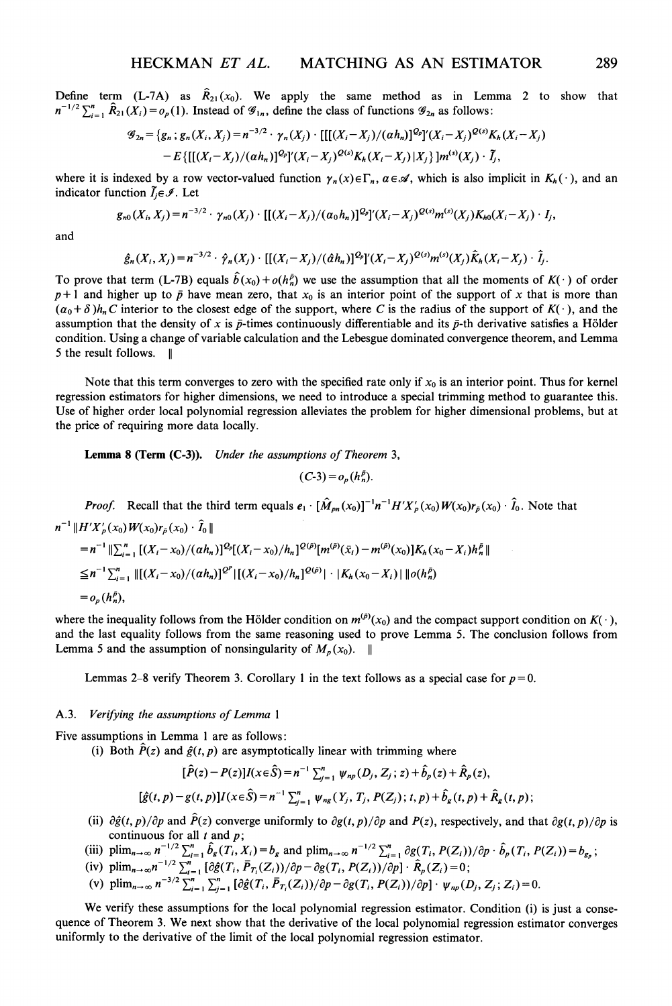Define term (L-7A) as  $\hat{R}_{21}(x_0)$ . We apply the same method as in Lemma 2 to show that  $n^{-1/2} \sum_{i=1}^{n} \hat{R}_{21}(X_i) = o_p(1)$ . Instead of  $\mathcal{G}_{1n}$ , define the class of functions  $\mathcal{G}_{2n}$  as follows:

$$
\mathscr{G}_{2n} = \{g_n : g_n(X_i, X_j) = n^{-3/2} \cdot \gamma_n(X_j) \cdot [[[(X_i - X_j)/(a h_n)]^{Q_p}](X_i - X_j)^{Q(s)} K_h(X_i - X_j) - E\{[[(X_i - X_j)/(a h_n)]^{Q_p}](X_i - X_j)^{Q(s)} K_h(X_i - X_j) |X_j\} \} m^{(s)}(X_j) \cdot \tilde{I}_j,
$$

where it is indexed by a row vector-valued function  $\gamma_n(x) \in \Gamma_n$ ,  $\alpha \in \mathcal{A}$ , which is also implicit in  $K_h(\cdot)$ , and an indicator function  $\tilde{I}_i \in \mathcal{I}$ . Let

$$
g_{n0}(X_i,X_j)=n^{-3/2}\cdot \gamma_{n0}(X_j)\cdot [[(X_i-X_j)/(\alpha_0 h_n)]^{Q_p}]'(X_i-X_j)^{Q(s)}m^{(s)}(X_j)K_{h0}(X_i-X_j)\cdot I_j,
$$

and

$$
\hat{g}_n(X_i, X_j) = n^{-3/2} \cdot \hat{\gamma}_n(X_j) \cdot [[(X_i - X_j)/(\hat{\alpha}h_n)]^{Q_p}]'(X_i - X_j)^{Q(s)} m^{(s)}(X_j) \hat{K}_h(X_i - X_j) \cdot \hat{I}_j.
$$

To prove that term (L-7B) equals  $\hat{b}(x_0) + o(h_{\hat{b}}^p)$  we use the assumption that all the moments of  $K(\cdot)$  of order  $p+1$  and higher up to  $\bar{p}$  have mean zero, that  $x_0$  is an interior point of the support of x that is more than  $(a_0 + \delta)h_n C$  interior to the closest edge of the support, where C is the radius of the support of  $K(\cdot)$ , and the assumption that the density of x is  $\bar{p}$ -times continuously differentiable and its  $\bar{p}$ -th derivative satisfies a Hölder condition. Using a change of variable calculation and the Lebesgue dominated convergence theorem, and Lemma 5 the result follows.  $\parallel$ 

Note that this term converges to zero with the specified rate only if  $x_0$  is an interior point. Thus for kernel regression estimators for higher dimensions, we need to introduce a special trimming method to guarantee this. Use of higher order local polynomial regression alleviates the problem for higher dimensional problems, but at the price of requiring more data locally.

**Lemma 8 (Term (C-3)).** Under the assumptions of Theorem 3,

$$
(C-3)=o_p(h_n^{\bar{p}}).
$$

*Proof.* Recall that the third term equals  $e_1 \cdot [\hat{M}_{pn}(x_0)]^{-1}n^{-1}H'X'_{p}(x_0)W(x_0)r_{\bar{p}}(x_0) \cdot \hat{I}_0$ . Note that  $n^{-1}$  ||  $H'X'_{p}(x_{0})W(x_{0})r_{p}(x_{0}) \cdot \hat{I}_{0}$ ||  $=n^{-1}\left[\sum_{i=1}^{n}\left[(X_i-x_0)/(a h_n)\right]^{Q_i}[(X_i-x_0)/h_n]^{Q(\bar{p})}[m^{(\bar{p})}(\bar{x}_i)-m^{(\bar{p})}(x_0)]K_h(x_0-X_i)h_n^{\bar{p}}\right]$  $\leq n^{-1}\sum_{i=1}^n \left\| [(X_i-x_0)/(a h_n)]^{Q^p} \right\| [(X_i-x_0)/h_n]^{Q(\bar{p})} \left| \right| \cdot |K_h(x_0-X_i)| \left\| o(h_n^{\bar{p}})\right|$  $= o_n(h_n^{\bar{p}}),$ 

where the inequality follows from the Hölder condition on  $m^{(\beta)}(x_0)$  and the compact support condition on  $K(\cdot)$ , and the last equality follows from the same reasoning used to prove Lemma 5. The conclusion follows from Lemma 5 and the assumption of nonsingularity of  $M_n(x_0)$ .  $\parallel$ 

Lemmas 2-8 verify Theorem 3. Corollary 1 in the text follows as a special case for  $p=0$ .

#### **A.3.** Verifying the assumptions of Lemma 1

Five assumptions in Lemma 1 are as follows:

(i) Both  $P(z)$  and  $\hat{g}(t, p)$  are asymptotically linear with trimming where

$$
[\hat{P}(z) - P(z)]I(x \in \hat{S}) = n^{-1} \sum_{j=1}^{n} \psi_{np}(D_j, Z_j; z) + \hat{b}_p(z) + \hat{R}_p(z),
$$
  

$$
[\hat{g}(t, p) - g(t, p)]I(x \in \hat{S}) = n^{-1} \sum_{j=1}^{n} \psi_{ng}(Y_j, T_j, P(Z_j); t, p) + \hat{b}_g(t, p) + \hat{R}_g(t, p);
$$

- (ii)  $\partial \hat{g}(t, p)/\partial p$  and  $\hat{P}(z)$  converge uniformly to  $\partial g(t, p)/\partial p$  and  $P(z)$ , respectively, and that  $\partial g(t, p)/\partial p$  is continuous for all  $t$  and  $p$ ;
- (iii) plim<sub>n-x</sub>  $n^{-1/2} \sum_{i=1}^{n} \hat{b}_s(T_i, X_i) = b_s$  and plim<sub>n-x</sub>  $n^{-1/2} \sum_{i=1}^{n} \partial g(T_i, P(Z_i)) / \partial p \cdot \hat{b}_p(T_i, P(Z_i)) = b_{g_p}$ ;
- (iv)  $\lim_{n\to\infty} n^{-1/2} \sum_{i=1}^{n} \frac{C_{i=1} \sigma_g(\Upsilon_i, \Lambda_i) C_g}{\sigma_g(\Upsilon_i, \overline{P}_T(\Sigma_i))/\partial p \partial g(\Upsilon_i, P(Z_i))/\partial p}$ .  $\hat{R}_p(Z_i) = 0$ ;
- (v)  $\text{plim}_{n \to \infty} n^{-3/2} \sum_{i=1}^{n} \sum_{j=1}^{n} [\partial \hat{g}(T_i, \bar{P}_{T_i}(Z_i))/\partial p \partial g(T_i, P(Z_i))/\partial p] \cdot \psi_{np}(D_j, Z_j; Z_i) = 0.$

We verify these assumptions for the local polynomial regression estimator. Condition (i) is just a consequence of Theorem **3.** We next show that the derivative of the local polynomial regression estimator converges uniformly to the derivative of the limit of the local polynomial regression estimator.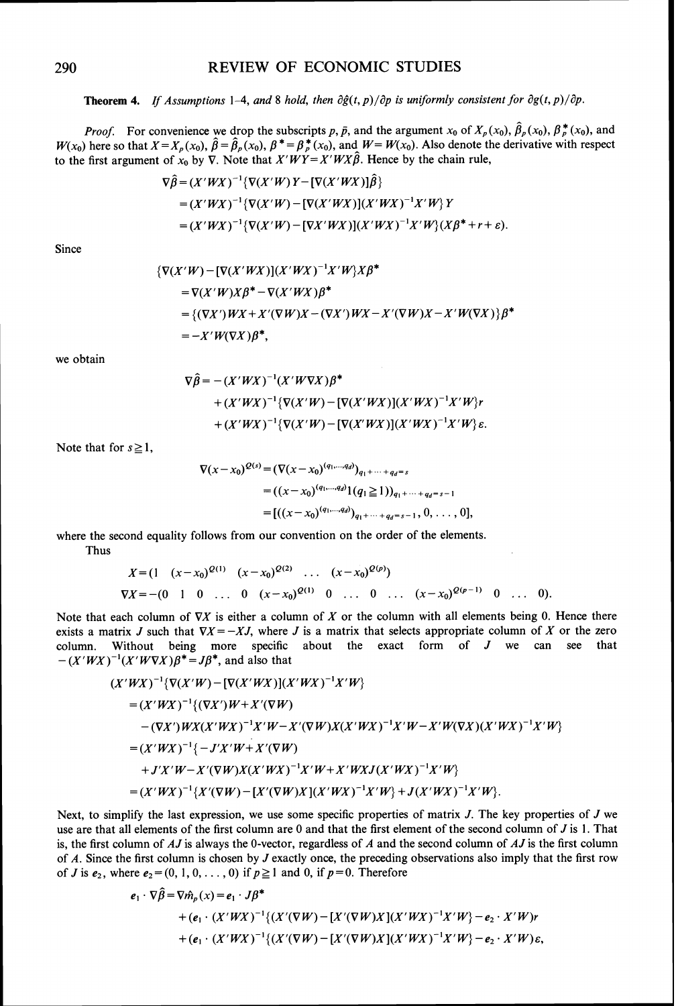**Theorem 4.** If Assumptions 1-4, and 8 hold, then  $\partial \hat{g}(t, p)/\partial p$  is uniformly consistent for  $\partial g(t, p)/\partial p$ .

*Proof.* For convenience we drop the subscripts p,  $\bar{p}$ , and the argument  $x_0$  of  $X_p(x_0), \hat{\beta}_p(x_0), \beta_p^*(x_0)$ , and  $W(x_0)$  here so that  $X = X_p(x_0)$ ,  $\hat{\beta} = \hat{\beta}_p(x_0)$ ,  $\beta^* = \beta_p^*(x_0)$ , and  $W = W(x_0)$ . Also denote the derivative with respect to the first argument of  $x_0$  by  $\nabla$ . Note that  $X'WY=X'WX\hat{\beta}$ . Hence by the chain rule,

$$
\nabla \hat{\beta} = (X'WX)^{-1} \{\nabla (X'W)Y - [\nabla (X'WX)]\hat{\beta}\}\n= (X'WX)^{-1} \{\nabla (X'W) - [\nabla (X'WX)](X'WX)^{-1}X'W\}Y\n= (X'WX)^{-1} \{\nabla (X'W) - [\nabla X'WX)](X'WX)^{-1}X'W\} \langle X\beta^* + r + \varepsilon\rangle.
$$

Since

$$
\begin{aligned} \{\nabla(X'W) - [\nabla(X'WX)](X'WX)^{-1}X'W\}XB^* \\ &= \nabla(X'WX)BB^* - \nabla(X'WX)B^* \\ &= \{(\nabla X')WX + X'(\nabla W)X - (\nabla X')WX - X'(\nabla W)X - X'W(\nabla X)\}B^* \\ &= -X'W(\nabla X)B^*. \end{aligned}
$$

we obtain

$$
\nabla \hat{\beta} = -(X'WX)^{-1}(X'W\nabla X)\beta^*
$$
  
+ 
$$
(X'WX)^{-1}\{\nabla(X'W) - [\nabla(X'WX)][(X'WX)^{-1}X'W\}r
$$
  
+ 
$$
(X'WX)^{-1}\{\nabla(X'W) - [\nabla(X'WX)][(X'WX)^{-1}X'W\} \varepsilon.
$$

Note that for  $s \geq 1$ ,

$$
\nabla(x - x_0)^{Q(s)} = (\nabla(x - x_0)^{(q_1, \dots, q_d)}_{q_1 + \dots + q_d = s}
$$
  
=  $((x - x_0)^{(q_1, \dots, q_d)} 1(q_1 \ge 1))_{q_1 + \dots + q_d = s - 1}$   
=  $[((x - x_0)^{(q_1, \dots, q_d)}_{q_1 + \dots + q_d = s - 1}, 0, \dots, 0],$ 

where the second equality follows from our convention on the order of the elements. Thus

$$
X = (1 (x-x_0)^{Q(1)} (x-x_0)^{Q(2)} \dots (x-x_0)^{Q(\rho)} \nabla X = -(0 1 0 \dots 0 (x-x_0)^{Q(1)} 0 \dots 0 \dots (x-x_0)^{Q(\rho-1)} 0 \dots 0).
$$

Note that each column of  $\nabla X$  is either a column of X or the column with all elements being 0. Hence there exists a matrix *J* such that  $\nabla X = -XJ$ , where *J* is a matrix that selects appropriate column of *X* or the zero column. Without being more specific about the exact form of *J* we can see that  $-(X'WX)^{-1}(X'W\nabla X)\beta^* = J\beta^*$ , and also that

$$
(X'WX)^{-1}\{\nabla(X'W) - [\nabla(X'WX)](X'WX)^{-1}X'W\}
$$
  
=  $(X'WX)^{-1}\{(\nabla X')W + X'(\nabla W)$   
 $-(\nabla X')WX(X'WX)^{-1}X'W - X'(\nabla W)X(X'WX)^{-1}X'W - X'W(\nabla X)(X'WX)^{-1}X'W\}$   
=  $(X'WX)^{-1}\{-J'X'W + X'(\nabla W)$   
 $+ J'X'W - X'(\nabla W)X(X'WX)^{-1}X'W + X'WXJ(X'WX)^{-1}X'W\}$   
=  $(X'WX)^{-1}\{X'(\nabla W) - [X'(\nabla W)X](X'WX)^{-1}X'W\} + J(X'WX)^{-1}X'W\}.$ 

Next, to simplify the last expression, we use some specific properties of matrix *J.* The key properties of *J* we use are that all elements of the first column are *0* and that the first element of the second column of *J* is 1. That is, the first column of *AJ* is always the 0-vector, regardless of *A* and the second column of *AJ* is the first column of *A.* Since the first column is chosen by *J* exactly once, the preceding observations also imply that the first row of *J* is  $e_2$ , where  $e_2 = (0, 1, 0, \ldots, 0)$  if  $p \ge 1$  and 0, if  $p = 0$ . Therefore

$$
e_1 \cdot \nabla \hat{\beta} = \nabla \hat{m}_p(x) = e_1 \cdot J\beta^*
$$
  
+ 
$$
(e_1 \cdot (X'WX)^{-1}\{(X'(\nabla W) - [X'(\nabla W)X](X'WX)^{-1}X'W\} - e_2 \cdot X'W)r
$$
  
+ 
$$
(e_1 \cdot (X'WX)^{-1}\{(X'(\nabla W) - [X'(\nabla W)X](X'WX)^{-1}X'W\} - e_2 \cdot X'W)\varepsilon.
$$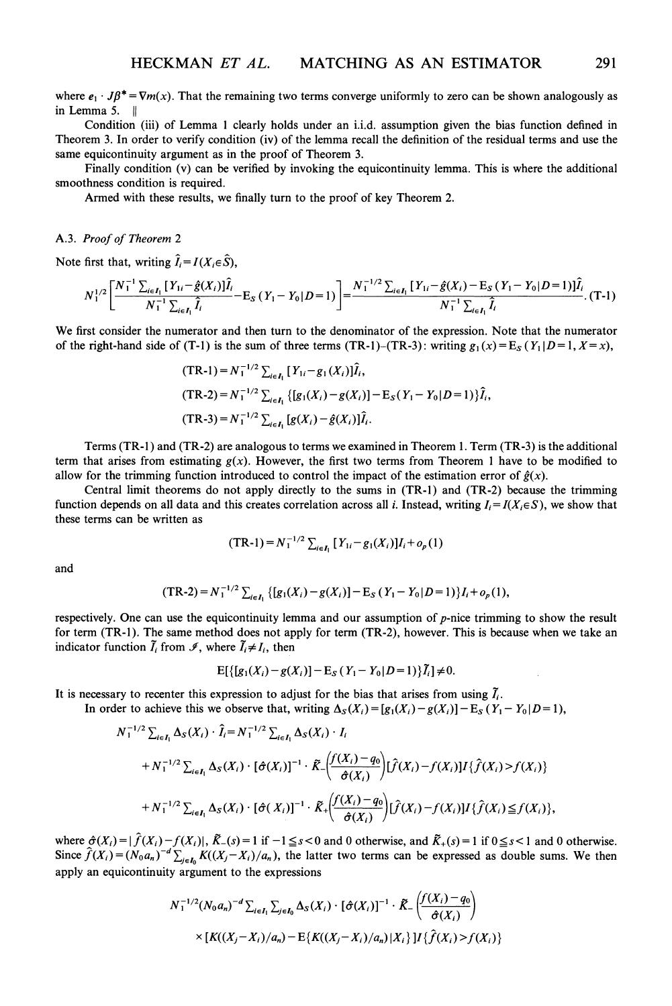where  $e_1 \cdot J\beta^* = \nabla m(x)$ . That the remaining two terms converge uniformly to zero can be shown analogously as in Lemma 5.  $\parallel$ 

Condition (iii) of Lemma 1 clearly holds under an i.i.d. assumption given the bias function defined in Theorem **3.** In order to verify condition (iv) of the lemma recall the definition of the residual terms and use the same equicontinuity argument as in the proof of Theorem **3.** 

Finally condition (v) can be verified by invoking the equicontinuity lemma. This is where the additional smoothness condition is required.

Armed with these results, we finally turn to the proof of key Theorem 2.

 $\overline{a}$ 

#### A.3. Proof of Theorem 2

Note first that, writing  $\hat{I}_i = I(X_i \in \hat{S})$ ,

$$
N_1^{1/2} \left[ \frac{N_1^{-1} \sum_{i \in I_1} [Y_{1i} - \hat{g}(X_i)] \hat{I}_i}{N_1^{-1} \sum_{i \in I_1} \hat{I}_i} - \mathbf{E}_S \left( Y_1 - Y_0 | D = 1 \right) \right] = \frac{N_1^{-1/2} \sum_{i \in I_1} [Y_{1i} - \hat{g}(X_i) - \mathbf{E}_S \left( Y_1 - Y_0 | D = 1 \right)] \hat{I}_i}{N_1^{-1} \sum_{i \in I_1} \hat{I}_i} \tag{T-1}
$$

We first consider the numerator and then turn to the denominator of the expression. Note that the numerator of the right-hand side of (T-1) is the sum of three terms (TR-1)-(TR-3): writing  $g_1(x) = E_s(Y_1|D=1, X=x)$ ,

$$
\begin{aligned} &\text{(TR-1)} = N_1^{-1/2} \sum_{i \in I_1} \left[ Y_{1i} - g_1(X_i) \right] I_i, \\ &\text{(TR-2)} = N_1^{-1/2} \sum_{i \in I_1} \left\{ \left[ g_1(X_i) - g(X_i) \right] - \mathbf{E}_S(Y_1 - Y_0 | D = 1) \right\} \hat{I}_i, \\ &\text{(TR-3)} = N_1^{-1/2} \sum_{i \in I_1} \left[ g(X_i) - \hat{g}(X_i) \right] \hat{I}_i. \end{aligned}
$$

Terms (TR-1) and (TR-2) are analogous to terms we examined in Theorem 1. Term (TR-3) is the additional term that arises from estimating  $g(x)$ . However, the first two terms from Theorem 1 have to be modified to allow for the trimming function introduced to control the impact of the estimation error of  $\hat{g}(x)$ .

Central limit theorems do not apply directly to the sums in (TR-1) and (TR-2) because the trimming function depends on all data and this creates correlation across all i. Instead, writing  $I_i=I(X_i\epsilon S)$ , we show that these terms can be written as

$$
(\text{TR-1}) = N_1^{-1/2} \sum_{i \in L} [Y_{1i} - g_1(X_i)] I_i + o_p(1)
$$

and

$$
(\text{TR-2}) = N_1^{-1/2} \sum_{i \in I_1} \left\{ [g_1(X_i) - g(X_i)] - \mathbb{E}_S \left( Y_1 - Y_0 | D = 1 \right) \right\} I_i + o_p(1),
$$

respectively. One can use the equicontinuity lemma and our assumption of  $p$ -nice trimming to show the result for term (TR-1). The same method does not apply for term (TR-2), however. This is because when we take an indicator function  $\tilde{I}_i$  from  $\mathcal{I}_i$ , where  $\tilde{I}_i \neq I_i$ , then

$$
E[{[g_1(X_i) - g(X_i)] - E_s (Y_1 - Y_0 | D = 1)}\tilde{I}_i] \neq 0.
$$

It is necessary to recenter this expression to adjust for the bias that arises from using  $\tilde{I}_i$ .

In order to achieve this we observe that, writing  $\Delta_S(X_i) = [g_1(X_i) - g(X_i)] - E_S(Y_1 - Y_0|D=1)$ ,

$$
N_{1}^{-1/2} \sum_{i \in I_{1}} \Delta_{S}(X_{i}) \cdot \hat{I}_{i} = N_{1}^{-1/2} \sum_{i \in I_{1}} \Delta_{S}(X_{i}) \cdot I_{i}
$$
  
+  $N_{1}^{-1/2} \sum_{i \in I_{1}} \Delta_{S}(X_{i}) \cdot [\hat{\sigma}(X_{i})]^{-1} \cdot \tilde{K} \cdot \left(\frac{f(X_{i}) - q_{0}}{\hat{\sigma}(X_{i})}\right) [\hat{f}(X_{i}) - f(X_{i})] I\{\hat{f}(X_{i}) > f(X_{i})\}$   
+  $N_{1}^{-1/2} \sum_{i \in I_{1}} \Delta_{S}(X_{i}) \cdot [\hat{\sigma}(X_{i})]^{-1} \cdot \tilde{K} \cdot \left(\frac{f(X_{i}) - q_{0}}{\hat{\sigma}(X_{i})}\right) [\hat{f}(X_{i}) - f(X_{i})] I\{\hat{f}(X_{i}) \le f(X_{i})\},$ 

where  $\hat{\sigma}(X_i) = |\hat{f}(X_i) - f(X_i)|$ ,  $\tilde{K}_-(s) = 1$  if  $-1 \le s < 0$  and 0 otherwise, and  $\tilde{K}_+(s) = 1$  if  $0 \le s < 1$  and 0 otherwise. Since  $\hat{f}(X_i) = (N_0 a_n)^{-d} \sum_{j \in I_0} K((X_j - X_i)/a_n)$ , the latter two terms can be expressed as double sums. We then apply an equicontinuity argument to the expressions

$$
N_1^{-1/2}(N_0 a_n)^{-d} \sum_{i \in I_1} \sum_{j \in I_0} \Delta_S(X_i) \cdot [\hat{\sigma}(X_i)]^{-1} \cdot \tilde{K}_-\left(\frac{f(X_i) - q_0}{\hat{\sigma}(X_i)}\right) \times [K((X_j - X_i)/a_n) - E\{K((X_j - X_i)/a_n) | X_i \}] I\{\hat{f}(X_i) > f(X_i)\}
$$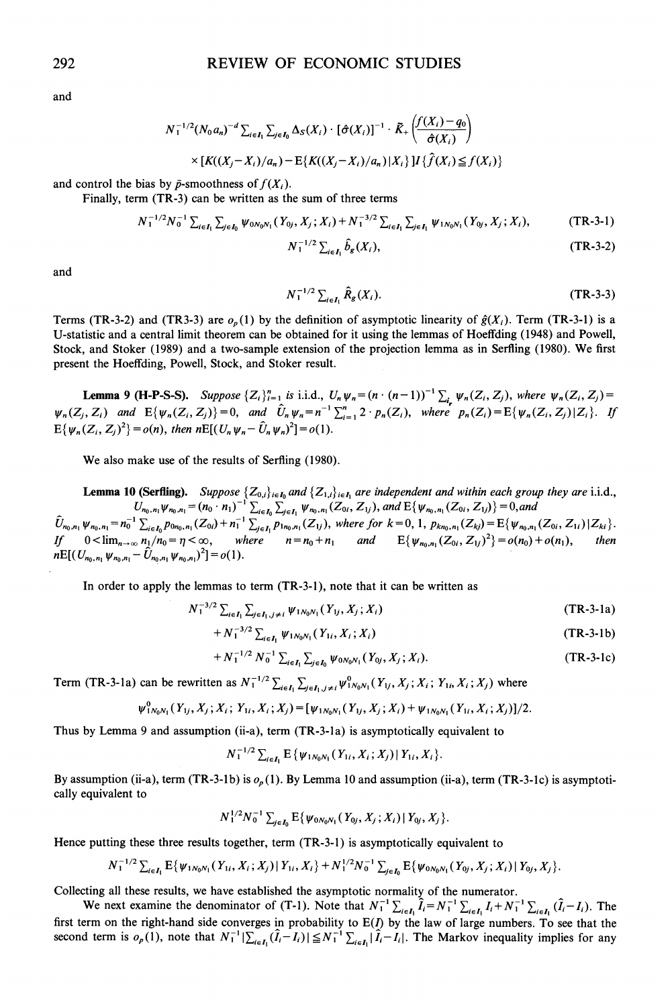and

$$
N_1^{-1/2}(N_0 a_n)^{-d} \sum_{i \in I_1} \sum_{j \in I_0} \Delta_S(X_i) \cdot [\hat{\sigma}(X_i)]^{-1} \cdot \tilde{K}_+ \left( \frac{f(X_i) - q_0}{\hat{\sigma}(X_i)} \right)
$$
  
× [K((X\_j - X\_i)/a\_n) - E{K((X\_j - X\_i)/a\_n) |X\_i} ]  $I\{\hat{f}(X_i) \leq f(X_i)\}\$ 

and control the bias by  $\bar{p}$ -smoothness of  $f(X_i)$ .

Finally, term (TR-3) can be written as the sum of three terms

$$
N_1^{-1/2} N_0^{-1} \sum_{i \in I_1} \sum_{j \in I_0} \psi_{0N_0 N_1}(Y_{0j}, X_j; X_i) + N_1^{-3/2} \sum_{i \in I_1} \sum_{j \in I_1} \psi_{1N_0 N_1}(Y_{0j}, X_j; X_i), \tag{TR-3-1}
$$

$$
N_1^{-1/2} \sum_{i \in I_1} \hat{b}_g(X_i), \tag{TR-3-2}
$$

and

$$
N_1^{-1/2} \sum_{i \in I_1} \hat{R}_g(X_i). \tag{TR-3-3}
$$

Terms (TR-3-2) and (TR3-3) are  $o_p(1)$  by the definition of asymptotic linearity of  $\hat{g}(X_i)$ . Term (TR-3-1) is a U-statistic and a central limit theorem can be obtained for it using the lemmas of Hoeffding (1948) and Powell, Stock, and Stoker (1989) and a two-sample extension of the projection lemma as in Serfling (1980). We first present the Hoeffding, Powell, Stock, and Stoker result.

**Lemma 9 (H-P-S-S).** Suppose  ${Z_i}_{i=1}^n$  is i.i.d.,  $U_n \psi_n = (n \cdot (n-1))^{-1} \sum_i \psi_n (Z_i, Z_j)$ , where  $\psi_n (Z_i, Z_j) =$  $\psi_n(Z_j,Z_i)$  and  $E{\psi_n(Z_i,Z_j)}=0$ , and  $U_n\psi_n=n^{-1}\sum_{i=1}^n 2\cdot p_n(Z_i)$ , where  $p_n(Z_i)=E{\psi_n(Z_i,Z_j)|Z_i}$ . *If*  $E{\psi_n(Z_i, Z_i)^2} = o(n)$ , then  $nE[(U_n \psi_n - \hat{U}_n \psi_n)^2] = o(1)$ .

We also make use of the results of Serfling (1980).

**Lemma 10 (Serfling).** Suppose  $\{Z_{0,i}\}_{i\in I_1}$  and  $\{Z_{1,i}\}_{i\in I_1}$  are independent and within each group they are i.i.d.,

 $U_{n_0,n_1}\psi_{n_0,n_1} = (n_0 \cdot n_1)^{-1} \sum_{i \in I_0} \sum_{j \in I_1} \psi_{n_0,n_1}(Z_{0i}, Z_{1j}),$  and  $E\{\psi_{n_0,n_1}(Z_{0i}, Z_{1j})\} = 0$ , and  $U_{n_0,n_1}\psi_{n_0,n_1} = n_0^{-1} \sum_{i \in I_0} p_{0n_0,n_1}(Z_{0i}) + n_1^{-1} \sum_{j \in I_1} p_{1n_0,n_1}(Z_{1j}),$  where for  $k = 0, 1, p_{k$ *If*  $0 < \lim_{n \to \infty} n_1/n_0 = \eta < \infty$ , where  $n = n_0 + n_1$  and  $E{\psi_{n_0,n_1}(Z_0; Z_1)^2} = o(n_0) + o(n_1)$ , then  $n \mathbb{E}[(U_{n_0,n_1} \psi_{n_0,n_1} - \hat{U}_{n_0,n_1} \psi_{n_0,n_1})^2] = o(1).$ 

In order to apply the lemmas to term (TR-3-I), note that it can be written as

$$
N_1^{-3/2} \sum_{i \in I_1} \sum_{j \in I_1, j \neq i} \psi_{1N_0 N_1}(Y_{1j}, X_j; X_i)
$$
 (TR-3-1a)

$$
+N_1^{-3/2}\sum_{i\in I_1}\psi_{1N_0N_1}(Y_{1i},X_i;X_i)
$$
 (TR-3-1b)

$$
+ N_1^{-1/2} N_0^{-1} \sum_{i \in I_1} \sum_{j \in I_0} \psi_{0N_0N_1}(Y_{0j}, X_j; X_i).
$$
 (TR-3-1c)

Term (TR-3-1a) can be rewritten as  $N_1^{-1/2} \sum_{i \in I_1} \sum_{i \in I_2} \sum_{i \neq j} \psi_{1N_0N_1}^0(Y_{1j}, X_j; X_i; Y_{1i}, X_i; X_j)$  where

$$
\psi_{1N_0N_1}^{0}(Y_{1j}, X_j; X_i; Y_{1i}, X_i; X_j) = [\psi_{1N_0N_1}(Y_{1j}, X_j; X_i) + \psi_{1N_0N_1}(Y_{1i}, X_i; X_j)]/2.
$$

Thus by Lemma 9 and assumption (ii-a), term (TR-3-la) is asymptotically equivalent to

 $N_1^{-1/2} \sum_{i \in I_1} \mathbb{E} \{ \psi_{1N_0N_1}(Y_{1i}, X_i; X_j) | Y_{1i}, X_i \}.$ 

By assumption (ii-a), term (TR-3-1b) is  $o_p(1)$ . By Lemma 10 and assumption (ii-a), term (TR-3-1c) is asymptotically equivalent to

$$
N_1^{1/2} N_0^{-1} \sum_{j \in I_0} \mathrm{E} \{ \psi_{0N_0N_1}(Y_{0j}, X_j; X_i) | Y_{0j}, X_j \}.
$$

Hence putting these three results together, term (TR-3-1) is asymptotically equivalent to

$$
N_1^{-1/2}\sum_{i\in I_1} \mathbb{E}\{\psi_{1N_0N_1}(Y_{1i},X_i;X_j)|Y_{1i},X_i\}+N_1^{1/2}N_0^{-1}\sum_{j\in I_0} \mathbb{E}\{\psi_{0N_0N_1}(Y_{0j},X_j;X_i)|Y_{0j},X_j\}.
$$

Collecting all these results, we have established the asymptotic normality of the numerator.

We next examine the denominator of (T-1). Note that  $N_1^{-1}\sum_{i\in I_1}\hat{I}_i=N_1^{-1}\sum_{i\in I_1}I_i+N_1^{-1}\sum_{i\in I_1}(\hat{I}_i-I_i)$ . The first term on the right-hand side converges in probability to E(I) by the law of large numbers. To see that the second term is  $o_p(1)$ , note that  $N_1^{-1} \sum_{i \in I} (\hat{I}_i - I_i) \le N_1^{-1} \sum_{i \in I} |\hat{I}_i - I_i|$ . The Markov inequality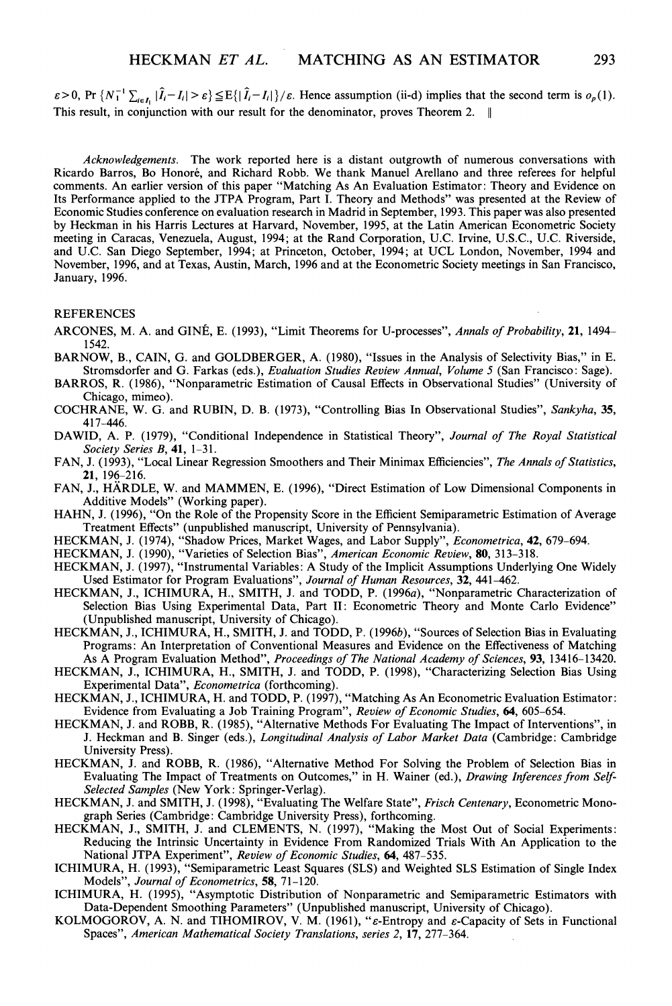$\varepsilon > 0$ , Pr  $\{N_1^{-1} \sum_{i \in I} |\hat{I}_i - I_i| > \varepsilon\} \leq E\{|\hat{I}_i - I_i|\}/\varepsilon$ . Hence assumption (ii-d) implies that the second term is  $o_p(1)$ . This result, in conjunction with our result for the denominator, proves Theorem 2.  $\parallel$ 

*Acknowledgements.* The work reported here is a distant outgrowth of numerous conversations with Ricardo Barros, Bo Honore, and Richard Robb. We thank Manuel Arellano and three referees for helpful comments. An earlier version of this paper "Matching As An Evaluation Estimator: Theory and Evidence on Its Performance applied to the JTPA Program, Part I. Theory and Methods" was presented at the Review of Economic Studies conference on evaluation research in Madrid in September, 1993. This paper was also presented by Heckman in his Harris Lectures at Harvard, November, 1995, at the Latin American Econometric Society meeting in Caracas, Venezuela, August, 1994; at the Rand Corporation, U.C. Irvine, U.S.C., U.C. Riverside, and U.C. San Diego September, 1994; at Princeton, October, 1994; at UCL London, November, 1994 and November, 1996, and at Texas, Austin, March, 1996 and at the Econometric Society meetings in San Francisco, January, 1996.

#### REFERENCES

- ARCONES, M. A. and GINÉ, E. (1993), "Limit Theorems for U-processes", Annals of Probability, 21, 1494-1542.
- BARNOW, B., CAIN, G. and GOLDBERGER, A. (1980), "Issues in the Analysis of Selectivity Bias," in E. Stromsdorfer and G. Farkas (eds.), *Evalualion Sludies Review Annual, Volume 5* (San Francisco: Sage).
- BARROS, R. (1986), "Nonparametric Estimation of Causal Effects in Observational Studies" (University of Chicago, mimeo).
- COCHRANE, W. G. and RUBIN, D. B. (1973), "Controlling Bias In Observational Studies", *Sankyha,* **35,**  41 7-446.
- DAWID, A. P. (1979), "Conditional Independence in Statistical Theory", *Journal of The Royal Stalistical Society Series B, 41, 1-31.*
- FAN, J. (1993), "Local Linear Regression Smoothers and Their Minimax Efficiencies", *The Annals of Statistics,*  **21,** 196-216.
- FAN, J., HARDLE, W. and MAMMEN, E. (1996), "Direct Estimation of Low Dimensional Components in Additive Models" (Working paper).
- HAHN, J. (1996), "On the Role of the Propensity Score in the Efficient Semiparametric Estimation of Average Treatment Effects" (unpublished manuscript, University of Pennsylvania).
- HECKMAN, J. (1974), "Shadow Prices, Market Wages, and Labor Supply", *Economelrica,* **42,** 679-694.

HECKMAN, J. (1990), "Varieties of Selection Bias", *American Economic Review,* **80,** 31 3-3 18.

- HECKMAN, J. (1997), "Instrumental Variables: A Study of the Implicit Assumptions Underlying One Widely Used Estimator for Program Evaluations", *Journal of Human Resources,* **32,** 441-462.
- HECKMAN, J., ICHIMURA, H.. SMITH, J. and TODD, P. (1996a), "Nonparametric Characterization of Selection Bias Using Experimental Data, Part 11: Econometric Theory and Monte Carlo Evidence" (Unpublished manuscript, University of Chicago).
- HECKMAN, J., ICHIMURA, H., SMITH, J. and TODD, F. (1996b), "Sources of Selection Bias in Evaluating Programs: An Interpretation of Conventional Measures and Evidence on the Effectiveness of Matching As A Program Evaluation Method", *Proceedings of The National Academy of Sciences,* **93,** 13416-13420.
- HECKMAN, J., ICHIMURA, H., SMITH, J. and TODD, P. (1998), "Characterizing Selection Bias Using Experimental Data", *Economelrica* (forthcoming).
- HECKMAN, J., ICHIMURA, H. and TODD, P. (1997), "Matching As An Econometric Evaluation Estimator: Evidence from Evaluating a Job Training Program", *Review of Economic Studies, 64,* 605-654.
- HECKMAN, J. and ROBB, R. (1985), "Alternative Methods For Evaluating The Impact of Interventions", in J. Heckman and B. Singer (eds.), *Longiludinal Analysis of Labor Market Dala* (Cambridge: Cambridge University Press).
- HECKMAN, J. and ROBB, R. (1986), "Alternative Method For Solving the Problem of Selection Bias in Evaluating The Impact of Treatments on Outcomes," in H. Wainer (ed.), *Drawing Inferences from Self-Selecled Samples* (New York: Springer-Verlag).
- HECKMAN, J. and SMITH, J. (1998), "Evaluating The Welfare State", *Frisch Centenary*, Econometric Monograph Series (Cambridge: Cambridge University Press), forthcoming.
- HECKMAN, J., SMITH, J. and CLEMENTS, N. (1997), "Making the Most Out of Social Experiments: Reducing the Intrinsic Uncertainty in Evidence From Randomized Trials With An Application to the National JTPA Experiment", *Review of Economic Sludies, 64,* 487-535.
- ICHIMURA, H. (1993), "Semiparametric Least Squares (SLS) and Weighted SLS Estimation of Single Index Models", *Journal of Economelrics, 58,* 71-120.
- ICHIMURA, H. (1995), "Asymptotic Distribution of Nonparametric and Semiparametric Estimators with Data-Dependent Smoothing Parameters" (Unpublished manuscript, University of Chicago).
- KOLMOGOROV, A. N. and TIHOMIROV, V. M. (1961), " $\varepsilon$ -Entropy and  $\varepsilon$ -Capacity of Sets in Functional Spaces", *American Malhemalical Society Translations, series 2,* **17,** 277-364.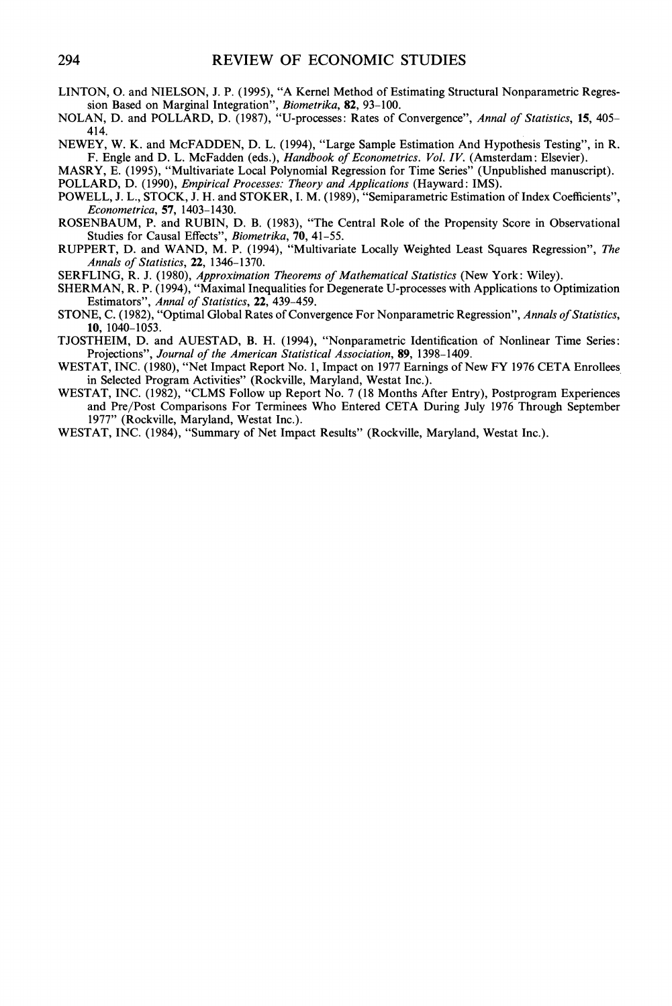- LINTON, 0. and NIELSON, J. P. (1995), "A Kernel Method of Estimating Structural Nonparametric Regression Based on Marginal Integration", *Biometrika,* **82,** 93-100.
- NOLAN, D. and POLLARD, D. (1987), "U-processes: Rates of Convergence", *Annal of Statistics, 15,* 405- 414.
- NEWEY, W. K. and McFADDEN, D. L. (1994), "Large Sample Estimation And Hypothesis Testing", in R. F. Engle and D. L. McFadden (eds.), *Handbook of Econometrics. Vol. IV.* (Amsterdam: Elsevier).

MASRY, E. (1995), "Multivariate Local Polynomial Regression for Time Series" (Unpublished manuscript).

POLLARD, D. (1990), *Empirical Processes: Theory and Applications* (Hayward: IMS).

- POWELL, J. L., STOCK, J. H. and STOKER, I. M. (1989), "Semiparametric Estimation of Index Coefficients", *Econometrica,* **57,** 1403-1430.
- ROSENBAUM, P. and RUBIN, D. B. (1983), "The Central Role of the Propensity Score in Observational Studies for Causal Effects", *Biometrika,* **70,** 41-55.
- RUPPERT, D. and WAND, M. P. (1994), "Multivariate Locally Weighted Least Squares Regression", *The Annals of Statistics,* **22,** 1346-1370.
- SERFLING, R. J. (1980), *Approximation Theorems of Mathematical Statistics* (New York: Wiley).
- SHERMAN, R. P. (1994), "Maximal Inequalities for Degenerate U-processes with Applications to Optimization Estimators", *Annal of Statistics,* **22,** 439-459.
- STONE, C. (1982), "Optimal Global Rates of Convergence For Nonparametric Regression", *Annals of Statistics,*  **10,** 1040-1053.
- TJOSTHEIM, D. and AUESTAD, B. H. (1994), "Nonparametric Identification of Nonlinear Time Series: Projections", *Journal of the American Statistical Association,* **89,** 1398-1409.
- WESTAT, INC. (1980), "Net Impact Report No. 1, Impact on 1977 Earnings of New FY 1976 CETA Enrollees in Selected Program Activities" (Rockville, Maryland, Westat Inc.).
- WESTAT, INC. (1982), "CLMS Follow up Report No. 7 (18 Months After Entry), Postprogram Experiences and Pre/Post Comparisons For Terminees Who Entered CETA During July 1976 Through September 1977" (Rockville, Maryland, Westat Inc.).
- WESTAT, INC. (1984), "Summary of Net Impact Results" (Rockville, Maryland, Westat Inc.).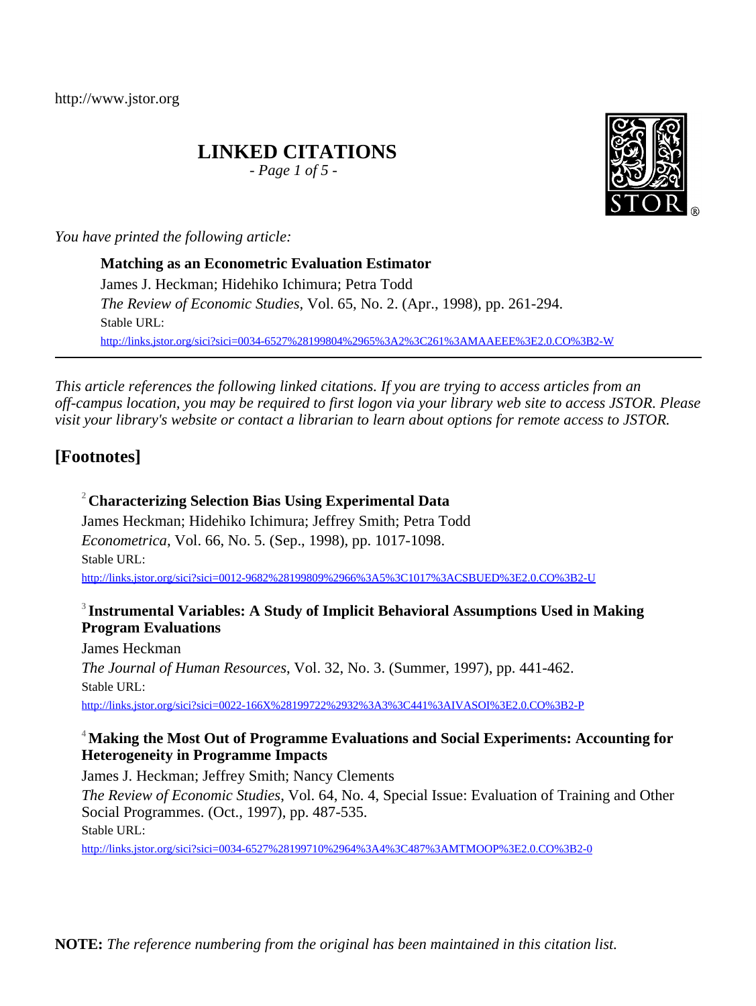http://www.jstor.org

## **LINKED CITATIONS**

*- Page 1 of 5 -*

*You have printed the following article:*

## **Matching as an Econometric Evaluation Estimator**

James J. Heckman; Hidehiko Ichimura; Petra Todd *The Review of Economic Studies*, Vol. 65, No. 2. (Apr., 1998), pp. 261-294. Stable URL: [http://links.jstor.org/sici?sici=0034-6527%28199804%2965%3A2%3C261%3AMAAEEE%3E2.0.CO%3B2-W](http://links.jstor.org/sici?sici=0034-6527%28199804%2965%3A2%3C261%3AMAAEEE%3E2.0.CO%3B2-W&origin=JSTOR-pdf)

*This article references the following linked citations. If you are trying to access articles from an off-campus location, you may be required to first logon via your library web site to access JSTOR. Please visit your library's website or contact a librarian to learn about options for remote access to JSTOR.*

## **[Footnotes]**

## **<sup>2</sup> Characterizing Selection Bias Using Experimental Data**

James Heckman; Hidehiko Ichimura; Jeffrey Smith; Petra Todd *Econometrica*, Vol. 66, No. 5. (Sep., 1998), pp. 1017-1098. Stable URL: [http://links.jstor.org/sici?sici=0012-9682%28199809%2966%3A5%3C1017%3ACSBUED%3E2.0.CO%3B2-U](http://links.jstor.org/sici?sici=0012-9682%28199809%2966%3A5%3C1017%3ACSBUED%3E2.0.CO%3B2-U&origin=JSTOR-pdf)

## **3 Instrumental Variables: A Study of Implicit Behavioral Assumptions Used in Making Program Evaluations**

James Heckman *The Journal of Human Resources*, Vol. 32, No. 3. (Summer, 1997), pp. 441-462. Stable URL: [http://links.jstor.org/sici?sici=0022-166X%28199722%2932%3A3%3C441%3AIVASOI%3E2.0.CO%3B2-P](http://links.jstor.org/sici?sici=0022-166X%28199722%2932%3A3%3C441%3AIVASOI%3E2.0.CO%3B2-P&origin=JSTOR-pdf)

## **<sup>4</sup>Making the Most Out of Programme Evaluations and Social Experiments: Accounting for Heterogeneity in Programme Impacts**

James J. Heckman; Jeffrey Smith; Nancy Clements *The Review of Economic Studies*, Vol. 64, No. 4, Special Issue: Evaluation of Training and Other Social Programmes. (Oct., 1997), pp. 487-535. Stable URL:

[http://links.jstor.org/sici?sici=0034-6527%28199710%2964%3A4%3C487%3AMTMOOP%3E2.0.CO%3B2-0](http://links.jstor.org/sici?sici=0034-6527%28199710%2964%3A4%3C487%3AMTMOOP%3E2.0.CO%3B2-0&origin=JSTOR-pdf)

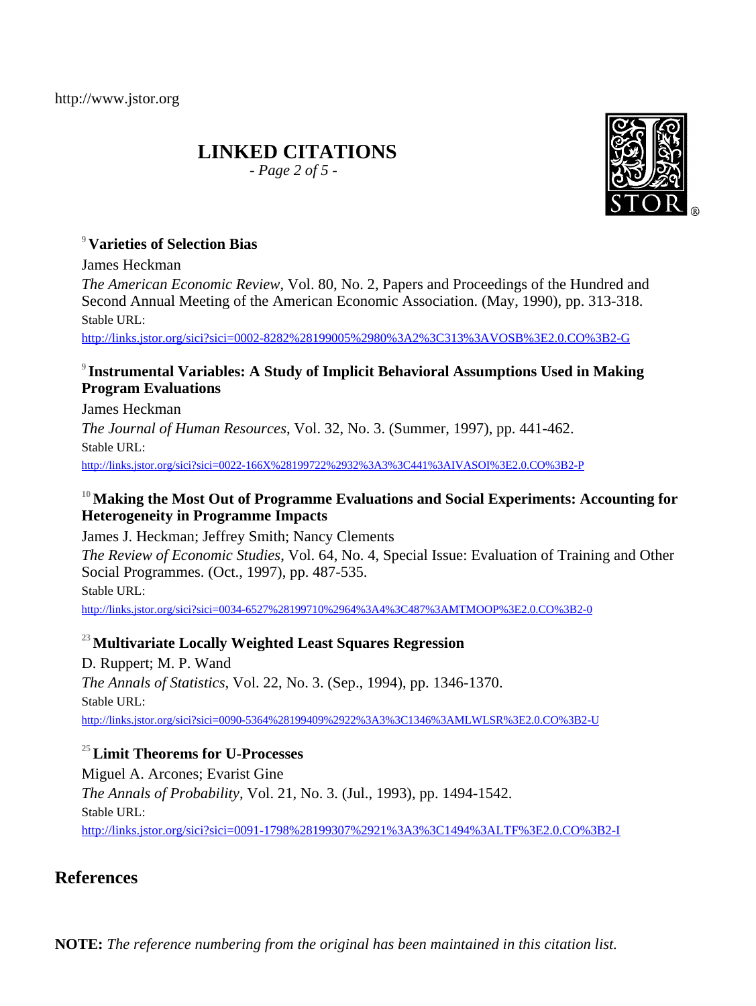## **LINKED CITATIONS**

*- Page 2 of 5 -*



## **<sup>9</sup> Varieties of Selection Bias**

James Heckman

*The American Economic Review*, Vol. 80, No. 2, Papers and Proceedings of the Hundred and Second Annual Meeting of the American Economic Association. (May, 1990), pp. 313-318. Stable URL:

[http://links.jstor.org/sici?sici=0002-8282%28199005%2980%3A2%3C313%3AVOSB%3E2.0.CO%3B2-G](http://links.jstor.org/sici?sici=0002-8282%28199005%2980%3A2%3C313%3AVOSB%3E2.0.CO%3B2-G&origin=JSTOR-pdf)

## **9 Instrumental Variables: A Study of Implicit Behavioral Assumptions Used in Making Program Evaluations**

James Heckman

*The Journal of Human Resources*, Vol. 32, No. 3. (Summer, 1997), pp. 441-462. Stable URL:

[http://links.jstor.org/sici?sici=0022-166X%28199722%2932%3A3%3C441%3AIVASOI%3E2.0.CO%3B2-P](http://links.jstor.org/sici?sici=0022-166X%28199722%2932%3A3%3C441%3AIVASOI%3E2.0.CO%3B2-P&origin=JSTOR-pdf)

## **<sup>10</sup>Making the Most Out of Programme Evaluations and Social Experiments: Accounting for Heterogeneity in Programme Impacts**

James J. Heckman; Jeffrey Smith; Nancy Clements

*The Review of Economic Studies*, Vol. 64, No. 4, Special Issue: Evaluation of Training and Other Social Programmes. (Oct., 1997), pp. 487-535. Stable URL:

[http://links.jstor.org/sici?sici=0034-6527%28199710%2964%3A4%3C487%3AMTMOOP%3E2.0.CO%3B2-0](http://links.jstor.org/sici?sici=0034-6527%28199710%2964%3A4%3C487%3AMTMOOP%3E2.0.CO%3B2-0&origin=JSTOR-pdf)

### **<sup>23</sup>Multivariate Locally Weighted Least Squares Regression**

D. Ruppert; M. P. Wand *The Annals of Statistics*, Vol. 22, No. 3. (Sep., 1994), pp. 1346-1370. Stable URL: [http://links.jstor.org/sici?sici=0090-5364%28199409%2922%3A3%3C1346%3AMLWLSR%3E2.0.CO%3B2-U](http://links.jstor.org/sici?sici=0090-5364%28199409%2922%3A3%3C1346%3AMLWLSR%3E2.0.CO%3B2-U&origin=JSTOR-pdf)

## **<sup>25</sup>Limit Theorems for U-Processes**

Miguel A. Arcones; Evarist Gine *The Annals of Probability*, Vol. 21, No. 3. (Jul., 1993), pp. 1494-1542. Stable URL: [http://links.jstor.org/sici?sici=0091-1798%28199307%2921%3A3%3C1494%3ALTF%3E2.0.CO%3B2-I](http://links.jstor.org/sici?sici=0091-1798%28199307%2921%3A3%3C1494%3ALTF%3E2.0.CO%3B2-I&origin=JSTOR-pdf)

## **References**

**NOTE:** *The reference numbering from the original has been maintained in this citation list.*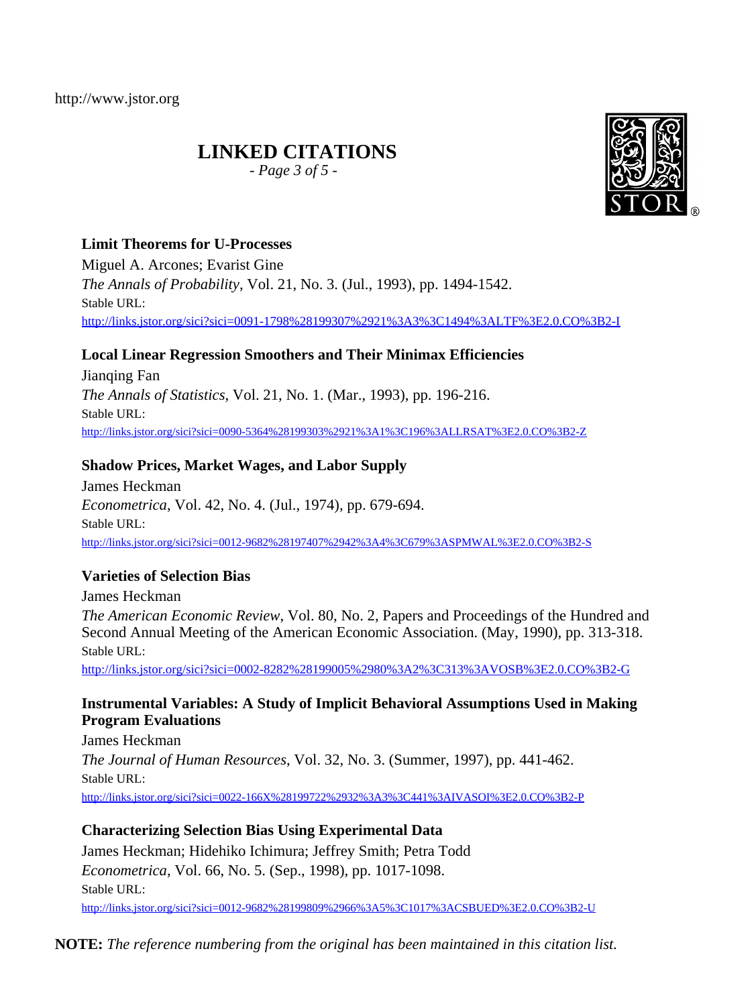http://www.jstor.org

## **LINKED CITATIONS**

*- Page 3 of 5 -*



### **Limit Theorems for U-Processes**

Miguel A. Arcones; Evarist Gine *The Annals of Probability*, Vol. 21, No. 3. (Jul., 1993), pp. 1494-1542. Stable URL: [http://links.jstor.org/sici?sici=0091-1798%28199307%2921%3A3%3C1494%3ALTF%3E2.0.CO%3B2-I](http://links.jstor.org/sici?sici=0091-1798%28199307%2921%3A3%3C1494%3ALTF%3E2.0.CO%3B2-I&origin=JSTOR-pdf)

### **Local Linear Regression Smoothers and Their Minimax Efficiencies**

Jianqing Fan *The Annals of Statistics*, Vol. 21, No. 1. (Mar., 1993), pp. 196-216. Stable URL: [http://links.jstor.org/sici?sici=0090-5364%28199303%2921%3A1%3C196%3ALLRSAT%3E2.0.CO%3B2-Z](http://links.jstor.org/sici?sici=0090-5364%28199303%2921%3A1%3C196%3ALLRSAT%3E2.0.CO%3B2-Z&origin=JSTOR-pdf)

## **Shadow Prices, Market Wages, and Labor Supply**

James Heckman *Econometrica*, Vol. 42, No. 4. (Jul., 1974), pp. 679-694. Stable URL: [http://links.jstor.org/sici?sici=0012-9682%28197407%2942%3A4%3C679%3ASPMWAL%3E2.0.CO%3B2-S](http://links.jstor.org/sici?sici=0012-9682%28197407%2942%3A4%3C679%3ASPMWAL%3E2.0.CO%3B2-S&origin=JSTOR-pdf)

### **Varieties of Selection Bias**

James Heckman *The American Economic Review*, Vol. 80, No. 2, Papers and Proceedings of the Hundred and Second Annual Meeting of the American Economic Association. (May, 1990), pp. 313-318. Stable URL:

[http://links.jstor.org/sici?sici=0002-8282%28199005%2980%3A2%3C313%3AVOSB%3E2.0.CO%3B2-G](http://links.jstor.org/sici?sici=0002-8282%28199005%2980%3A2%3C313%3AVOSB%3E2.0.CO%3B2-G&origin=JSTOR-pdf)

## **Instrumental Variables: A Study of Implicit Behavioral Assumptions Used in Making Program Evaluations**

James Heckman *The Journal of Human Resources*, Vol. 32, No. 3. (Summer, 1997), pp. 441-462. Stable URL: [http://links.jstor.org/sici?sici=0022-166X%28199722%2932%3A3%3C441%3AIVASOI%3E2.0.CO%3B2-P](http://links.jstor.org/sici?sici=0022-166X%28199722%2932%3A3%3C441%3AIVASOI%3E2.0.CO%3B2-P&origin=JSTOR-pdf)

### **Characterizing Selection Bias Using Experimental Data**

James Heckman; Hidehiko Ichimura; Jeffrey Smith; Petra Todd *Econometrica*, Vol. 66, No. 5. (Sep., 1998), pp. 1017-1098. Stable URL: [http://links.jstor.org/sici?sici=0012-9682%28199809%2966%3A5%3C1017%3ACSBUED%3E2.0.CO%3B2-U](http://links.jstor.org/sici?sici=0012-9682%28199809%2966%3A5%3C1017%3ACSBUED%3E2.0.CO%3B2-U&origin=JSTOR-pdf)

**NOTE:** *The reference numbering from the original has been maintained in this citation list.*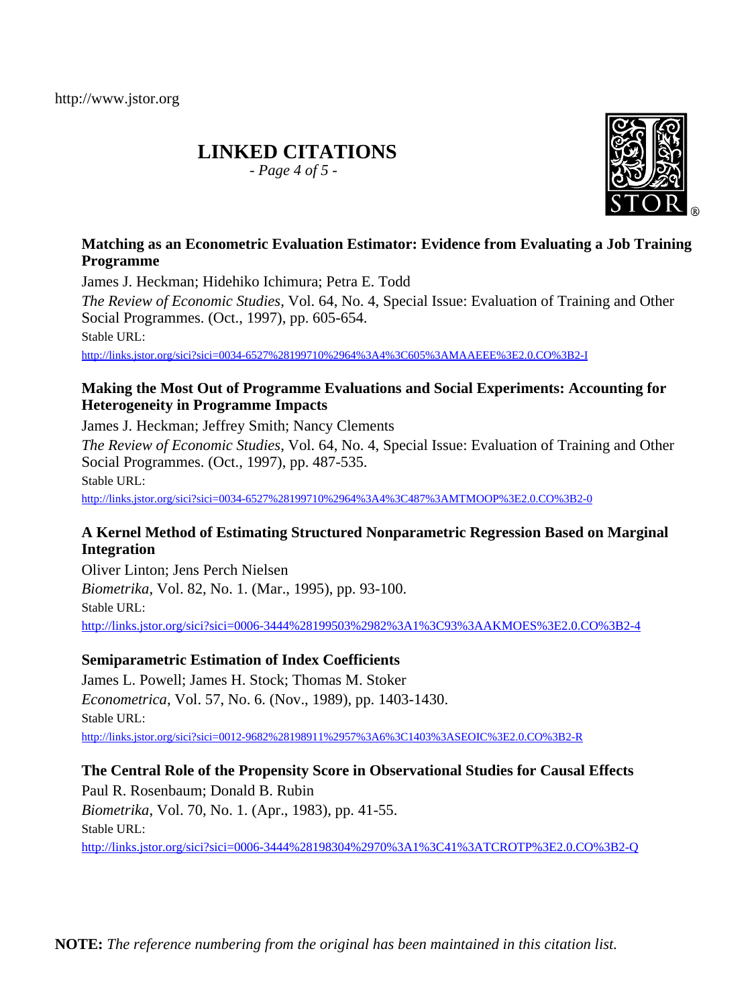## **LINKED CITATIONS**

*- Page 4 of 5 -*



## **Matching as an Econometric Evaluation Estimator: Evidence from Evaluating a Job Training Programme**

James J. Heckman; Hidehiko Ichimura; Petra E. Todd

*The Review of Economic Studies*, Vol. 64, No. 4, Special Issue: Evaluation of Training and Other Social Programmes. (Oct., 1997), pp. 605-654. Stable URL:

[http://links.jstor.org/sici?sici=0034-6527%28199710%2964%3A4%3C605%3AMAAEEE%3E2.0.CO%3B2-I](http://links.jstor.org/sici?sici=0034-6527%28199710%2964%3A4%3C605%3AMAAEEE%3E2.0.CO%3B2-I&origin=JSTOR-pdf)

## **Making the Most Out of Programme Evaluations and Social Experiments: Accounting for Heterogeneity in Programme Impacts**

James J. Heckman; Jeffrey Smith; Nancy Clements

*The Review of Economic Studies*, Vol. 64, No. 4, Special Issue: Evaluation of Training and Other Social Programmes. (Oct., 1997), pp. 487-535.

Stable URL:

[http://links.jstor.org/sici?sici=0034-6527%28199710%2964%3A4%3C487%3AMTMOOP%3E2.0.CO%3B2-0](http://links.jstor.org/sici?sici=0034-6527%28199710%2964%3A4%3C487%3AMTMOOP%3E2.0.CO%3B2-0&origin=JSTOR-pdf)

## **A Kernel Method of Estimating Structured Nonparametric Regression Based on Marginal Integration**

Oliver Linton; Jens Perch Nielsen *Biometrika*, Vol. 82, No. 1. (Mar., 1995), pp. 93-100. Stable URL: [http://links.jstor.org/sici?sici=0006-3444%28199503%2982%3A1%3C93%3AAKMOES%3E2.0.CO%3B2-4](http://links.jstor.org/sici?sici=0006-3444%28199503%2982%3A1%3C93%3AAKMOES%3E2.0.CO%3B2-4&origin=JSTOR-pdf)

### **Semiparametric Estimation of Index Coefficients**

James L. Powell; James H. Stock; Thomas M. Stoker *Econometrica*, Vol. 57, No. 6. (Nov., 1989), pp. 1403-1430. Stable URL: [http://links.jstor.org/sici?sici=0012-9682%28198911%2957%3A6%3C1403%3ASEOIC%3E2.0.CO%3B2-R](http://links.jstor.org/sici?sici=0012-9682%28198911%2957%3A6%3C1403%3ASEOIC%3E2.0.CO%3B2-R&origin=JSTOR-pdf)

**The Central Role of the Propensity Score in Observational Studies for Causal Effects** Paul R. Rosenbaum; Donald B. Rubin *Biometrika*, Vol. 70, No. 1. (Apr., 1983), pp. 41-55. Stable URL: [http://links.jstor.org/sici?sici=0006-3444%28198304%2970%3A1%3C41%3ATCROTP%3E2.0.CO%3B2-Q](http://links.jstor.org/sici?sici=0006-3444%28198304%2970%3A1%3C41%3ATCROTP%3E2.0.CO%3B2-Q&origin=JSTOR-pdf)